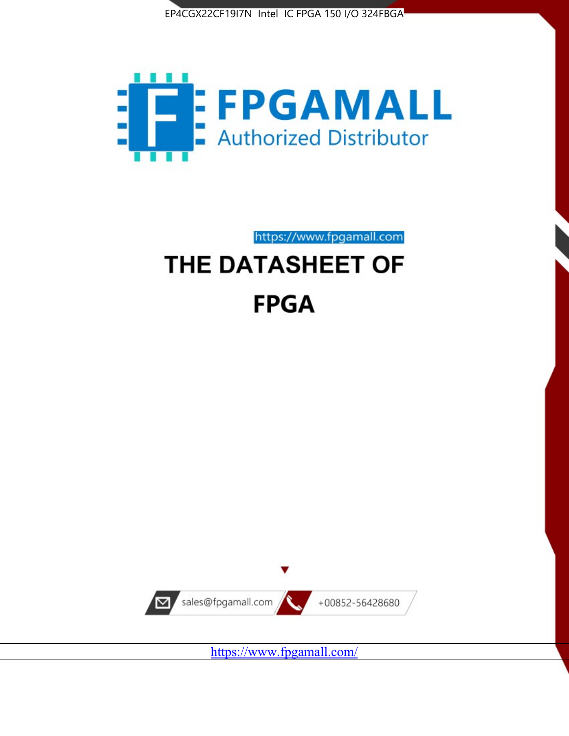



https://www.fpgamall.com

# THE DATASHEET OF **FPGA**



<https://www.fpgamall.com/>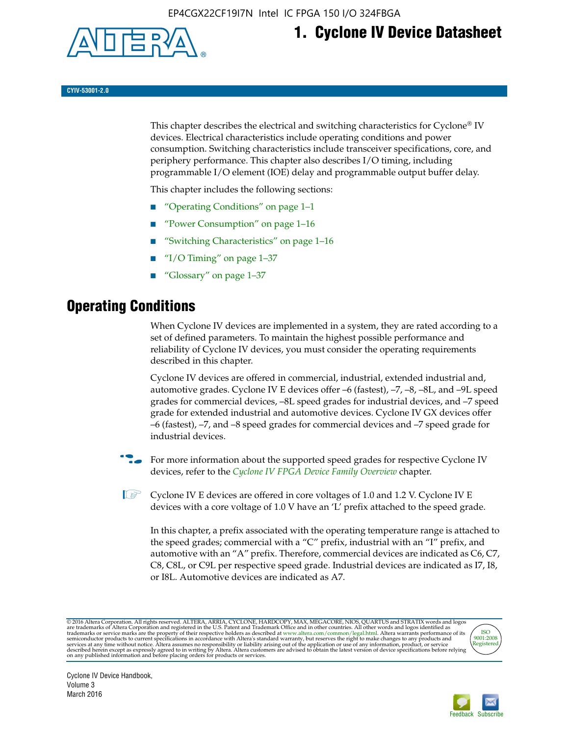

## **1. Cyclone IV Device Datasheet**

**CYIV-53001-2.0**

This chapter describes the electrical and switching characteristics for Cyclone<sup>®</sup> IV devices. Electrical characteristics include operating conditions and power consumption. Switching characteristics include transceiver specifications, core, and periphery performance. This chapter also describes I/O timing, including programmable I/O element (IOE) delay and programmable output buffer delay.

This chapter includes the following sections:

- "Operating Conditions" on page 1–1
- "Power Consumption" on page 1–16
- "Switching Characteristics" on page 1–16
- "I/O Timing" on page  $1-37$
- "Glossary" on page 1–37

## **Operating Conditions**

When Cyclone IV devices are implemented in a system, they are rated according to a set of defined parameters. To maintain the highest possible performance and reliability of Cyclone IV devices, you must consider the operating requirements described in this chapter.

Cyclone IV devices are offered in commercial, industrial, extended industrial and, automotive grades. Cyclone IV E devices offer –6 (fastest), –7, –8, –8L, and –9L speed grades for commercial devices, –8L speed grades for industrial devices, and –7 speed grade for extended industrial and automotive devices. Cyclone IV GX devices offer –6 (fastest), –7, and –8 speed grades for commercial devices and –7 speed grade for industrial devices.

**For more information about the supported speed grades for respective Cyclone IV** devices, refer to the *[Cyclone IV FPGA Device Family Overview](http://www.altera.com/literature/hb/cyclone-iv/cyiv-51001.pdf)* chapter.

**1** Cyclone IV E devices are offered in core voltages of 1.0 and 1.2 V. Cyclone IV E devices with a core voltage of 1.0 V have an 'L' prefix attached to the speed grade.

In this chapter, a prefix associated with the operating temperature range is attached to the speed grades; commercial with a "C" prefix, industrial with an "I" prefix, and automotive with an "A" prefix. Therefore, commercial devices are indicated as C6, C7, C8, C8L, or C9L per respective speed grade. Industrial devices are indicated as I7, I8, or I8L. Automotive devices are indicated as A7.

@2016 Altera Corporation. All rights reserved. ALTERA, ARRIA, CYCLONE, HARDCOPY, MAX, MEGACORE, NIOS, QUARTUS and STRATIX words and logos are trademarks of Altera Corporation and registered in the U.S. Patent and Trademark



Cyclone IV Device Handbook, Volume 3 March 2016

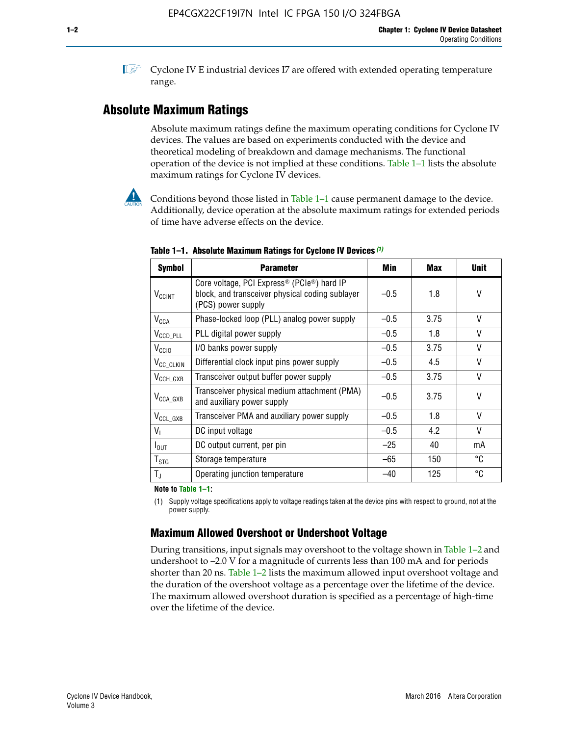**1 Cyclone IV E industrial devices I7 are offered with extended operating temperature** range.

## **Absolute Maximum Ratings**

Absolute maximum ratings define the maximum operating conditions for Cyclone IV devices. The values are based on experiments conducted with the device and theoretical modeling of breakdown and damage mechanisms. The functional operation of the device is not implied at these conditions. Table 1–1 lists the absolute maximum ratings for Cyclone IV devices.



Conditions beyond those listed in Table  $1-1$  cause permanent damage to the device. Additionally, device operation at the absolute maximum ratings for extended periods of time have adverse effects on the device.

| <b>Symbol</b>            | <b>Parameter</b>                                                                                                                             | Min    | <b>Max</b> | <b>Unit</b> |
|--------------------------|----------------------------------------------------------------------------------------------------------------------------------------------|--------|------------|-------------|
| <b>V<sub>CCINT</sub></b> | Core voltage, PCI Express <sup>®</sup> (PCIe <sup>®</sup> ) hard IP<br>block, and transceiver physical coding sublayer<br>(PCS) power supply | $-0.5$ | 1.8        | V           |
| $V_{CCA}$                | Phase-locked loop (PLL) analog power supply                                                                                                  | $-0.5$ | 3.75       | V           |
| $V_{CCD\_PLL}$           | PLL digital power supply                                                                                                                     | $-0.5$ | 1.8        | V           |
| V <sub>CCIO</sub>        | I/O banks power supply                                                                                                                       | $-0.5$ | 3.75       | V           |
| V <sub>CC_CLKIN</sub>    | Differential clock input pins power supply                                                                                                   | $-0.5$ | 4.5        | V           |
| $V_{\text{CCH_GXB}}$     | Transceiver output buffer power supply                                                                                                       | $-0.5$ | 3.75       | V           |
| $V_{\text{CCA\_GXB}}$    | Transceiver physical medium attachment (PMA)<br>and auxiliary power supply                                                                   | $-0.5$ | 3.75       | V           |
| $V_{CCL_GXB}$            | Transceiver PMA and auxiliary power supply                                                                                                   | $-0.5$ | 1.8        | V           |
| $V_{1}$                  | DC input voltage                                                                                                                             | $-0.5$ | 4.2        | V           |
| $I_{\text{OUT}}$         | DC output current, per pin                                                                                                                   | $-25$  | 40         | mA          |
| $T_{\mathtt{STG}}$       | Storage temperature                                                                                                                          | -65    | 150        | °C          |
| $T_{\rm J}$              | Operating junction temperature                                                                                                               | $-40$  | 125        | °C          |

**Table 1–1. Absolute Maximum Ratings for Cyclone IV Devices** *(1)*

**Note to Table 1–1:**

(1) Supply voltage specifications apply to voltage readings taken at the device pins with respect to ground, not at the power supply.

## **Maximum Allowed Overshoot or Undershoot Voltage**

During transitions, input signals may overshoot to the voltage shown in Table 1–2 and undershoot to –2.0 V for a magnitude of currents less than 100 mA and for periods shorter than 20 ns. Table 1–2 lists the maximum allowed input overshoot voltage and the duration of the overshoot voltage as a percentage over the lifetime of the device. The maximum allowed overshoot duration is specified as a percentage of high-time over the lifetime of the device.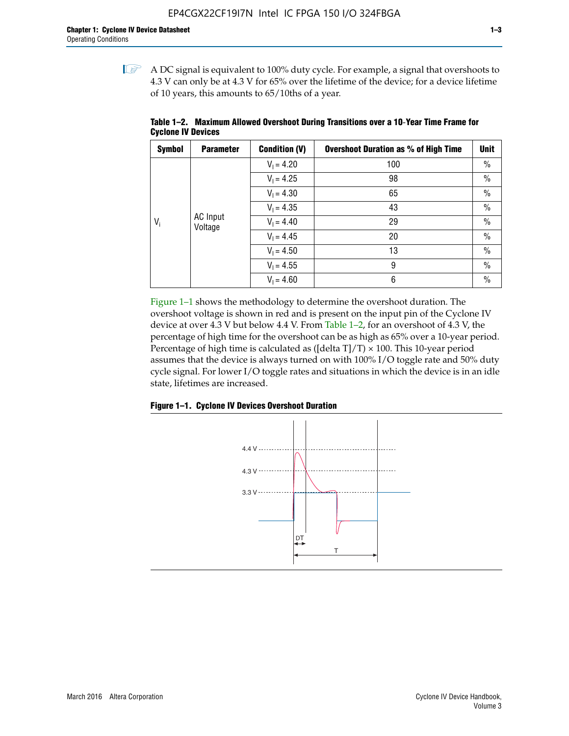$\mathbb{I}$  A DC signal is equivalent to 100% duty cycle. For example, a signal that overshoots to 4.3 V can only be at 4.3 V for 65% over the lifetime of the device; for a device lifetime of 10 years, this amounts to 65/10ths of a year.

| <b>Symbol</b> | <b>Parameter</b>           | <b>Condition (V)</b> | <b>Overshoot Duration as % of High Time</b> | <b>Unit</b>   |
|---------------|----------------------------|----------------------|---------------------------------------------|---------------|
|               |                            | $V_1 = 4.20$         | 100                                         | $\%$          |
|               |                            | $V_1 = 4.25$         | 98                                          | $\%$          |
|               |                            | $V_1 = 4.30$         | 65                                          | $\%$          |
|               |                            | $V_1 = 4.35$         | 43                                          | $\frac{0}{0}$ |
| $V_i$         | <b>AC</b> Input<br>Voltage | $V_1 = 4.40$         | 29                                          | $\frac{0}{0}$ |
|               |                            | $V_1 = 4.45$         | 20                                          | $\%$          |
|               |                            | $V_1 = 4.50$         | 13                                          | $\%$          |
|               |                            | $V_1 = 4.55$         | 9                                           | $\%$          |
|               |                            | $V_1 = 4.60$         | 6                                           | $\%$          |

**Table 1–2. Maximum Allowed Overshoot During Transitions over a 10**-**Year Time Frame for Cyclone IV Devices**

Figure 1–1 shows the methodology to determine the overshoot duration. The overshoot voltage is shown in red and is present on the input pin of the Cyclone IV device at over 4.3 V but below 4.4 V. From Table 1–2, for an overshoot of 4.3 V, the percentage of high time for the overshoot can be as high as 65% over a 10-year period. Percentage of high time is calculated as ([delta  $T$ ]/T)  $\times$  100. This 10-year period assumes that the device is always turned on with 100% I/O toggle rate and 50% duty cycle signal. For lower I/O toggle rates and situations in which the device is in an idle state, lifetimes are increased.



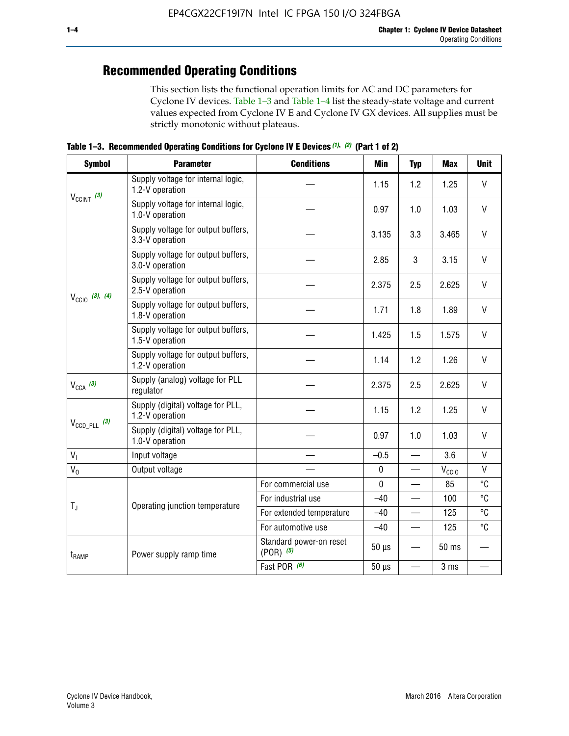## **Recommended Operating Conditions**

This section lists the functional operation limits for AC and DC parameters for Cyclone IV devices. Table 1–3 and Table 1–4 list the steady-state voltage and current values expected from Cyclone IV E and Cyclone IV GX devices. All supplies must be strictly monotonic without plateaus.

**Table 1–3. Recommended Operating Conditions for Cyclone IV E Devices** *(1)***,** *(2)* **(Part 1 of 2)**

| <b>Symbol</b>                                                                                                                                                                                                                                                                                                                                                                                                                                                                                                                                                                                                                                                                                                        | <b>Parameter</b>                                                                                                                                                                                                                                                                                                                                                                                                                                | <b>Conditions</b> | <b>Min</b> | <b>Typ</b>                                                                        | <b>Max</b> | <b>Unit</b>  |  |  |
|----------------------------------------------------------------------------------------------------------------------------------------------------------------------------------------------------------------------------------------------------------------------------------------------------------------------------------------------------------------------------------------------------------------------------------------------------------------------------------------------------------------------------------------------------------------------------------------------------------------------------------------------------------------------------------------------------------------------|-------------------------------------------------------------------------------------------------------------------------------------------------------------------------------------------------------------------------------------------------------------------------------------------------------------------------------------------------------------------------------------------------------------------------------------------------|-------------------|------------|-----------------------------------------------------------------------------------|------------|--------------|--|--|
|                                                                                                                                                                                                                                                                                                                                                                                                                                                                                                                                                                                                                                                                                                                      | Supply voltage for internal logic,<br>1.2-V operation                                                                                                                                                                                                                                                                                                                                                                                           |                   | 1.15       | 1.2                                                                               | 1.25       | $\mathsf{V}$ |  |  |
|                                                                                                                                                                                                                                                                                                                                                                                                                                                                                                                                                                                                                                                                                                                      | Supply voltage for internal logic,<br>1.0-V operation                                                                                                                                                                                                                                                                                                                                                                                           |                   | 0.97       | 1.0                                                                               | 1.03       | $\mathsf{V}$ |  |  |
|                                                                                                                                                                                                                                                                                                                                                                                                                                                                                                                                                                                                                                                                                                                      | Supply voltage for output buffers,<br>3.3-V operation                                                                                                                                                                                                                                                                                                                                                                                           |                   | 3.135      | 3.3                                                                               | 3.465      | $\vee$       |  |  |
| $V_{CClNT}$ (3)<br>Supply voltage for output buffers,<br>3.0-V operation<br>Supply voltage for output buffers,<br>2.5-V operation<br>$V_{\text{CC10}}$ (3), (4)<br>Supply voltage for output buffers,<br>1.8-V operation<br>Supply voltage for output buffers,<br>1.5-V operation<br>Supply voltage for output buffers,<br>1.2-V operation<br>Supply (analog) voltage for PLL<br>$V_{CCA}$ (3)<br>regulator<br>Supply (digital) voltage for PLL,<br>1.2-V operation<br>$V_{\text{CCD\_PLL}}$ (3)<br>Supply (digital) voltage for PLL,<br>1.0-V operation<br>V <sub>1</sub><br>Input voltage<br>$V_0$<br>Output voltage<br>$T_{\rm J}$<br>Operating junction temperature<br>Power supply ramp time<br>$t_{\rm{RAMP}}$ |                                                                                                                                                                                                                                                                                                                                                                                                                                                 | 2.85              | 3          | 3.15                                                                              | V          |              |  |  |
|                                                                                                                                                                                                                                                                                                                                                                                                                                                                                                                                                                                                                                                                                                                      | 2.375<br>2.5<br>1.8<br>1.71<br>1.425<br>1.5<br>1.2<br>1.14<br>2.375<br>2.5<br>1.15<br>1.2<br>0.97<br>1.0<br>$-0.5$<br>$\overline{\phantom{0}}$<br>$\pmb{0}$<br>—<br>$\mathbf 0$<br>For commercial use<br>For industrial use<br>$-40$<br>For extended temperature<br>$-40$<br>For automotive use<br>$-40$<br>$\qquad \qquad$<br>Standard power-on reset<br>$50 \mu s$<br>$(POR)$ $(5)$<br>Fast POR (6)<br>$50 \mu s$<br>$\overline{\phantom{0}}$ | 2.625             | $\vee$     |                                                                                   |            |              |  |  |
|                                                                                                                                                                                                                                                                                                                                                                                                                                                                                                                                                                                                                                                                                                                      |                                                                                                                                                                                                                                                                                                                                                                                                                                                 |                   |            |                                                                                   |            |              |  |  |
|                                                                                                                                                                                                                                                                                                                                                                                                                                                                                                                                                                                                                                                                                                                      |                                                                                                                                                                                                                                                                                                                                                                                                                                                 |                   |            |                                                                                   | 1.575      | $\vee$       |  |  |
|                                                                                                                                                                                                                                                                                                                                                                                                                                                                                                                                                                                                                                                                                                                      |                                                                                                                                                                                                                                                                                                                                                                                                                                                 |                   |            |                                                                                   | 1.26       | $\mathsf{V}$ |  |  |
|                                                                                                                                                                                                                                                                                                                                                                                                                                                                                                                                                                                                                                                                                                                      |                                                                                                                                                                                                                                                                                                                                                                                                                                                 |                   |            |                                                                                   | 2.625      | $\vee$       |  |  |
|                                                                                                                                                                                                                                                                                                                                                                                                                                                                                                                                                                                                                                                                                                                      |                                                                                                                                                                                                                                                                                                                                                                                                                                                 |                   |            |                                                                                   | 1.25       | V            |  |  |
|                                                                                                                                                                                                                                                                                                                                                                                                                                                                                                                                                                                                                                                                                                                      |                                                                                                                                                                                                                                                                                                                                                                                                                                                 |                   |            | 1.89<br>1.03<br>3.6<br>$V_{\rm CClO}$<br>85<br>100<br>125<br>125<br>50 ms<br>3 ms | $\vee$     |              |  |  |
|                                                                                                                                                                                                                                                                                                                                                                                                                                                                                                                                                                                                                                                                                                                      |                                                                                                                                                                                                                                                                                                                                                                                                                                                 |                   |            |                                                                                   |            | $\mathsf{V}$ |  |  |
|                                                                                                                                                                                                                                                                                                                                                                                                                                                                                                                                                                                                                                                                                                                      |                                                                                                                                                                                                                                                                                                                                                                                                                                                 |                   |            |                                                                                   |            | $\mathsf{V}$ |  |  |
|                                                                                                                                                                                                                                                                                                                                                                                                                                                                                                                                                                                                                                                                                                                      |                                                                                                                                                                                                                                                                                                                                                                                                                                                 |                   |            |                                                                                   |            | °C           |  |  |
|                                                                                                                                                                                                                                                                                                                                                                                                                                                                                                                                                                                                                                                                                                                      |                                                                                                                                                                                                                                                                                                                                                                                                                                                 |                   |            |                                                                                   |            | °C           |  |  |
|                                                                                                                                                                                                                                                                                                                                                                                                                                                                                                                                                                                                                                                                                                                      |                                                                                                                                                                                                                                                                                                                                                                                                                                                 |                   |            |                                                                                   |            | °C           |  |  |
|                                                                                                                                                                                                                                                                                                                                                                                                                                                                                                                                                                                                                                                                                                                      |                                                                                                                                                                                                                                                                                                                                                                                                                                                 |                   |            |                                                                                   |            | °C           |  |  |
|                                                                                                                                                                                                                                                                                                                                                                                                                                                                                                                                                                                                                                                                                                                      |                                                                                                                                                                                                                                                                                                                                                                                                                                                 |                   |            |                                                                                   |            |              |  |  |
|                                                                                                                                                                                                                                                                                                                                                                                                                                                                                                                                                                                                                                                                                                                      |                                                                                                                                                                                                                                                                                                                                                                                                                                                 |                   |            |                                                                                   |            |              |  |  |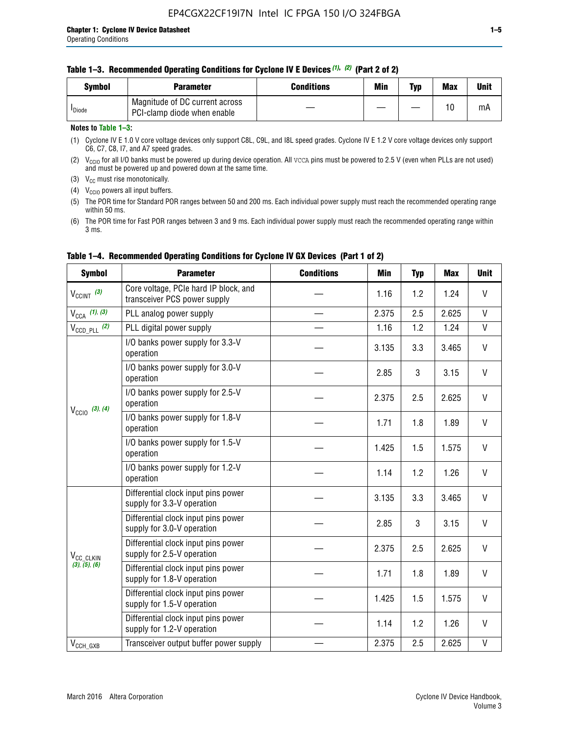| <b>Symbol</b>      | Parameter                                                     | Conditions | Min | Typ | <b>Max</b> | Unit |
|--------------------|---------------------------------------------------------------|------------|-----|-----|------------|------|
| <sup>I</sup> Diode | Magnitude of DC current across<br>PCI-clamp diode when enable |            |     |     | 10         | mA   |

#### **Notes to Table 1–3:**

(1) Cyclone IV E 1.0 V core voltage devices only support C8L, C9L, and I8L speed grades. Cyclone IV E 1.2 V core voltage devices only support C6, C7, C8, I7, and A7 speed grades.

(2)  $V_{CCIO}$  for all I/O banks must be powered up during device operation. All vcca pins must be powered to 2.5 V (even when PLLs are not used) and must be powered up and powered down at the same time.

(3)  $V_{CC}$  must rise monotonically.

(4)  $V_{\text{CCIO}}$  powers all input buffers.

(5) The POR time for Standard POR ranges between 50 and 200 ms. Each individual power supply must reach the recommended operating range within 50 ms.

(6) The POR time for Fast POR ranges between 3 and 9 ms. Each individual power supply must reach the recommended operating range within 3 ms.

| <b>Symbol</b>                                                                                                                                                                                                                                                                                                                                                                                                                                                                                                                   | <b>Parameter</b>                                                      | <b>Conditions</b> | Min   | <b>Typ</b> | <b>Max</b>   | <b>Unit</b>  |
|---------------------------------------------------------------------------------------------------------------------------------------------------------------------------------------------------------------------------------------------------------------------------------------------------------------------------------------------------------------------------------------------------------------------------------------------------------------------------------------------------------------------------------|-----------------------------------------------------------------------|-------------------|-------|------------|--------------|--------------|
| $V_{CClNT}$ (3)                                                                                                                                                                                                                                                                                                                                                                                                                                                                                                                 | Core voltage, PCIe hard IP block, and<br>transceiver PCS power supply |                   | 1.16  | 1.2        | 1.24         | V            |
| $V_{CCA}$ (1), (3)                                                                                                                                                                                                                                                                                                                                                                                                                                                                                                              | PLL analog power supply                                               |                   | 2.375 | 2.5        | 2.625        | $\mathsf{V}$ |
| $V_{\text{CCD\_PLL}}$ (2)                                                                                                                                                                                                                                                                                                                                                                                                                                                                                                       | PLL digital power supply                                              |                   | 1.16  | 1.2        | 1.24         | $\mathsf{V}$ |
|                                                                                                                                                                                                                                                                                                                                                                                                                                                                                                                                 | I/O banks power supply for 3.3-V<br>operation                         |                   | 3.135 | 3.3        | 3.465        | V            |
| $V_{\text{CC10}}$ (3), (4)                                                                                                                                                                                                                                                                                                                                                                                                                                                                                                      | I/O banks power supply for 3.0-V<br>operation                         |                   | 2.85  | 3          | 3.15         | V            |
|                                                                                                                                                                                                                                                                                                                                                                                                                                                                                                                                 | I/O banks power supply for 2.5-V<br>operation                         |                   | 2.375 | 2.5        | 2.625        | V            |
|                                                                                                                                                                                                                                                                                                                                                                                                                                                                                                                                 | I/O banks power supply for 1.8-V<br>operation                         |                   | 1.71  | 1.8        | 1.89         | V            |
|                                                                                                                                                                                                                                                                                                                                                                                                                                                                                                                                 | I/O banks power supply for 1.5-V<br>operation                         |                   | 1.425 | 1.5        | 1.575        | V            |
|                                                                                                                                                                                                                                                                                                                                                                                                                                                                                                                                 | I/O banks power supply for 1.2-V<br>operation                         |                   | 1.14  | 1.2        | 1.26         | $\mathsf{V}$ |
| Differential clock input pins power<br>supply for 3.3-V operation<br>Differential clock input pins power<br>supply for 3.0-V operation<br>Differential clock input pins power<br>supply for 2.5-V operation<br>V <sub>CC_CLKIN</sub><br>(3), (5), (6)<br>Differential clock input pins power<br>supply for 1.8-V operation<br>Differential clock input pins power<br>supply for 1.5-V operation<br>Differential clock input pins power<br>supply for 1.2-V operation<br>$V_{CCH_GXB}$<br>Transceiver output buffer power supply |                                                                       |                   | 3.135 | 3.3        | 3.465        | V            |
|                                                                                                                                                                                                                                                                                                                                                                                                                                                                                                                                 |                                                                       | 2.85              | 3     | 3.15       | $\mathsf{V}$ |              |
|                                                                                                                                                                                                                                                                                                                                                                                                                                                                                                                                 |                                                                       |                   | 2.375 | 2.5        | 2.625        | $\mathsf{V}$ |
|                                                                                                                                                                                                                                                                                                                                                                                                                                                                                                                                 |                                                                       |                   | 1.71  | 1.8        | 1.89         | V            |
|                                                                                                                                                                                                                                                                                                                                                                                                                                                                                                                                 |                                                                       |                   | 1.425 | 1.5        | 1.575        | V            |
|                                                                                                                                                                                                                                                                                                                                                                                                                                                                                                                                 |                                                                       |                   | 1.14  | 1.2        | 1.26         | V            |
|                                                                                                                                                                                                                                                                                                                                                                                                                                                                                                                                 |                                                                       |                   | 2.375 | 2.5        | 2.625        | $\mathsf{V}$ |

### **Table 1–4. Recommended Operating Conditions for Cyclone IV GX Devices (Part 1 of 2)**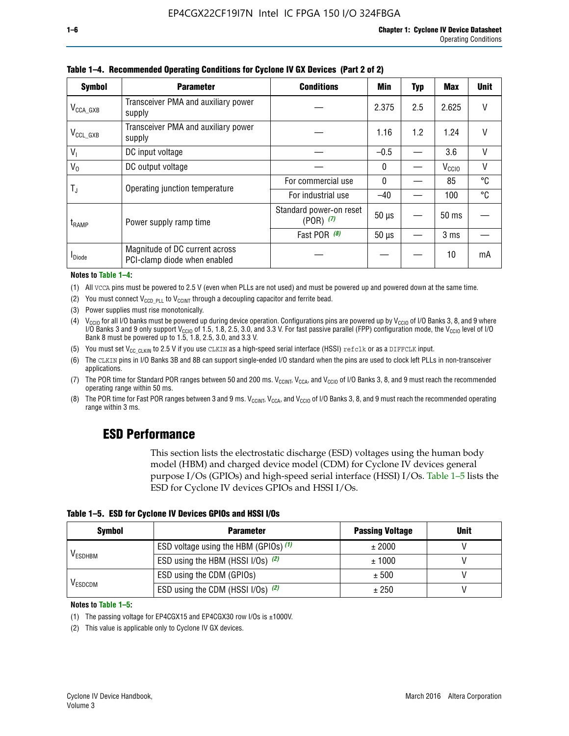| <b>Symbol</b>         | <b>Parameter</b>                                               | <b>Conditions</b>                        | Min          | Typ | Max               | <b>Unit</b> |
|-----------------------|----------------------------------------------------------------|------------------------------------------|--------------|-----|-------------------|-------------|
| $V_{\text{CCA\_GXB}}$ | Transceiver PMA and auxiliary power<br>supply                  |                                          | 2.375        | 2.5 | 2.625             | V           |
| $V_{CCL_GXB}$         | Transceiver PMA and auxiliary power<br>supply                  |                                          | 1.16         | 1.2 | 1.24              | V           |
| V <sub>1</sub>        | DC input voltage                                               |                                          | $-0.5$       |     | 3.6               | V           |
| $V_0$                 | DC output voltage                                              |                                          | $\mathbf{0}$ |     | V <sub>CCIO</sub> | ٧           |
|                       | Operating junction temperature                                 | For commercial use                       | $\mathbf{0}$ |     | 85                | °C          |
| T,                    |                                                                | For industrial use                       | $-40$        |     | 100               | °C          |
| t <sub>RAMP</sub>     | Power supply ramp time                                         | Standard power-on reset<br>$(POR)$ $(7)$ | $50 \mu s$   |     | $50$ ms           |             |
|                       |                                                                | Fast POR (8)                             | $50 \mu s$   |     | 3 <sub>ms</sub>   |             |
| <sup>I</sup> Diode    | Magnitude of DC current across<br>PCI-clamp diode when enabled |                                          |              |     | 10                | mA          |

#### **Table 1–4. Recommended Operating Conditions for Cyclone IV GX Devices (Part 2 of 2)**

**Notes to Table 1–4:**

- (1) All VCCA pins must be powered to 2.5 V (even when PLLs are not used) and must be powered up and powered down at the same time.
- (2) You must connect  $V_{CCD-PLL}$  to  $V_{CCINT}$  through a decoupling capacitor and ferrite bead.
- (3) Power supplies must rise monotonically.
- (4)  $V_{\text{CCIO}}$  for all I/O banks must be powered up during device operation. Configurations pins are powered up by V<sub>CCIO</sub> of I/O Banks 3, 8, and 9 where I/O Banks 3 and 9 only support V<sub>CCIO</sub> of 1.5, 1.8, 2.5, 3.0, and 3.3 V. For fast passive parallel (FPP) configuration mode, the V<sub>CCIO</sub> level of I/O<br>Bank 8 must be powered up to 1.5, 1.8, 2.5, 3.0, and 3.3 V.
- (5) You must set  $V_{CC_CCLKIN}$  to 2.5 V if you use CLKIN as a high-speed serial interface (HSSI) refclk or as a DIFFCLK input.
- (6) The CLKIN pins in I/O Banks 3B and 8B can support single-ended I/O standard when the pins are used to clock left PLLs in non-transceiver applications.
- (7) The POR time for Standard POR ranges between 50 and 200 ms.  $V_{\text{CCIA}}$ ,  $V_{\text{CCIA}}$ , and  $V_{\text{CCIO}}$  of I/O Banks 3, 8, and 9 must reach the recommended operating range within 50 ms.
- (8) The POR time for Fast POR ranges between 3 and 9 ms.  $V_{\text{CCH},T}$ ,  $V_{\text{CCA}}$ , and  $V_{\text{CCI}}$  of I/O Banks 3, 8, and 9 must reach the recommended operating range within 3 ms.

## **ESD Performance**

This section lists the electrostatic discharge (ESD) voltages using the human body model (HBM) and charged device model (CDM) for Cyclone IV devices general purpose I/Os (GPIOs) and high-speed serial interface (HSSI) I/Os. Table 1–5 lists the ESD for Cyclone IV devices GPIOs and HSSI I/Os.

|  |  |  | Table 1–5. ESD for Cyclone IV Devices GPIOs and HSSI I/Os |  |  |
|--|--|--|-----------------------------------------------------------|--|--|
|  |  |  |                                                           |  |  |

| <b>Symbol</b>  | <b>Parameter</b>                      | <b>Passing Voltage</b> | <b>Unit</b> |
|----------------|---------------------------------------|------------------------|-------------|
|                | ESD voltage using the HBM (GPIOs) (1) | ± 2000                 |             |
| <b>VESDHBM</b> | ESD using the HBM (HSSI I/Os) (2)     | ± 1000                 |             |
|                | ESD using the CDM (GPIOs)             | ± 500                  |             |
| <b>VESDCDM</b> | ESD using the CDM (HSSI I/Os) (2)     | ± 250                  |             |

#### **Notes to Table 1–5:**

(1) The passing voltage for EP4CGX15 and EP4CGX30 row I/Os is ±1000V.

(2) This value is applicable only to Cyclone IV GX devices.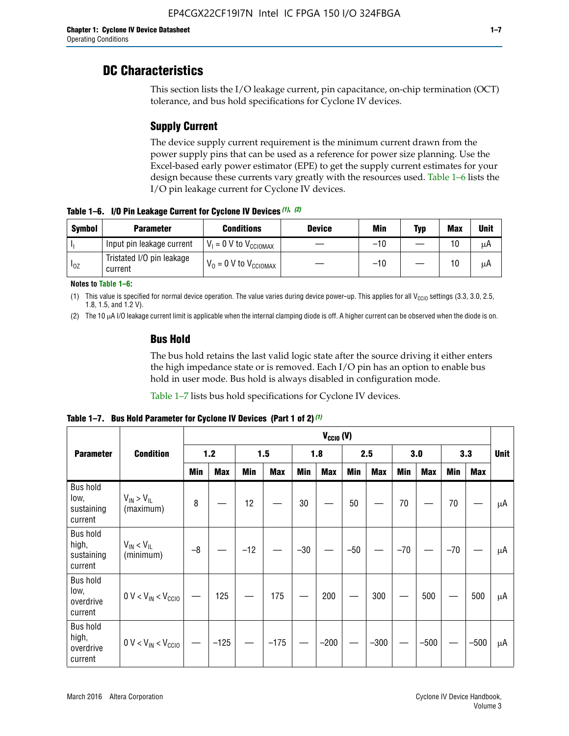## **DC Characteristics**

This section lists the I/O leakage current, pin capacitance, on-chip termination (OCT) tolerance, and bus hold specifications for Cyclone IV devices.

## **Supply Current**

The device supply current requirement is the minimum current drawn from the power supply pins that can be used as a reference for power size planning. Use the Excel-based early power estimator (EPE) to get the supply current estimates for your design because these currents vary greatly with the resources used. Table 1–6 lists the I/O pin leakage current for Cyclone IV devices.

**Table 1–6. I/O Pin Leakage Current for Cyclone IV Devices** *(1)***,** *(2)*

| <b>Symbol</b> | <b>Parameter</b>                     | <b>Conditions</b>                     | <b>Device</b> | Min   | Typ | <b>Max</b> | <b>Unit</b> |
|---------------|--------------------------------------|---------------------------------------|---------------|-------|-----|------------|-------------|
| -lı           | Input pin leakage current            | $V_1 = 0$ V to $V_{\text{CCIOMAX}}$   |               | $-10$ |     | 10         | μA          |
| $I_{0Z}$      | Tristated I/O pin leakage<br>current | $V_0 = 0 V$ to $V_{\text{CCIOMAX}}$ I |               | $-10$ |     | 10         | μA          |

**Notes to Table 1–6:**

(1) This value is specified for normal device operation. The value varies during device power-up. This applies for all V<sub>CCIO</sub> settings (3.3, 3.0, 2.5, 1.8, 1.5, and 1.2 V).

(2) The 10 µA I/O leakage current limit is applicable when the internal clamping diode is off. A higher current can be observed when the diode is on.

### **Bus Hold**

The bus hold retains the last valid logic state after the source driving it either enters the high impedance state or is removed. Each I/O pin has an option to enable bus hold in user mode. Bus hold is always disabled in configuration mode.

Table 1–7 lists bus hold specifications for Cyclone IV devices.

|                                                   |                                  | $V_{CCIO} (V)$ |            |       |            |            |            |            |            |       |            |       |            |    |
|---------------------------------------------------|----------------------------------|----------------|------------|-------|------------|------------|------------|------------|------------|-------|------------|-------|------------|----|
| <b>Parameter</b>                                  | <b>Condition</b>                 | 1.2            |            |       | 1.5        |            | 1.8        |            | 2.5        |       | 3.0        |       | 3.3        |    |
|                                                   |                                  | <b>Min</b>     | <b>Max</b> | Min   | <b>Max</b> | <b>Min</b> | <b>Max</b> | <b>Min</b> | <b>Max</b> | Min   | <b>Max</b> | Min   | <b>Max</b> |    |
| <b>Bus hold</b><br>low,<br>sustaining<br>current  | $V_{IN}$ > $V_{IL}$<br>(maximum) | 8              |            | 12    |            | 30         |            | 50         |            | 70    |            | 70    |            | μA |
| <b>Bus hold</b><br>high,<br>sustaining<br>current | $V_{IN}$ < $V_{IL}$<br>(minimum) | $-8$           |            | $-12$ |            | $-30$      |            | $-50$      |            | $-70$ |            | $-70$ |            | μA |
| <b>Bus hold</b><br>low,<br>overdrive<br>current   | $0 V < V_{IN} < V_{CG10}$        |                | 125        |       | 175        |            | 200        |            | 300        |       | 500        |       | 500        | μA |
| <b>Bus hold</b><br>high,<br>overdrive<br>current  | $0 V < V_{IN} < V_{CG10}$        |                | $-125$     |       | $-175$     |            | $-200$     |            | $-300$     |       | $-500$     |       | $-500$     | μA |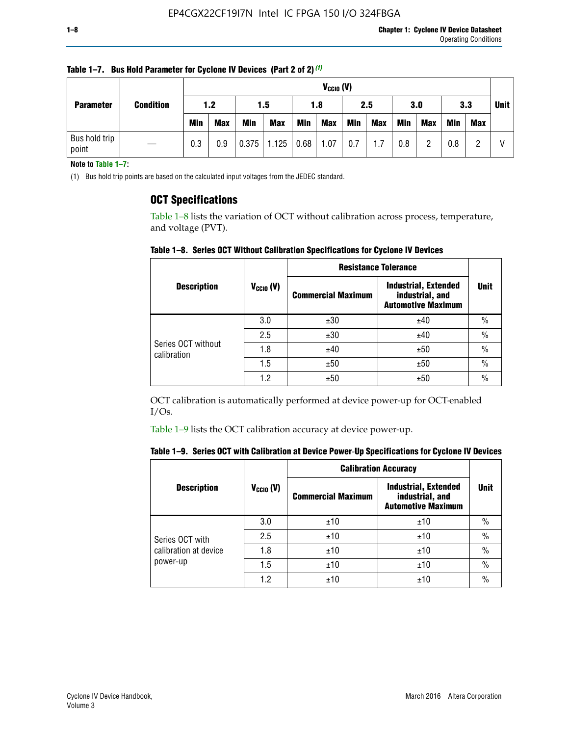| <b>Parameter</b>       | <b>Condition</b> |            | $V_{CGI0} (V)$ |            |                                        |     |            |     |            |            |            |     |            |             |
|------------------------|------------------|------------|----------------|------------|----------------------------------------|-----|------------|-----|------------|------------|------------|-----|------------|-------------|
|                        |                  | 1.2        |                | 1.5        |                                        | 1.8 |            | 2.5 |            | 3.0        |            | 3.3 |            | <b>Unit</b> |
|                        |                  | <b>Min</b> | <b>Max</b>     | <b>Min</b> | <b>Max</b>                             | Min | <b>Max</b> | Min | <b>Max</b> | <b>Min</b> | <b>Max</b> | Min | <b>Max</b> |             |
| Bus hold trip<br>point |                  | 0.3        | 0.9            |            | $\mid 0.375 \mid 1.125 \mid 0.68 \mid$ |     | 1.07       | 0.7 | 1.7        | 0.8        |            | 0.8 |            |             |

**Table 1–7. Bus Hold Parameter for Cyclone IV Devices (Part 2 of 2)** *(1)*

**Note to Table 1–7:**

(1) Bus hold trip points are based on the calculated input voltages from the JEDEC standard.

### **OCT Specifications**

Table 1–8 lists the variation of OCT without calibration across process, temperature, and voltage (PVT).

**Table 1–8. Series OCT Without Calibration Specifications for Cyclone IV Devices**

|                                   |                      | <b>Resistance Tolerance</b> |                                                                             |               |
|-----------------------------------|----------------------|-----------------------------|-----------------------------------------------------------------------------|---------------|
| <b>Description</b>                | $V_{\text{CCIO}}(V)$ | <b>Commercial Maximum</b>   | <b>Industrial, Extended</b><br>industrial, and<br><b>Automotive Maximum</b> | <b>Unit</b>   |
|                                   | 3.0                  | ±30                         | ±40                                                                         | $\frac{0}{0}$ |
|                                   | 2.5                  | ±30                         | ±40                                                                         | $\frac{0}{0}$ |
| Series OCT without<br>calibration | 1.8                  | ±40                         | ±50                                                                         | $\frac{0}{0}$ |
|                                   | 1.5                  | ±50                         | ±50                                                                         | $\frac{0}{0}$ |
|                                   | 1.2                  | ±50                         | ±50                                                                         | $\frac{0}{0}$ |

OCT calibration is automatically performed at device power-up for OCT-enabled I/Os.

Table 1–9 lists the OCT calibration accuracy at device power-up.

|  | Table 1–9.  Series OCT with Calibration at Device Power-Up Specifications for Cyclone IV Devices |  |  |  |
|--|--------------------------------------------------------------------------------------------------|--|--|--|
|--|--------------------------------------------------------------------------------------------------|--|--|--|

|                                   |                | <b>Calibration Accuracy</b> |                                                                             |               |
|-----------------------------------|----------------|-----------------------------|-----------------------------------------------------------------------------|---------------|
| <b>Description</b>                | $V_{CGI0} (V)$ | <b>Commercial Maximum</b>   | <b>Industrial, Extended</b><br>industrial, and<br><b>Automotive Maximum</b> | Unit          |
|                                   | 3.0            | ±10                         | ±10                                                                         | $\%$          |
| Series OCT with                   | 2.5            | ±10                         | ±10                                                                         | $\%$          |
| calibration at device<br>power-up | 1.8            | ±10                         | ±10                                                                         | $\frac{0}{0}$ |
|                                   | 1.5            | ±10                         | ±10                                                                         | $\frac{0}{0}$ |
|                                   | 1.2            | ±10                         | ±10                                                                         | $\frac{0}{0}$ |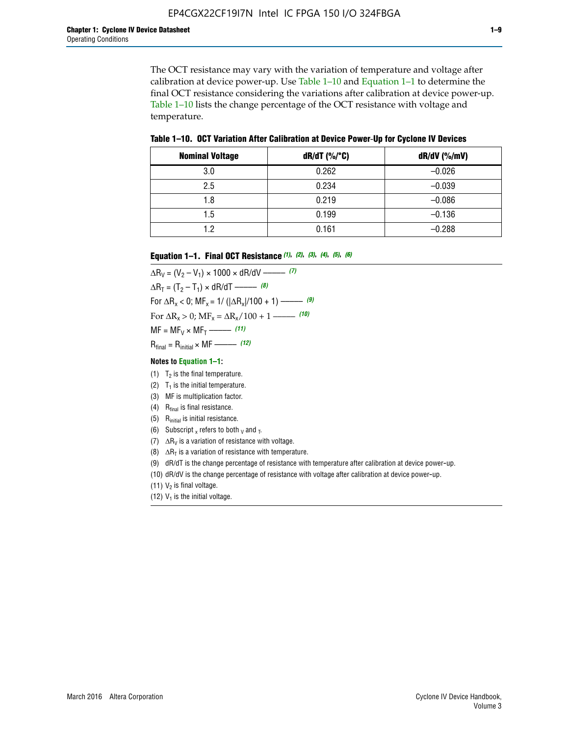The OCT resistance may vary with the variation of temperature and voltage after calibration at device power-up. Use Table 1–10 and Equation 1–1 to determine the final OCT resistance considering the variations after calibration at device power-up. Table 1–10 lists the change percentage of the OCT resistance with voltage and temperature.

**Table 1–10. OCT Variation After Calibration at Device Power**-**Up for Cyclone IV Devices**

| <b>Nominal Voltage</b> | dR/dT (%/°C) | $dR/dV$ (%/mV) |
|------------------------|--------------|----------------|
| 3.0                    | 0.262        | $-0.026$       |
| 2.5                    | 0.234        | $-0.039$       |
| 1.8                    | 0.219        | $-0.086$       |
| 1.5                    | 0.199        | $-0.136$       |
| 1.2                    | 0.161        | $-0.288$       |

#### **Equation 1–1. Final OCT Resistance** *(1)***,** *(2)***,** *(3)***,** *(4)***,** *(5)***,** *(6)*

 $\Delta R_V = (V_2 - V_1) \times 1000 \times dR/dV$  ––––––––––––(7)  $\Delta R_T = (T_2 - T_1) \times dR/dT$  ––––––– (8) For  $\Delta R_x < 0$ ; MF<sub>x</sub> = 1/ ( $|\Delta R_x|/100 + 1$ ) –––––– (9) For  $\Delta R_x > 0$ ;  $\text{MF}_x = \Delta R_x / 100 + 1$  ——– (10)  $MF = MF_V \times MF_T$  –––––––––––(11) Rfinal = Rinitial × MF ––––– *(12)*

#### **Notes to Equation 1–1:**

- (1)  $T_2$  is the final temperature.
- (2)  $T_1$  is the initial temperature.
- (3) MF is multiplication factor.
- (4)  $R<sub>final</sub>$  is final resistance.
- (5) Rinitial is initial resistance.
- (6) Subscript x refers to both  $\sqrt{v}$  and  $\sqrt{v}$ .
- (7)  $\Delta R_V$  is a variation of resistance with voltage.
- (8)  $\Delta R_T$  is a variation of resistance with temperature.
- (9) dR/dT is the change percentage of resistance with temperature after calibration at device power-up.
- (10) dR/dV is the change percentage of resistance with voltage after calibration at device power-up.
- (11)  $V_2$  is final voltage.
- (12)  $V_1$  is the initial voltage.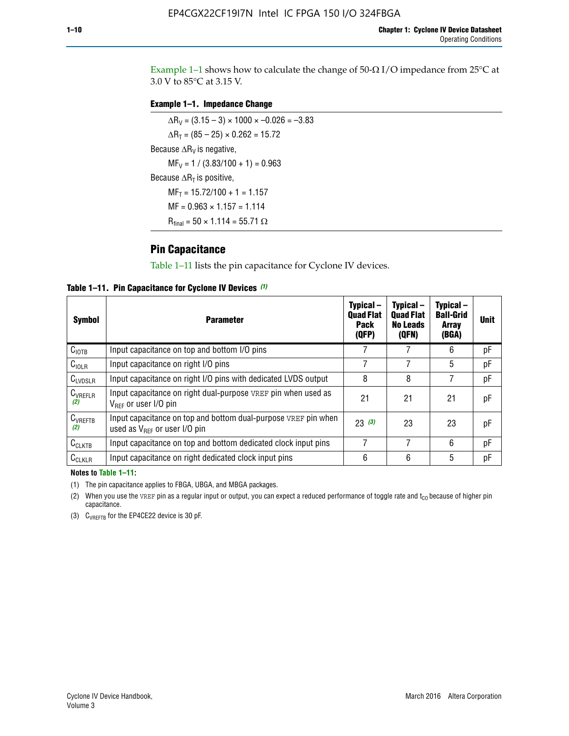Example 1-1 shows how to calculate the change of  $50$ - $\Omega$  I/O impedance from 25°C at 3.0 V to 85°C at 3.15 V.

#### **Example 1–1. Impedance Change**

 $\Delta R_V = (3.15 - 3) \times 1000 \times -0.026 = -3.83$  $\Delta R_T = (85 - 25) \times 0.262 = 15.72$ Because  $\Delta R_V$  is negative,  $MF_V = 1 / (3.83/100 + 1) = 0.963$ Because  $\Delta R_T$  is positive,  $MF_T = 15.72/100 + 1 = 1.157$  $MF = 0.963 \times 1.157 = 1.114$  $R_{final} = 50 \times 1.114 = 55.71 \Omega$ 

### **Pin Capacitance**

Table 1–11 lists the pin capacitance for Cyclone IV devices.

**Table 1–11. Pin Capacitance for Cyclone IV Devices** *(1)*

| Symbol              | <b>Parameter</b>                                                                                           | Typical-<br><b>Quad Flat</b><br><b>Pack</b><br>(QFP) | Typical-<br><b>Quad Flat</b><br><b>No Leads</b><br>(QFN) | Typical-<br><b>Ball-Grid</b><br><b>Array</b><br>(BGA) | <b>Unit</b> |
|---------------------|------------------------------------------------------------------------------------------------------------|------------------------------------------------------|----------------------------------------------------------|-------------------------------------------------------|-------------|
| C <sub>IOTB</sub>   | Input capacitance on top and bottom I/O pins                                                               |                                                      |                                                          | 6                                                     | рF          |
| $C_{IOLR}$          | Input capacitance on right I/O pins                                                                        |                                                      |                                                          | 5                                                     | рF          |
| $C_{LVDSLR}$        | Input capacitance on right I/O pins with dedicated LVDS output                                             | 8                                                    | 8                                                        |                                                       | рF          |
| $C_{VREFLR}$<br>(2) | Input capacitance on right dual-purpose VREF pin when used as<br>$V_{BFE}$ or user I/O pin                 | 21                                                   | 21                                                       | 21                                                    | pF          |
| $C_{VREFTB}$<br>(2) | Input capacitance on top and bottom dual-purpose VREF pin when<br>used as $V_{\text{RFF}}$ or user I/O pin | 23(3)                                                | 23                                                       | 23                                                    | pF          |
| $C_{CLKTB}$         | Input capacitance on top and bottom dedicated clock input pins                                             | 7                                                    | 7                                                        | 6                                                     | pF          |
| $C_{CLKLR}$         | Input capacitance on right dedicated clock input pins                                                      | 6                                                    | 6                                                        | 5                                                     | рF          |

#### **Notes to Table 1–11:**

(1) The pin capacitance applies to FBGA, UBGA, and MBGA packages.

(2) When you use the VREF pin as a regular input or output, you can expect a reduced performance of toggle rate and  $t_{\rm CO}$  because of higher pin capacitance.

(3) CVREFTB for the EP4CE22 device is 30 pF.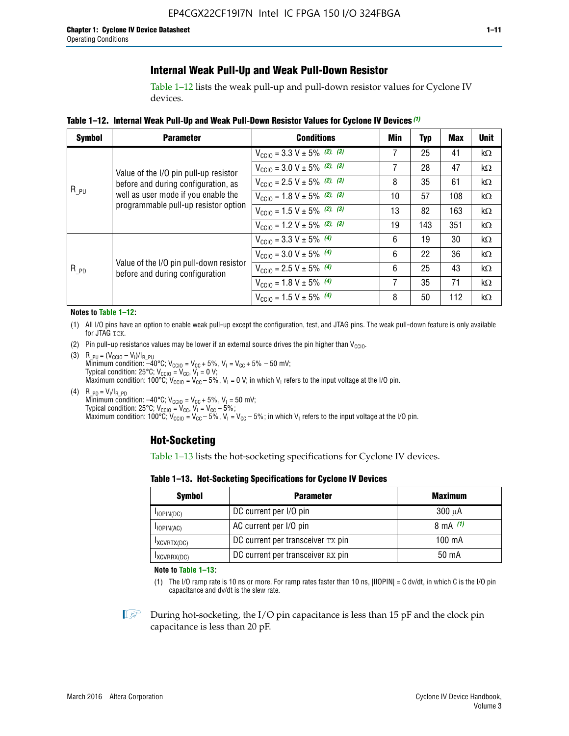## **Internal Weak Pull-Up and Weak Pull-Down Resistor**

Table 1–12 lists the weak pull-up and pull-down resistor values for Cyclone IV devices.

**Table 1–12. Internal Weak Pull**-**Up and Weak Pull**-**Down Resistor Values for Cyclone IV Devices** *(1)*

| <b>Symbol</b> | <b>Parameter</b>                                                            | <b>Conditions</b>                                  | Min | <b>Typ</b> | <b>Max</b> | <b>Unit</b> |
|---------------|-----------------------------------------------------------------------------|----------------------------------------------------|-----|------------|------------|-------------|
|               |                                                                             | $V_{\text{CC10}} = 3.3 \text{ V} \pm 5\%$ (2), (3) | 7   | 25         | 41         | $k\Omega$   |
|               | Value of the I/O pin pull-up resistor                                       | $V_{\text{CC10}} = 3.0 \text{ V} \pm 5\%$ (2), (3) | 7   | 28         | 47         | $k\Omega$   |
|               | before and during configuration, as                                         | $V_{\text{CC10}} = 2.5 V \pm 5\%$ (2), (3)         | 8   | 35         | 61         | $k\Omega$   |
| $R_{PU}$      | well as user mode if you enable the<br>programmable pull-up resistor option | $V_{\text{CC10}} = 1.8 V \pm 5\%$ (2), (3)         | 10  | 57         | 108        | $k\Omega$   |
|               |                                                                             | $V_{\text{CC10}} = 1.5 V \pm 5\%$ (2), (3)         | 13  | 82         | 163        | $k\Omega$   |
|               |                                                                             | $V_{\text{CC10}} = 1.2 V \pm 5\%$ (2), (3)         | 19  | 143        | 351        | kΩ          |
|               |                                                                             | $V_{\text{CC10}} = 3.3 V \pm 5\%$ (4)              | 6   | 19         | 30         | $k\Omega$   |
|               |                                                                             | $V_{\text{CC10}} = 3.0 V \pm 5\%$ (4)              | 6   | 22         | 36         | $k\Omega$   |
| $R_{PD}$      | Value of the I/O pin pull-down resistor<br>before and during configuration  | $V_{\text{CC10}} = 2.5 V \pm 5\%$ (4)              | 6   | 25         | 43         | $k\Omega$   |
|               |                                                                             | $V_{\text{CC10}} = 1.8 V \pm 5\%$ (4)              | 7   | 35         | 71         | $k\Omega$   |
|               |                                                                             | $V_{\text{CC10}} = 1.5 V \pm 5\%$ (4)              | 8   | 50         | 112        | kΩ          |

#### **Notes to Table 1–12:**

- (1) All I/O pins have an option to enable weak pull-up except the configuration, test, and JTAG pins. The weak pull-down feature is only available for JTAG TCK.
- (2) Pin pull-up resistance values may be lower if an external source drives the pin higher than  $V_{\text{CCIO}}$ .
- (3)  $R_{PU} = (V_{CC10} V_1)/I_{R_PU}$ Minimum condition: –40°C; V<sub>CCIO</sub> = V<sub>CC</sub> + 5%, V<sub>I</sub> = V<sub>CC</sub> + 5% – 50 mV; Typical condition: 25°C; V<sub>CCIO</sub> = V<sub>CC</sub>, V<sub>I</sub> = 0 V; Maximum condition: 100°C;  $V_{\text{CCIO}} = V_{\text{CC}} - 5\%$ ,  $V_1 = 0$  V; in which V<sub>I</sub> refers to the input voltage at the I/O pin.
- (4)  $R_{PD} = V_I/I_{R_PD}$ Minimum condition:  $-40^{\circ}$ C; V<sub>CCIO</sub> = V<sub>CC</sub> + 5%, V<sub>I</sub> = 50 mV; Typical condition: 25°C;  $V_{\text{CCIO}} = V_{\text{CC}}$ ,  $V_{\text{I}} = V_{\text{CC}} - 5\%$ ; Maximum condition: 100°C; V<sub>CClO</sub> = V<sub>CC</sub> – 5%, V<sub>I</sub> = V<sub>CC</sub> – 5%; in which V<sub>I</sub> refers to the input voltage at the I/O pin.

## **Hot-Socketing**

Table 1–13 lists the hot-socketing specifications for Cyclone IV devices.

**Table 1–13. Hot**-**Socketing Specifications for Cyclone IV Devices**

| <b>Symbol</b> | <b>Maximum</b>                    |             |
|---------------|-----------------------------------|-------------|
| $I$ IOPIN(DC) | DC current per I/O pin            | $300 \mu A$ |
| $I$ IOPIN(AC) | AC current per I/O pin            | 8 mA $(1)$  |
| IXCVRTX(DC)   | DC current per transceiver TX pin | 100 mA      |
| IXCVRRX(DC)   | DC current per transceiver RX pin | 50 mA       |

**Note to Table 1–13:**

(1) The I/O ramp rate is 10 ns or more. For ramp rates faster than 10 ns, |IIOPIN| = C dv/dt, in which C is the I/O pin capacitance and dv/dt is the slew rate.

 $\mathbb{I} \rightarrow \mathbb{I}$  During hot-socketing, the I/O pin capacitance is less than 15 pF and the clock pin capacitance is less than 20 pF.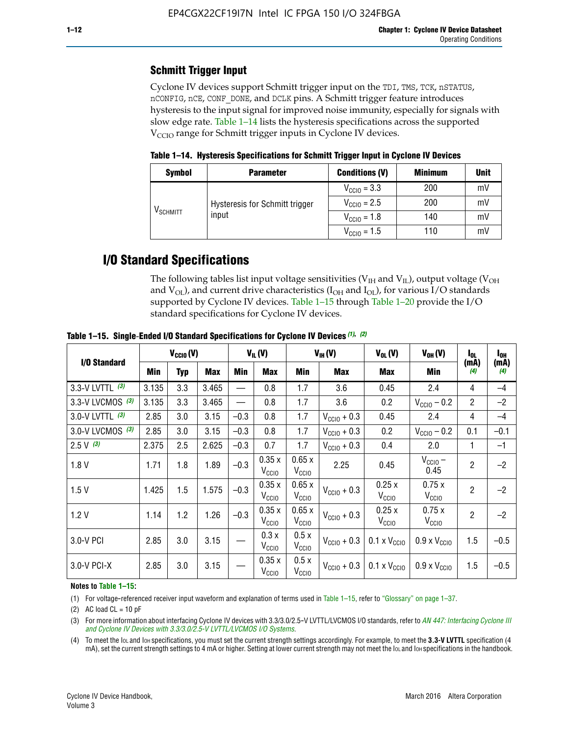## **Schmitt Trigger Input**

Cyclone IV devices support Schmitt trigger input on the TDI, TMS, TCK, nSTATUS, nCONFIG, nCE, CONF\_DONE, and DCLK pins. A Schmitt trigger feature introduces hysteresis to the input signal for improved noise immunity, especially for signals with slow edge rate. Table 1–14 lists the hysteresis specifications across the supported  $V<sub>CCIO</sub>$  range for Schmitt trigger inputs in Cyclone IV devices.

**Table 1–14. Hysteresis Specifications for Schmitt Trigger Input in Cyclone IV Devices**

| <b>Symbol</b>     | <b>Parameter</b>               | <b>Conditions (V)</b>   | <b>Minimum</b> | <b>Unit</b> |
|-------------------|--------------------------------|-------------------------|----------------|-------------|
|                   |                                | $V_{\text{CGI0}} = 3.3$ | 200            | mV          |
|                   | Hysteresis for Schmitt trigger | $V_{\text{CGI0}} = 2.5$ | 200            | mV          |
| $\rm{V_{SCHMIT}}$ | input                          | $V_{\text{CCIO}} = 1.8$ | 140            | mV          |
|                   |                                | $V_{\text{CC10}} = 1.5$ | 110            | mV          |

## **I/O Standard Specifications**

The following tables list input voltage sensitivities ( $V<sub>IH</sub>$  and  $V<sub>II</sub>$ ), output voltage ( $V<sub>OH</sub>$ and  $V_{OL}$ ), and current drive characteristics ( $I_{OH}$  and  $I_{OL}$ ), for various I/O standards supported by Cyclone IV devices. Table 1–15 through Table 1–20 provide the I/O standard specifications for Cyclone IV devices.

|                   | $V_{CClO}(V)$ |     | $V_{IL}(V)$ |        | $V_{IH} (V)$               |                            | $V_{OL}(V)$             | $V_{OH} (V)$                 | l <sub>OL</sub>              | l <sub>oh</sub> |             |
|-------------------|---------------|-----|-------------|--------|----------------------------|----------------------------|-------------------------|------------------------------|------------------------------|-----------------|-------------|
| I/O Standard      | Min           | Typ | <b>Max</b>  | Min    | <b>Max</b>                 | Min                        | <b>Max</b>              | Max                          | Min                          | (mA)<br>(4)     | (mA)<br>(4) |
| 3.3-V LVTTL (3)   | 3.135         | 3.3 | 3.465       |        | 0.8                        | 1.7                        | 3.6                     | 0.45                         | 2.4                          | 4               | $-4$        |
| 3.3-V LVCMOS (3)  | 3.135         | 3.3 | 3.465       |        | 0.8                        | 1.7                        | 3.6                     | 0.2                          | $V_{\text{CCIO}} - 0.2$      | $\overline{2}$  | $-2$        |
| 3.0-V LVTTL $(3)$ | 2.85          | 3.0 | 3.15        | $-0.3$ | 0.8                        | 1.7                        | $V_{\text{CC10}} + 0.3$ | 0.45                         | 2.4                          | 4               | $-4$        |
| 3.0-V LVCMOS (3)  | 2.85          | 3.0 | 3.15        | $-0.3$ | 0.8                        | 1.7                        | $V_{\text{CCI}0}$ + 0.3 | 0.2                          | $V_{\text{CC10}} - 0.2$      | 0.1             | $-0.1$      |
| $2.5 V$ (3)       | 2.375         | 2.5 | 2.625       | $-0.3$ | 0.7                        | 1.7                        | $V_{\text{CCI}0}$ + 0.3 | 0.4                          | 2.0                          | 1               | $-1$        |
| 1.8V              | 1.71          | 1.8 | 1.89        | $-0.3$ | 0.35x<br>V <sub>CCIO</sub> | 0.65x<br>V <sub>CCIO</sub> | 2.25                    | 0.45                         | $V_{CGIO}$ –<br>0.45         | $\overline{2}$  | $-2$        |
| 1.5V              | 1.425         | 1.5 | 1.575       | $-0.3$ | 0.35x<br>V <sub>CCIO</sub> | 0.65x<br>V <sub>CCIO</sub> | $V_{\text{CC10}} + 0.3$ | 0.25x<br>$V_{\rm CClO}$      | 0.75x<br>V <sub>CCIO</sub>   | $\overline{2}$  | $-2$        |
| 1.2V              | 1.14          | 1.2 | 1.26        | $-0.3$ | 0.35x<br>V <sub>CCIO</sub> | 0.65x<br>V <sub>CCIO</sub> | $V_{\text{CGI0}} + 0.3$ | 0.25x<br>$V_{\rm CClO}$      | 0.75x<br>V <sub>CCIO</sub>   | $\overline{2}$  | $-2$        |
| 3.0-V PCI         | 2.85          | 3.0 | 3.15        |        | 0.3x<br>V <sub>CCIO</sub>  | 0.5x<br>V <sub>CCIO</sub>  | $V_{\text{CC10}} + 0.3$ | $0.1 \times V_{CC10}$        | $0.9 \times V_{\text{CC10}}$ | 1.5             | $-0.5$      |
| 3.0-V PCI-X       | 2.85          | 3.0 | 3.15        |        | 0.35x<br>V <sub>CCIO</sub> | 0.5x<br>V <sub>CCIO</sub>  | $V_{\text{CC}10} + 0.3$ | $0.1 \times V_{\text{CC10}}$ | $0.9 \times V_{\text{CC10}}$ | 1.5             | $-0.5$      |

**Table 1–15. Single**-**Ended I/O Standard Specifications for Cyclone IV Devices** *(1)***,** *(2)*

#### **Notes to Table 1–15:**

(1) For voltage-referenced receiver input waveform and explanation of terms used in Table 1–15, refer to "Glossary" on page 1–37.

(2) AC load  $CL = 10$  pF

(3) For more information about interfacing Cyclone IV devices with 3.3/3.0/2.5-V LVTTL/LVCMOS I/O standards, refer to *[AN 447: Interfacing Cyclone III](http://www.altera.com/literature/an/an447.pdf)  [and Cyclone IV Devices with 3.3/3.0/2.5-V LVTTL/LVCMOS I/O Systems](http://www.altera.com/literature/an/an447.pdf)*.

(4) To meet the IOL and IOH specifications, you must set the current strength settings accordingly. For example, to meet the **3.3-V LVTTL** specification (4 mA), set the current strength settings to 4 mA or higher. Setting at lower current strength may not meet the lou and lon specifications in the handbook.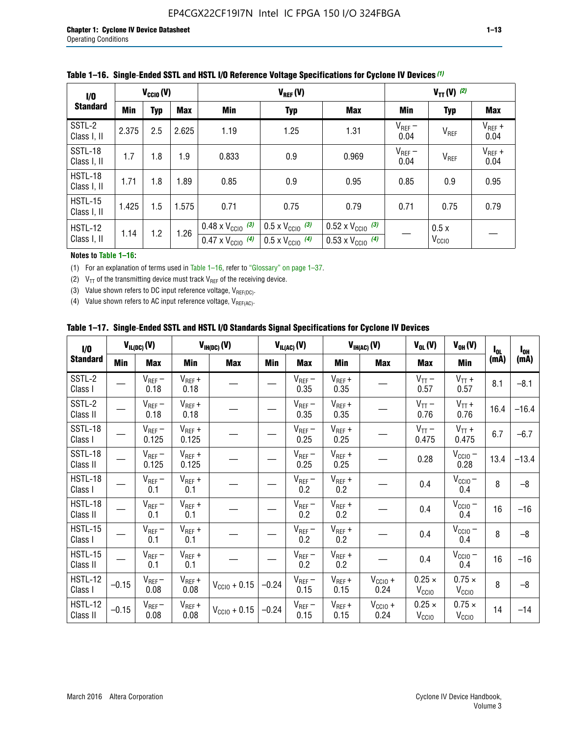| 1/0                    | $V_{\text{CC10}}(V)$ |     |            | $V_{REF}(V)$                                                           |                                                                      |                                                                        | $V_{TT} (V)$ (2)    |                           |                     |
|------------------------|----------------------|-----|------------|------------------------------------------------------------------------|----------------------------------------------------------------------|------------------------------------------------------------------------|---------------------|---------------------------|---------------------|
| <b>Standard</b>        | Min                  | Typ | <b>Max</b> | Min                                                                    | <b>Typ</b>                                                           | <b>Max</b>                                                             | Min                 | <b>Typ</b>                | <b>Max</b>          |
| SSTL-2<br>Class I, II  | 2.375                | 2.5 | 2.625      | 1.19                                                                   | 1.25                                                                 | 1.31                                                                   | $V_{REF}$ –<br>0.04 | V <sub>REF</sub>          | $V_{REF}$ +<br>0.04 |
| SSTL-18<br>Class I, II | 1.7                  | 1.8 | 1.9        | 0.833                                                                  | 0.9                                                                  | 0.969                                                                  | $V_{REF}$ –<br>0.04 | V <sub>REF</sub>          | $V_{REF}$ +<br>0.04 |
| HSTL-18<br>Class I, II | 1.71                 | 1.8 | 1.89       | 0.85                                                                   | 0.9                                                                  | 0.95                                                                   | 0.85                | 0.9                       | 0.95                |
| HSTL-15<br>Class I, II | 1.425                | 1.5 | 1.575      | 0.71                                                                   | 0.75                                                                 | 0.79                                                                   | 0.71                | 0.75                      | 0.79                |
| HSTL-12<br>Class I, II | 1.14                 | 1.2 | 1.26       | $0.48 \times V_{\text{CC10}}$ (3)<br>$0.47 \times V_{\text{CC10}}$ (4) | $0.5 \times V_{\text{CC10}}$ (3)<br>$0.5 \times V_{\text{CC10}}$ (4) | $0.52 \times V_{\text{CC10}}$ (3)<br>$0.53 \times V_{\text{CC10}}$ (4) |                     | 0.5x<br>V <sub>CCIO</sub> |                     |

|  |  |  |  | Table 1–16. Single-Ended SSTL and HSTL I/O Reference Voltage Specifications for Cyclone IV Devices (1) |
|--|--|--|--|--------------------------------------------------------------------------------------------------------|
|--|--|--|--|--------------------------------------------------------------------------------------------------------|

#### **Notes to Table 1–16:**

(1) For an explanation of terms used in Table 1–16, refer to "Glossary" on page 1–37.

(2)  $V_{TT}$  of the transmitting device must track  $V_{REF}$  of the receiving device.

(3) Value shown refers to DC input reference voltage,  $V_{REF(DC)}$ .

(4) Value shown refers to AC input reference voltage,  $V_{REF(AC)}$ .

|  | Table 1–17.  Single-Ended SSTL and HSTL I/O Standards Signal Specifications for Cyclone IV Devices |  |  |  |  |  |
|--|----------------------------------------------------------------------------------------------------|--|--|--|--|--|
|--|----------------------------------------------------------------------------------------------------|--|--|--|--|--|

| I/O                        |            | $V_{IL(DC)}(V)$      |                                      | $V_{IH(DC)}(V)$   |         | $V_{IL(AC)}(V)$     |                     | $V_{IH(AC)}(V)$      | $V_{OL}(V)$                        | $V_{OH} (V)$                       | $I_{0L}$ | $I_{0H}$ |
|----------------------------|------------|----------------------|--------------------------------------|-------------------|---------|---------------------|---------------------|----------------------|------------------------------------|------------------------------------|----------|----------|
| <b>Standard</b>            | <b>Min</b> | Max                  | <b>Min</b>                           | <b>Max</b>        | Min     | Max                 | Min                 | <b>Max</b>           | Max                                | Min                                | (mA)     | (mA)     |
| SSTL-2<br>Class I          |            | $V_{REF}$ –<br>0.18  | $V_{REF} +$<br>0.18                  |                   |         | $V_{REF}$ –<br>0.35 | $V_{REF} +$<br>0.35 |                      | $V_{TT}$ –<br>0.57                 | $V_{TT}$ +<br>0.57                 | 8.1      | $-8.1$   |
| SSTL-2<br>Class II         |            | $V_{REF}$ –<br>0.18  | $V_{REF} +$<br>0.18                  |                   |         | $V_{REF}$ –<br>0.35 | $V_{REF} +$<br>0.35 |                      | $V_{TT}$ –<br>0.76                 | $V_{TT}$ +<br>0.76                 | 16.4     | $-16.4$  |
| <b>SSTL-18</b><br>Class I  |            | $V_{REF}$ –<br>0.125 | $V_{REF}$ +<br>0.125                 |                   |         | $V_{REF}$ –<br>0.25 | $V_{REF} +$<br>0.25 |                      | $V_{TT}$ –<br>0.475                | $V_{TT}$ +<br>0.475                | 6.7      | $-6.7$   |
| SSTL-18<br>Class II        |            | $V_{REF}$ –<br>0.125 | $V_{REF}$ +<br>0.125                 |                   |         | $V_{REF}$ –<br>0.25 | $V_{REF}$ +<br>0.25 |                      | 0.28                               | $V_{CCIO}$ –<br>0.28               | 13.4     | $-13.4$  |
| HSTL-18<br>Class I         |            | $V_{REF}$ –<br>0.1   | $\mathsf{V}_{\mathsf{REF}}$ +<br>0.1 |                   |         | $V_{REF}$ –<br>0.2  | $V_{REF}$ +<br>0.2  |                      | 0.4                                | $V_{\text{CCIO}}-$<br>0.4          | 8        | $-8$     |
| HSTL-18<br>Class II        |            | $V_{REF}$ –<br>0.1   | $V_{REF}$ +<br>0.1                   |                   |         | $V_{REF}$ –<br>0.2  | $V_{REF} +$<br>0.2  |                      | 0.4                                | $V_{CC10}$ –<br>0.4                | 16       | $-16$    |
| HSTL-15<br>Class I         |            | $V_{REF}$ –<br>0.1   | $V_{REF}$ +<br>0.1                   |                   |         | $V_{REF}$ –<br>0.2  | $V_{REF}$ +<br>0.2  |                      | 0.4                                | $V_{CC10}$ –<br>0.4                | 8        | $-8$     |
| HSTL-15<br>Class II        |            | $V_{REF}$ –<br>0.1   | $V_{REF} +$<br>0.1                   |                   |         | $V_{REF}$ –<br>0.2  | $V_{REF} +$<br>0.2  |                      | 0.4                                | $V_{CC10}$ –<br>0.4                | 16       | $-16$    |
| <b>HSTL-12</b><br>Class I  | $-0.15$    | $V_{REF}-$<br>0.08   | $V_{REF} +$<br>0.08                  | $V_{CGI0} + 0.15$ | $-0.24$ | $V_{REF}$ –<br>0.15 | $V_{REF} +$<br>0.15 | $V_{CClO}$ +<br>0.24 | $0.25 \times$<br>$V_{\rm CClO}$    | $0.75 \times$<br>V <sub>CCIO</sub> | 8        | $-8$     |
| <b>HSTL-12</b><br>Class II | $-0.15$    | $V_{REF}$ –<br>0.08  | $V_{REF} +$<br>0.08                  | $V_{CGI0} + 0.15$ | $-0.24$ | $V_{REF}$ –<br>0.15 | $V_{REF} +$<br>0.15 | $V_{CCIO}$ +<br>0.24 | $0.25 \times$<br>V <sub>CCIO</sub> | $0.75 \times$<br>V <sub>CCIO</sub> | 14       | $-14$    |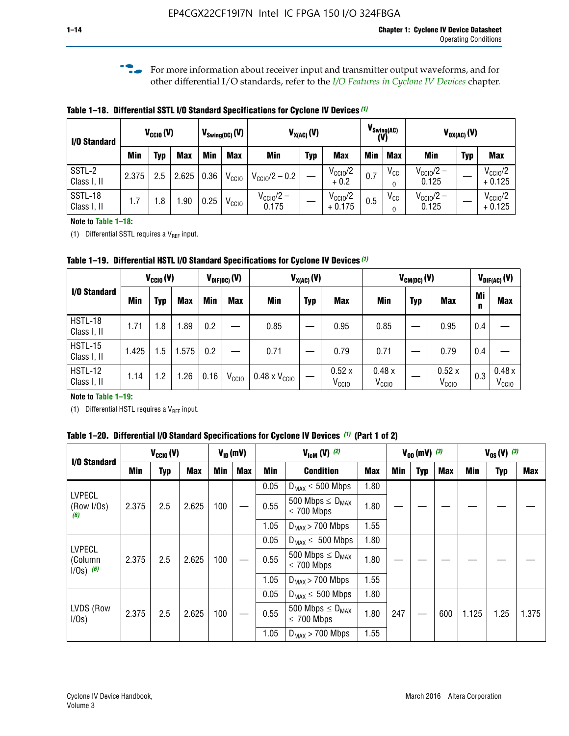**f For more information about receiver input and transmitter output waveforms, and for** other differential I/O standards, refer to the *[I/O Features in Cyclone IV Devices](http://www.altera.com/literature/hb/cyclone-iv/cyiv-51006.pdf)* chapter*.*

**Table 1–18. Differential SSTL I/O Standard Specifications for Cyclone IV Devices** *(1)*

| I/O Standard           | $V_{\text{Swing(DC)}}(V)$<br>$V_{CCl0}(V)$ |     |            |      | $V_{X(AC)}(V)$    |                                |            | $V_{\text{Swing(AC)}}$<br>(V)   | $V_{OX(AC)}(V)$ |               |                                |            |                                 |
|------------------------|--------------------------------------------|-----|------------|------|-------------------|--------------------------------|------------|---------------------------------|-----------------|---------------|--------------------------------|------------|---------------------------------|
|                        | Min                                        | Typ | <b>Max</b> | Min  | <b>Max</b>        | <b>Min</b>                     | <b>Typ</b> | <b>Max</b>                      | <b>Min</b>      | <b>Max</b>    | Min                            | <b>Typ</b> | <b>Max</b>                      |
| SSTL-2<br>Class I, II  | 2.375                                      | 2.5 | 2.625      | 0.36 | V <sub>CCIO</sub> | $V_{\text{CC10}}/2 - 0.2$      |            | $V_{\text{CC1O}}/2$<br>$+0.2$   | 0.7             | $V_{\rm CCI}$ | $V_{\text{CC10}}/2 -$<br>0.125 |            | $V_{\text{CC10}}/2$<br>$+0.125$ |
| SSTL-18<br>Class I, II | 1.7                                        | .8  | .90        | 0.25 | V <sub>CCIO</sub> | $V_{\text{CC10}}/2 -$<br>0.175 |            | $V_{\text{CC10}}/2$<br>$+0.175$ | 0.5             | $V_{\rm CCI}$ | $V_{\text{CC10}}/2 -$<br>0.125 |            | $V_{\text{CC10}}/2$<br>$+0.125$ |

#### **Note to Table 1–18:**

(1) Differential SSTL requires a  $V_{REF}$  input.

**Table 1–19. Differential HSTL I/O Standard Specifications for Cyclone IV Devices** *(1)*

|                               | $V_{CClO}(V)$ |     |            | $V_{\text{DIF(DC)}}(V)$ |                   | $V_{X(AC)}(V)$                |            |                            | $V_{CM(DC)}(V)$            |            |                            |         | $V_{\text{DIF(AC)}}(V)$    |  |
|-------------------------------|---------------|-----|------------|-------------------------|-------------------|-------------------------------|------------|----------------------------|----------------------------|------------|----------------------------|---------|----------------------------|--|
| I/O Standard                  | Min           | Typ | <b>Max</b> | Min                     | <b>Max</b>        | Min                           | <b>Typ</b> | <b>Max</b>                 | Min                        | <b>Typ</b> | <b>Max</b>                 | Mi<br>n | <b>Max</b>                 |  |
| HSTL-18<br>Class I, II        | 1.71          | 1.8 | .89        | 0.2                     |                   | 0.85                          |            | 0.95                       | 0.85                       |            | 0.95                       | 0.4     |                            |  |
| <b>HSTL-15</b><br>Class I, II | 1.425         | 1.5 | .575       | $0.2\,$                 |                   | 0.71                          |            | 0.79                       | 0.71                       |            | 0.79                       | 0.4     |                            |  |
| <b>HSTL-12</b><br>Class I, II | 1.14          | 1.2 | 1.26       | 0.16                    | V <sub>CCIO</sub> | $0.48 \times V_{\text{CC10}}$ |            | 0.52x<br>V <sub>CCIO</sub> | 0.48x<br>V <sub>CCIO</sub> |            | 0.52x<br>V <sub>CCIO</sub> | 0.3     | 0.48x<br>V <sub>CCIO</sub> |  |

#### **Note to Table 1–19:**

(1) Differential HSTL requires a  $V_{REF}$  input.

**Table 1–20. Differential I/O Standard Specifications for Cyclone IV Devices** *(1)* **(Part 1 of 2)**

| I/O Standard                            |       | $V_{CCl0} (V)$ |            |            | $V_{ID}$ (mV) | $V_{\text{lcm}}(V)^{(2)}$ |                                                     |            | $V_{0D}$ (mV) $(3)$ |     |     | $V_{0S} (V)^{(3)}$ |            |       |
|-----------------------------------------|-------|----------------|------------|------------|---------------|---------------------------|-----------------------------------------------------|------------|---------------------|-----|-----|--------------------|------------|-------|
|                                         | Min   | Typ            | <b>Max</b> | <b>Min</b> | <b>Max</b>    | Min                       | <b>Condition</b>                                    | <b>Max</b> | Min                 | Typ | Max | Min                | <b>Typ</b> | Max   |
|                                         |       |                |            |            |               | 0.05                      | $D_{MAX} \leq 500$ Mbps                             | 1.80       |                     |     |     |                    |            |       |
| <b>LVPECL</b><br>(Row I/Os)<br>(6)      | 2.375 | 2.5            | 2.625      | 100        |               | 0.55                      | 500 Mbps $\leq$ D <sub>MAX</sub><br>$\leq$ 700 Mbps | 1.80       |                     |     |     |                    |            |       |
|                                         |       |                |            |            |               | 1.05                      | $D_{MAX}$ > 700 Mbps                                | 1.55       |                     |     |     |                    |            |       |
|                                         |       |                |            |            |               | 0.05                      | $D_{MAX} \leq 500$ Mbps                             | 1.80       |                     |     |     |                    |            |       |
| <b>LVPECL</b><br>(Column<br>$1/Os)$ (6) | 2.375 | 2.5            | 2.625      | 100        |               | 0.55                      | 500 Mbps $\leq D_{MAX}$<br>$\leq$ 700 Mbps          | 1.80       |                     |     |     |                    |            |       |
|                                         |       |                |            |            |               | 1.05                      | $D_{MAX}$ > 700 Mbps                                | 1.55       |                     |     |     |                    |            |       |
|                                         |       |                |            |            |               | 0.05                      | $D_{MAX} \leq 500$ Mbps                             | 1.80       |                     |     |     |                    |            |       |
| LVDS (Row<br>I/Os)                      | 2.375 | 2.5            | 2.625      | 100        |               | 0.55                      | 500 Mbps $\leq D_{MAX}$<br>$\leq 700$ Mbps          | 1.80       | 247                 |     | 600 | 1.125              | 1.25       | 1.375 |
|                                         |       |                |            |            |               | 1.05                      | $D_{MAX}$ > 700 Mbps                                | 1.55       |                     |     |     |                    |            |       |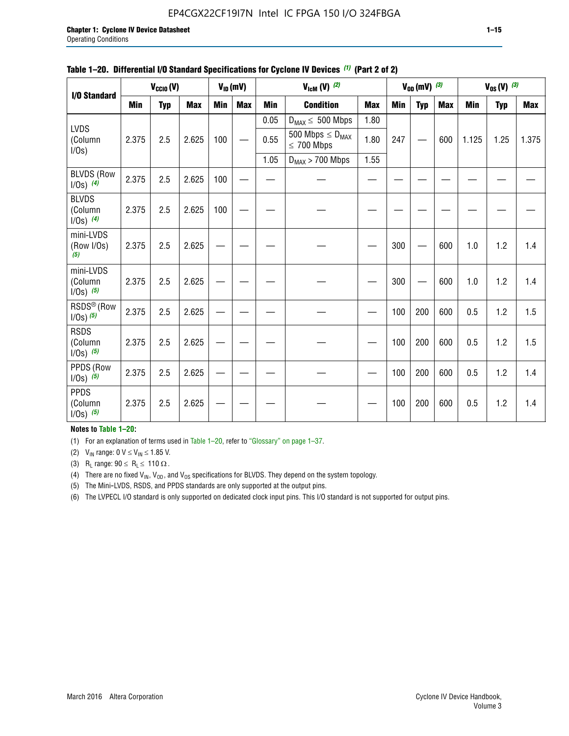#### EP4CGX22CF19I7N Intel IC FPGA 150 I/O 324FBGA

|                                          |            | $V_{\text{CCIO}}(V)$ |            |     | $V_{ID}(mV)$ |            | $V_{\text{lcm}}(V)$ (2)                    |            |     | $V_{0D}$ (mV) $(3)$ |            |            | $V_{0S} (V)$ (3) |            |
|------------------------------------------|------------|----------------------|------------|-----|--------------|------------|--------------------------------------------|------------|-----|---------------------|------------|------------|------------------|------------|
| I/O Standard                             |            |                      |            |     |              |            |                                            |            |     |                     |            |            |                  |            |
|                                          | <b>Min</b> | <b>Typ</b>           | <b>Max</b> | Min | <b>Max</b>   | <b>Min</b> | <b>Condition</b>                           | <b>Max</b> | Min | <b>Typ</b>          | <b>Max</b> | <b>Min</b> | <b>Typ</b>       | <b>Max</b> |
|                                          |            |                      |            |     |              | 0.05       | $D_{MAX} \leq 500$ Mbps                    | 1.80       |     |                     |            |            |                  |            |
| <b>LVDS</b><br>(Column<br>I/Os)          | 2.375      | 2.5                  | 2.625      | 100 |              | 0.55       | 500 Mbps $\leq D_{MAX}$<br>$\leq 700$ Mbps | 1.80       | 247 |                     | 600        | 1.125      | 1.25             | 1.375      |
|                                          |            |                      |            |     |              | 1.05       | $D_{MAX}$ > 700 Mbps                       | 1.55       |     |                     |            |            |                  |            |
| <b>BLVDS (Row</b><br>$1/0s)$ (4)         | 2.375      | 2.5                  | 2.625      | 100 |              |            |                                            |            |     |                     |            |            |                  |            |
| <b>BLVDS</b><br>(Column<br>$1/0s)$ (4)   | 2.375      | 2.5                  | 2.625      | 100 |              |            |                                            |            |     |                     |            |            |                  |            |
| mini-LVDS<br>(Row I/Os)<br>(5)           | 2.375      | 2.5                  | 2.625      |     |              |            |                                            |            | 300 |                     | 600        | 1.0        | 1.2              | 1.4        |
| mini-LVDS<br>(Column<br>$1/0s)$ (5)      | 2.375      | 2.5                  | 2.625      |     |              |            |                                            |            | 300 |                     | 600        | 1.0        | 1.2              | 1.4        |
| RSDS <sup>®</sup> (Row<br>$1/0s$ ) $(5)$ | 2.375      | 2.5                  | 2.625      |     |              |            |                                            |            | 100 | 200                 | 600        | 0.5        | 1.2              | 1.5        |
| <b>RSDS</b><br>(Column<br>$1/Os)$ (5)    | 2.375      | 2.5                  | 2.625      |     |              |            |                                            |            | 100 | 200                 | 600        | 0.5        | 1.2              | 1.5        |
| PPDS (Row<br>$1/0s)$ (5)                 | 2.375      | 2.5                  | 2.625      |     |              |            |                                            |            | 100 | 200                 | 600        | 0.5        | 1.2              | 1.4        |
| <b>PPDS</b><br>(Column<br>$1/0s)$ (5)    | 2.375      | 2.5                  | 2.625      |     |              |            |                                            |            | 100 | 200                 | 600        | 0.5        | 1.2              | 1.4        |

#### **Table 1–20. Differential I/O Standard Specifications for Cyclone IV Devices** *(1)* **(Part 2 of 2)**

**Notes to Table 1–20:**

(1) For an explanation of terms used in Table 1–20, refer to "Glossary" on page 1–37.

(2)  $V_{IN}$  range: 0  $V \le V_{IN} \le 1.85$  V.

(3) R<sub>L</sub> range:  $90 \le R_L \le 110 \Omega$ .

(4) There are no fixed  $V_{IN}$ ,  $V_{OD}$ , and  $V_{OS}$  specifications for BLVDS. They depend on the system topology.

(5) The Mini-LVDS, RSDS, and PPDS standards are only supported at the output pins.

(6) The LVPECL I/O standard is only supported on dedicated clock input pins. This I/O standard is not supported for output pins.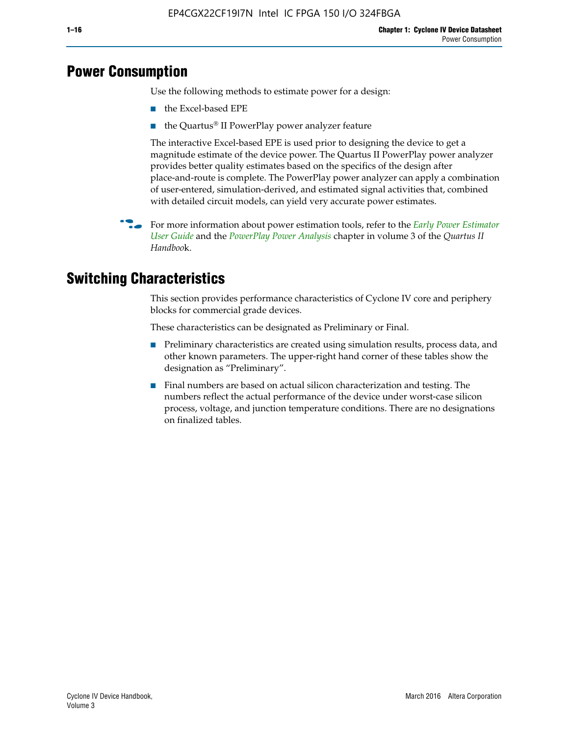## **Power Consumption**

Use the following methods to estimate power for a design:

- the Excel-based EPE
- the Quartus® II PowerPlay power analyzer feature

The interactive Excel-based EPE is used prior to designing the device to get a magnitude estimate of the device power. The Quartus II PowerPlay power analyzer provides better quality estimates based on the specifics of the design after place-and-route is complete. The PowerPlay power analyzer can apply a combination of user-entered, simulation-derived, and estimated signal activities that, combined with detailed circuit models, can yield very accurate power estimates.

f For more information about power estimation tools, refer to the *[Early Power Estimator](http://www.altera.com/literature/ug/ug_epe.pdf
)  [User Guide](http://www.altera.com/literature/ug/ug_epe.pdf
)* and the *[PowerPlay Power Analysis](http://www.altera.com/literature/hb/qts/qts_qii53013.pdf)* chapter in volume 3 of the *Quartus II Handboo*k.

## **Switching Characteristics**

This section provides performance characteristics of Cyclone IV core and periphery blocks for commercial grade devices.

These characteristics can be designated as Preliminary or Final.

- Preliminary characteristics are created using simulation results, process data, and other known parameters. The upper-right hand corner of these tables show the designation as "Preliminary".
- Final numbers are based on actual silicon characterization and testing. The numbers reflect the actual performance of the device under worst-case silicon process, voltage, and junction temperature conditions. There are no designations on finalized tables.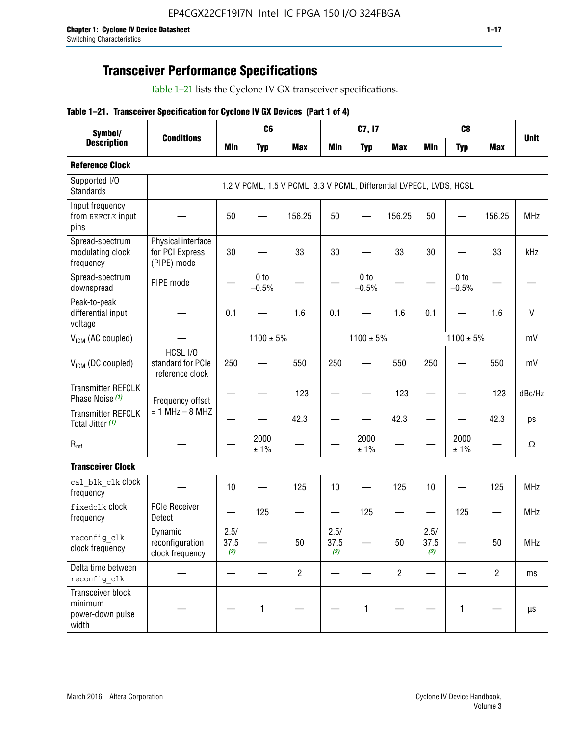## **Transceiver Performance Specifications**

Table 1–21 lists the Cyclone IV GX transceiver specifications.

|  |  |  |  | Table 1-21. Transceiver Specification for Cyclone IV GX Devices (Part 1 of 4) |  |
|--|--|--|--|-------------------------------------------------------------------------------|--|
|--|--|--|--|-------------------------------------------------------------------------------|--|

| Symbol/                                                   |                                                      |                     | C <sub>6</sub>             |                                                                     |                     | C7, I7                     |                | C <sub>8</sub>      |                            |                |             |
|-----------------------------------------------------------|------------------------------------------------------|---------------------|----------------------------|---------------------------------------------------------------------|---------------------|----------------------------|----------------|---------------------|----------------------------|----------------|-------------|
| <b>Description</b>                                        | <b>Conditions</b>                                    | <b>Min</b>          | <b>Typ</b>                 | <b>Max</b>                                                          | <b>Min</b>          | <b>Typ</b>                 | <b>Max</b>     | <b>Min</b>          | <b>Typ</b>                 | <b>Max</b>     | <b>Unit</b> |
| <b>Reference Clock</b>                                    |                                                      |                     |                            |                                                                     |                     |                            |                |                     |                            |                |             |
| Supported I/O<br><b>Standards</b>                         |                                                      |                     |                            | 1.2 V PCML, 1.5 V PCML, 3.3 V PCML, Differential LVPECL, LVDS, HCSL |                     |                            |                |                     |                            |                |             |
| Input frequency<br>from REFCLK input<br>pins              |                                                      | 50                  |                            | 156.25                                                              | 50                  |                            | 156.25         | 50                  | $\overline{\phantom{0}}$   | 156.25         | <b>MHz</b>  |
| Spread-spectrum<br>modulating clock<br>frequency          | Physical interface<br>for PCI Express<br>(PIPE) mode | 30                  |                            | 33                                                                  | 30                  |                            | 33             | 30                  |                            | 33             | kHz         |
| Spread-spectrum<br>downspread                             | PIPE mode                                            |                     | 0 <sub>to</sub><br>$-0.5%$ |                                                                     |                     | 0 <sub>to</sub><br>$-0.5%$ |                |                     | 0 <sub>to</sub><br>$-0.5%$ |                |             |
| Peak-to-peak<br>differential input<br>voltage             |                                                      | 0.1                 |                            | 1.6                                                                 | 0.1                 |                            | 1.6            | 0.1                 |                            | 1.6            | $\vee$      |
| V <sub>ICM</sub> (AC coupled)                             |                                                      |                     | $1100 \pm 5\%$             |                                                                     |                     | $1100 \pm 5\%$             |                |                     | $1100 \pm 5\%$             |                | mV          |
| $V_{ICM}$ (DC coupled)                                    | HCSL I/O<br>standard for PCIe<br>reference clock     | 250                 |                            | 550                                                                 | 250                 |                            | 550            | 250                 |                            | 550            | mV          |
| <b>Transmitter REFCLK</b><br>Phase Noise (1)              | Frequency offset                                     |                     |                            | $-123$                                                              |                     |                            | $-123$         |                     |                            | $-123$         | dBc/Hz      |
| <b>Transmitter REFCLK</b><br>Total Jitter (1)             | $= 1$ MHz $- 8$ MHZ                                  |                     |                            | 42.3                                                                |                     |                            | 42.3           |                     |                            | 42.3           | ps          |
| $\mathsf{R}_{\mathsf{ref}}$                               |                                                      |                     | 2000<br>± 1%               |                                                                     |                     | 2000<br>± 1%               |                |                     | 2000<br>± 1%               |                | Ω           |
| <b>Transceiver Clock</b>                                  |                                                      |                     |                            |                                                                     |                     |                            |                |                     |                            |                |             |
| cal blk clk clock<br>frequency                            |                                                      | 10                  |                            | 125                                                                 | 10                  |                            | 125            | 10                  |                            | 125            | <b>MHz</b>  |
| fixedclk Clock<br>frequency                               | <b>PCIe Receiver</b><br>Detect                       |                     | 125                        |                                                                     |                     | 125                        | —              |                     | 125                        |                | <b>MHz</b>  |
| reconfig clk<br>clock frequency                           | Dynamic<br>reconfiguration<br>clock frequency        | 2.5/<br>37.5<br>(2) |                            | 50                                                                  | 2.5/<br>37.5<br>(2) |                            | 50             | 2.5/<br>37.5<br>(2) |                            | 50             | <b>MHz</b>  |
| Delta time between<br>reconfig clk                        |                                                      |                     |                            | $\overline{2}$                                                      |                     |                            | $\overline{2}$ |                     |                            | $\overline{2}$ | ms          |
| Transceiver block<br>minimum<br>power-down pulse<br>width |                                                      |                     | $\mathbf{1}$               |                                                                     |                     | 1                          |                |                     | $\mathbf{1}$               |                | $\mu s$     |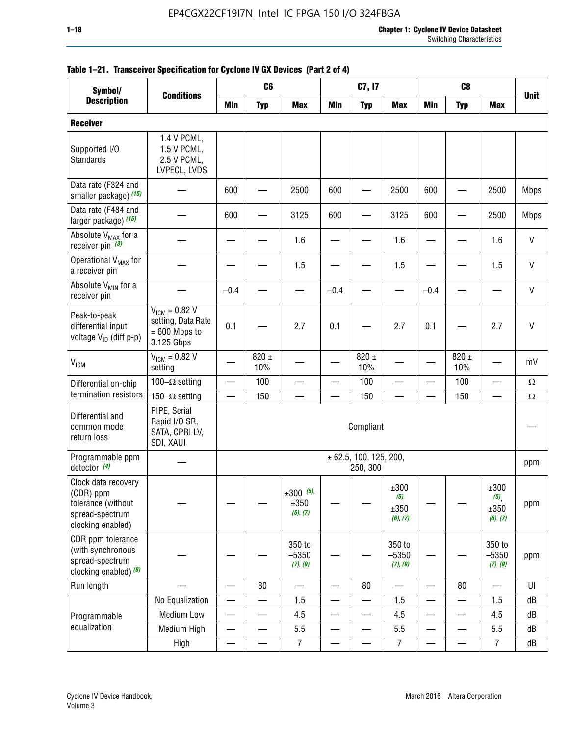| Symbol/                                                                                        |                                                                           | C <sub>6</sub><br>C <sub>8</sub><br>C7, I7<br><b>Conditions</b> |                          |                                 |                                  |                                    |                                  |                          |                          |                                  |             |
|------------------------------------------------------------------------------------------------|---------------------------------------------------------------------------|-----------------------------------------------------------------|--------------------------|---------------------------------|----------------------------------|------------------------------------|----------------------------------|--------------------------|--------------------------|----------------------------------|-------------|
| <b>Description</b>                                                                             |                                                                           | <b>Min</b>                                                      | <b>Typ</b>               | <b>Max</b>                      | <b>Min</b>                       | <b>Typ</b>                         | <b>Max</b>                       | <b>Min</b>               | <b>Typ</b>               | <b>Max</b>                       | <b>Unit</b> |
| <b>Receiver</b>                                                                                |                                                                           |                                                                 |                          |                                 |                                  |                                    |                                  |                          |                          |                                  |             |
| Supported I/O<br>Standards                                                                     | 1.4 V PCML,<br>1.5 V PCML,<br>2.5 V PCML,<br>LVPECL, LVDS                 |                                                                 |                          |                                 |                                  |                                    |                                  |                          |                          |                                  |             |
| Data rate (F324 and<br>smaller package) (15)                                                   |                                                                           | 600                                                             |                          | 2500                            | 600                              |                                    | 2500                             | 600                      |                          | 2500                             | <b>Mbps</b> |
| Data rate (F484 and<br>larger package) (15)                                                    |                                                                           | 600                                                             |                          | 3125                            | 600                              |                                    | 3125                             | 600                      |                          | 2500                             | <b>Mbps</b> |
| Absolute V <sub>MAX</sub> for a<br>receiver pin $(3)$                                          |                                                                           |                                                                 |                          | 1.6                             |                                  |                                    | 1.6                              |                          |                          | 1.6                              | V           |
| Operational V <sub>MAX</sub> for<br>a receiver pin                                             |                                                                           |                                                                 |                          | 1.5                             |                                  |                                    | 1.5                              |                          |                          | 1.5                              | V           |
| Absolute V <sub>MIN</sub> for a<br>receiver pin                                                |                                                                           | $-0.4$                                                          |                          |                                 | $-0.4$                           |                                    |                                  | $-0.4$                   |                          |                                  | V           |
| Peak-to-peak<br>differential input<br>voltage V <sub>ID</sub> (diff p-p)                       | $V_{IGM} = 0.82 V$<br>setting, Data Rate<br>$= 600$ Mbps to<br>3.125 Gbps | 0.1                                                             |                          | 2.7                             | 0.1                              |                                    | 2.7                              | 0.1                      |                          | 2.7                              | $\vee$      |
| <b>V<sub>ICM</sub></b>                                                                         | $V_{IGM} = 0.82 V$<br>setting                                             |                                                                 | $820 \pm$<br>10%         |                                 |                                  | $820 \pm$<br>10%                   |                                  |                          | $820 \pm$<br>10%         |                                  | mV          |
| Differential on-chip                                                                           | 100 $-\Omega$ setting                                                     | $\equiv$                                                        | 100                      | $\overline{\phantom{0}}$        | $\overline{\phantom{0}}$         | 100                                | $\overline{\phantom{0}}$         | $\overline{\phantom{0}}$ | 100                      | $\overline{\phantom{0}}$         | $\Omega$    |
| termination resistors                                                                          | 150 $-\Omega$ setting                                                     | $\overline{\phantom{0}}$                                        | 150                      |                                 |                                  | 150                                |                                  |                          | 150                      | <u>—</u>                         | $\Omega$    |
| Differential and<br>common mode<br>return loss                                                 | PIPE, Serial<br>Rapid I/O SR,<br>SATA, CPRI LV,<br>SDI, XAUI              |                                                                 |                          |                                 |                                  | Compliant                          |                                  |                          |                          |                                  |             |
| Programmable ppm<br>detector $(4)$                                                             |                                                                           |                                                                 |                          |                                 |                                  | ± 62.5, 100, 125, 200,<br>250, 300 |                                  |                          |                          |                                  | ppm         |
| Clock data recovery<br>(CDR) ppm<br>tolerance (without<br>spread-spectrum<br>clocking enabled) |                                                                           |                                                                 |                          | $±300$ (5),<br>±350<br>(6), (7) |                                  |                                    | ±300<br>(5),<br>±350<br>(6), (7) |                          |                          | ±300<br>(5),<br>±350<br>(6), (7) | ppm         |
| CDR ppm tolerance<br>(with synchronous<br>spread-spectrum<br>clocking enabled) $(8)$           |                                                                           |                                                                 |                          | 350 to<br>$-5350$<br>(7), (9)   |                                  |                                    | 350 to<br>$-5350$<br>(7), (9)    |                          |                          | 350 to<br>$-5350$<br>(7), (9)    | ppm         |
| Run length                                                                                     |                                                                           |                                                                 | 80                       | $\overline{\phantom{0}}$        | $\overbrace{\phantom{13322111}}$ | 80                                 |                                  |                          | 80                       | $\overline{\phantom{0}}$         | UI          |
|                                                                                                | No Equalization                                                           |                                                                 |                          | 1.5                             |                                  |                                    | 1.5                              |                          |                          | 1.5                              | dB          |
| Programmable                                                                                   | <b>Medium Low</b>                                                         | $\overline{\phantom{0}}$                                        |                          | 4.5                             | —                                |                                    | 4.5                              | —                        | $\qquad \qquad$          | 4.5                              | dB          |
| equalization                                                                                   | Medium High                                                               | $\overline{\phantom{0}}$                                        | $\overline{\phantom{0}}$ | 5.5                             | —                                |                                    | 5.5                              | —                        | $\qquad \qquad$          | 5.5                              | dB          |
|                                                                                                | High                                                                      |                                                                 | —                        | $\overline{7}$                  |                                  | —                                  | $\overline{7}$                   | $\overline{\phantom{0}}$ | $\overline{\phantom{0}}$ | $\overline{7}$                   | dB          |

#### **Table 1–21. Transceiver Specification for Cyclone IV GX Devices (Part 2 of 4)**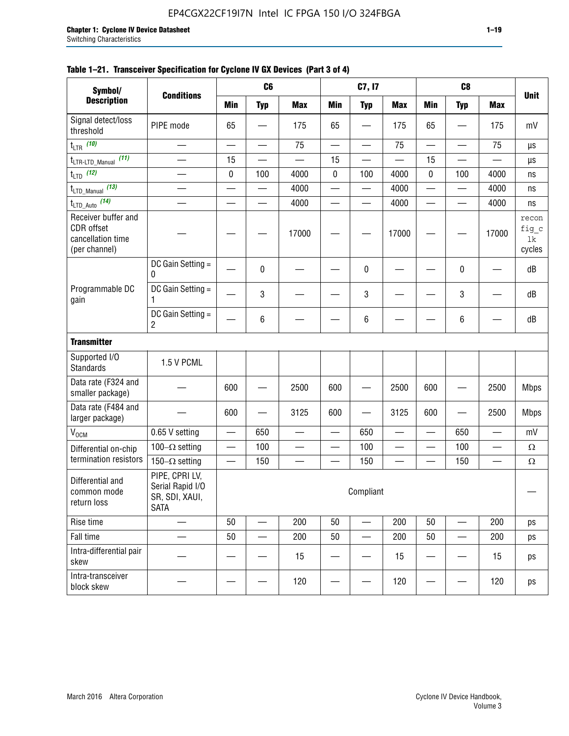| Symbol/                                                                 |                                                                     |            | C <sub>6</sub>           |                          |                          | C7, I7                   |            |                          | C <sub>8</sub>           |                          |                                |
|-------------------------------------------------------------------------|---------------------------------------------------------------------|------------|--------------------------|--------------------------|--------------------------|--------------------------|------------|--------------------------|--------------------------|--------------------------|--------------------------------|
| <b>Description</b>                                                      | <b>Conditions</b>                                                   | <b>Min</b> | <b>Typ</b>               | <b>Max</b>               | <b>Min</b>               | <b>Typ</b>               | <b>Max</b> | <b>Min</b>               | <b>Typ</b>               | <b>Max</b>               | <b>Unit</b>                    |
| Signal detect/loss<br>threshold                                         | PIPE mode                                                           | 65         |                          | 175                      | 65                       |                          | 175        | 65                       |                          | 175                      | mV                             |
| $t_{LTR}$ (10)                                                          |                                                                     |            | $\overline{\phantom{0}}$ | 75                       | $\overline{\phantom{0}}$ |                          | 75         | $\overline{\phantom{0}}$ |                          | 75                       | μs                             |
| (11)<br>t <sub>LTR-LTD_Manual</sub>                                     |                                                                     | 15         |                          |                          | 15                       |                          |            | 15                       |                          |                          | μs                             |
| $t_{LTD}$ (12)                                                          |                                                                     | 0          | 100                      | 4000                     | 0                        | 100                      | 4000       | $\mathbf 0$              | 100                      | 4000                     | ns                             |
| $t_{\text{LTD\_Manual}}$ (13)                                           |                                                                     |            | —                        | 4000                     | —                        | —                        | 4000       | —                        | $\overline{\phantom{0}}$ | 4000                     | ns                             |
| $t_{\text{LTD\_Auto}}$ (14)                                             |                                                                     |            |                          | 4000                     | $\overline{\phantom{0}}$ | $\overline{\phantom{0}}$ | 4000       | $\overline{\phantom{0}}$ | $\overline{\phantom{0}}$ | 4000                     | ns                             |
| Receiver buffer and<br>CDR offset<br>cancellation time<br>(per channel) |                                                                     |            |                          | 17000                    |                          |                          | 17000      |                          |                          | 17000                    | recon<br>fig_c<br>lk<br>cycles |
|                                                                         | DC Gain Setting =<br>0                                              |            | 0                        |                          |                          | 0                        |            |                          | 0                        |                          | dB                             |
| Programmable DC<br>gain                                                 | DC Gain Setting =<br>1                                              |            | 3                        |                          |                          | 3                        |            |                          | 3                        |                          | dB                             |
|                                                                         | DC Gain Setting =<br>$\overline{c}$                                 |            | 6                        |                          |                          | 6                        |            |                          | 6                        |                          | dB                             |
| <b>Transmitter</b>                                                      |                                                                     |            |                          |                          |                          |                          |            |                          |                          |                          |                                |
| Supported I/O<br><b>Standards</b>                                       | 1.5 V PCML                                                          |            |                          |                          |                          |                          |            |                          |                          |                          |                                |
| Data rate (F324 and<br>smaller package)                                 |                                                                     | 600        |                          | 2500                     | 600                      |                          | 2500       | 600                      |                          | 2500                     | <b>Mbps</b>                    |
| Data rate (F484 and<br>larger package)                                  |                                                                     | 600        |                          | 3125                     | 600                      |                          | 3125       | 600                      |                          | 2500                     | <b>Mbps</b>                    |
| V <sub>OCM</sub>                                                        | 0.65 V setting                                                      |            | 650                      |                          |                          | 650                      |            |                          | 650                      |                          | mV                             |
| Differential on-chip                                                    | 100 $-\Omega$ setting                                               | —          | 100                      | $\overline{\phantom{0}}$ | $\overline{\phantom{0}}$ | 100                      |            | —                        | 100                      | —                        | $\Omega$                       |
| termination resistors                                                   | 150 $-\Omega$ setting                                               |            | 150                      | $\qquad \qquad \qquad$   |                          | 150                      |            |                          | 150                      | $\overline{\phantom{0}}$ | $\Omega$                       |
| Differential and<br>common mode<br>return loss                          | PIPE, CPRI LV,<br>Serial Rapid I/O<br>SR, SDI, XAUI,<br><b>SATA</b> |            |                          |                          |                          | Compliant                |            |                          |                          |                          |                                |
| Rise time                                                               |                                                                     | 50         |                          | 200                      | 50                       |                          | 200        | 50                       |                          | 200                      | ps                             |
| Fall time                                                               |                                                                     | 50         |                          | 200                      | 50                       |                          | 200        | 50                       |                          | 200                      | ps                             |
| Intra-differential pair<br>skew                                         |                                                                     |            |                          | 15                       |                          |                          | 15         |                          |                          | 15                       | ps                             |
| Intra-transceiver<br>block skew                                         |                                                                     |            |                          | 120                      |                          |                          | 120        |                          |                          | 120                      | ps                             |

#### **Table 1–21. Transceiver Specification for Cyclone IV GX Devices (Part 3 of 4)**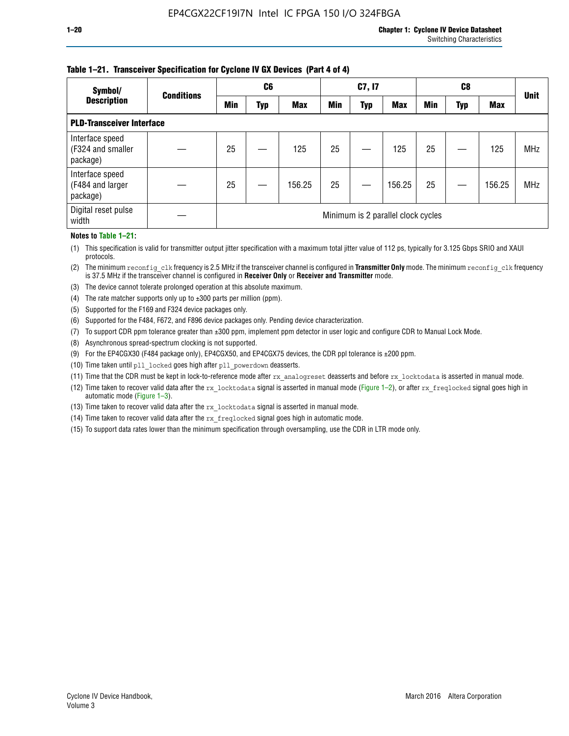#### **Table 1–21. Transceiver Specification for Cyclone IV GX Devices (Part 4 of 4)**

| Symbol/                                          | <b>Conditions</b> | C <sub>6</sub>                     |     |            | C7, I7     |            |            |            |     | <b>Unit</b> |            |
|--------------------------------------------------|-------------------|------------------------------------|-----|------------|------------|------------|------------|------------|-----|-------------|------------|
| <b>Description</b>                               |                   | <b>Min</b>                         | Typ | <b>Max</b> | <b>Min</b> | <b>Typ</b> | <b>Max</b> | <b>Min</b> | Typ | <b>Max</b>  |            |
| <b>PLD-Transceiver Interface</b>                 |                   |                                    |     |            |            |            |            |            |     |             |            |
| Interface speed<br>(F324 and smaller<br>package) |                   | 25                                 |     | 125        | 25         |            | 125        | 25         |     | 125         | <b>MHz</b> |
| Interface speed<br>(F484 and larger<br>package)  |                   | 25                                 |     | 156.25     | 25         |            | 156.25     | 25         |     | 156.25      | <b>MHz</b> |
| Digital reset pulse<br>width                     |                   | Minimum is 2 parallel clock cycles |     |            |            |            |            |            |     |             |            |

#### **Notes to Table 1–21:**

(1) This specification is valid for transmitter output jitter specification with a maximum total jitter value of 112 ps, typically for 3.125 Gbps SRIO and XAUI protocols.

(2) The minimum reconfig\_clk frequency is 2.5 MHz if the transceiver channel is configured in **Transmitter Only** mode. The minimum reconfig\_clk frequency is 37.5 MHz if the transceiver channel is configured in **Receiver Only** or **Receiver and Transmitter** mode.

(3) The device cannot tolerate prolonged operation at this absolute maximum.

- (4) The rate matcher supports only up to  $\pm 300$  parts per million (ppm).
- (5) Supported for the F169 and F324 device packages only.
- (6) Supported for the F484, F672, and F896 device packages only. Pending device characterization.
- (7) To support CDR ppm tolerance greater than ±300 ppm, implement ppm detector in user logic and configure CDR to Manual Lock Mode.
- (8) Asynchronous spread-spectrum clocking is not supported.
- (9) For the EP4CGX30 (F484 package only), EP4CGX50, and EP4CGX75 devices, the CDR ppl tolerance is ±200 ppm.
- (10) Time taken until pll\_locked goes high after pll\_powerdown deasserts.
- (11) Time that the CDR must be kept in lock-to-reference mode after rx analogreset deasserts and before rx locktodata is asserted in manual mode.

(12) Time taken to recover valid data after the rx locktodata signal is asserted in manual mode (Figure 1–2), or after rx freqlocked signal goes high in automatic mode (Figure 1–3).

(13) Time taken to recover valid data after the rx locktodata signal is asserted in manual mode.

- (14) Time taken to recover valid data after the rx freqlocked signal goes high in automatic mode.
- (15) To support data rates lower than the minimum specification through oversampling, use the CDR in LTR mode only.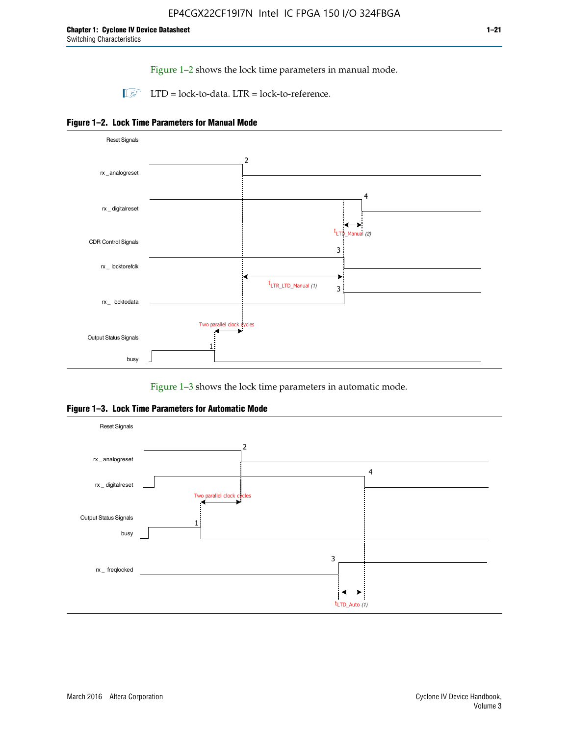Figure 1–2 shows the lock time parameters in manual mode.

 $\Box$  LTD = lock-to-data. LTR = lock-to-reference.





Figure 1–3 shows the lock time parameters in automatic mode.

**Figure 1–3. Lock Time Parameters for Automatic Mode**

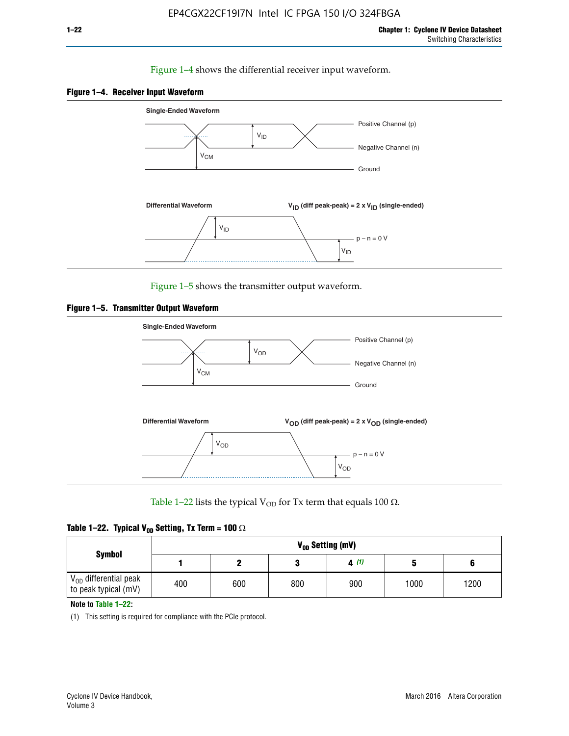#### Figure 1–4 shows the differential receiver input waveform.





Figure 1–5 shows the transmitter output waveform.





Table 1–22 lists the typical V<sub>OD</sub> for Tx term that equals 100  $\Omega$ .

| Table 1–22. Typical V <sub>0D</sub> Setting, Tx Term = 100 $\Omega$ |  |  |  |  |  |  |  |
|---------------------------------------------------------------------|--|--|--|--|--|--|--|
|---------------------------------------------------------------------|--|--|--|--|--|--|--|

|                                                        |     |     |     | V <sub>on</sub> Setting (mV) |      |      |
|--------------------------------------------------------|-----|-----|-----|------------------------------|------|------|
| <b>Symbol</b>                                          |     |     |     | 4(1)                         |      |      |
| $\rm V_{OD}$ differential peak<br>to peak typical (mV) | 400 | 600 | 800 | 900                          | 1000 | 1200 |

**Note to Table 1–22:**

(1) This setting is required for compliance with the PCIe protocol.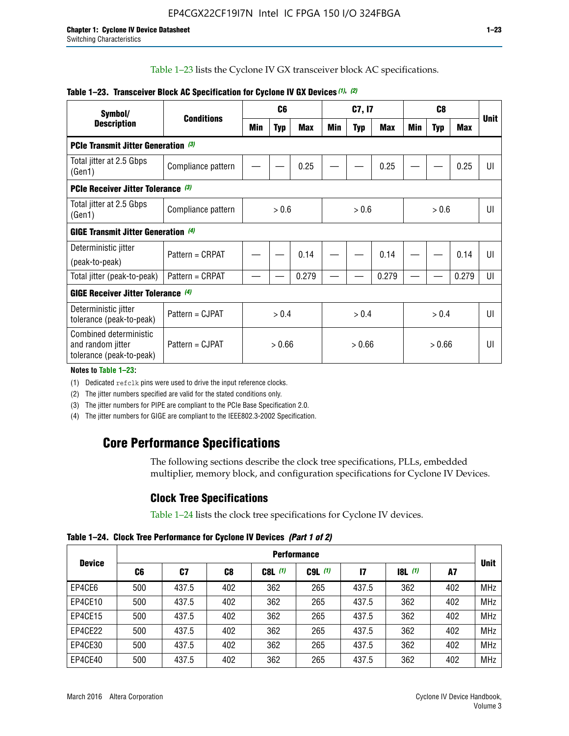Table 1–23 lists the Cyclone IV GX transceiver block AC specifications.

| Symbol/                                                                 | <b>Conditions</b>                          | C <sub>6</sub>             |            | C7, I7     |     |       | C <sub>8</sub> |     |            |              |             |
|-------------------------------------------------------------------------|--------------------------------------------|----------------------------|------------|------------|-----|-------|----------------|-----|------------|--------------|-------------|
| <b>Description</b>                                                      |                                            | <b>Min</b>                 | <b>Typ</b> | <b>Max</b> | Min | Typ   | <b>Max</b>     | Min | <b>Typ</b> | <b>Max</b>   | <b>Unit</b> |
| PCIe Transmit Jitter Generation (3)                                     |                                            |                            |            |            |     |       |                |     |            |              |             |
| Total jitter at 2.5 Gbps<br>(Gen1)                                      | Compliance pattern                         |                            |            | 0.25       |     |       | 0.25           |     |            | 0.25         | $  \cdot  $ |
| <b>PCIe Receiver Jitter Tolerance (3)</b>                               |                                            |                            |            |            |     |       |                |     |            |              |             |
| Total jitter at 2.5 Gbps<br>(Gen1)                                      | Compliance pattern                         | > 0.6                      |            | > 0.6      |     | > 0.6 |                | UI  |            |              |             |
|                                                                         | <b>GIGE Transmit Jitter Generation</b> (4) |                            |            |            |     |       |                |     |            |              |             |
| Deterministic jitter                                                    | Pattern = CRPAT                            |                            |            | 0.14       |     |       | 0.14           |     |            | 0.14         | Ш           |
| (peak-to-peak)                                                          |                                            |                            |            |            |     |       |                |     |            |              |             |
| Total jitter (peak-to-peak)                                             | Pattern = CRPAT                            |                            |            | 0.279      |     |       | 0.279          |     |            | 0.279        | UI          |
| <b>GIGE Receiver Jitter Tolerance (4)</b>                               |                                            |                            |            |            |     |       |                |     |            |              |             |
| Deterministic jitter<br>tolerance (peak-to-peak)                        | Pattern = CJPAT                            | > 0.4                      |            | > 0.4      |     |       | > 0.4          |     |            | $\mathsf{U}$ |             |
| Combined deterministic<br>and random jitter<br>tolerance (peak-to-peak) | Pattern = CJPAT                            | > 0.66<br>> 0.66<br>> 0.66 |            |            | U   |       |                |     |            |              |             |

#### **Table 1–23. Transceiver Block AC Specification for Cyclone IV GX Devices** *(1)***,** *(2)*

**Notes to Table 1–23:**

(1) Dedicated refclk pins were used to drive the input reference clocks.

(2) The jitter numbers specified are valid for the stated conditions only.

(3) The jitter numbers for PIPE are compliant to the PCIe Base Specification 2.0.

(4) The jitter numbers for GIGE are compliant to the IEEE802.3-2002 Specification.

## **Core Performance Specifications**

The following sections describe the clock tree specifications, PLLs, embedded multiplier, memory block, and configuration specifications for Cyclone IV Devices.

## **Clock Tree Specifications**

Table 1–24 lists the clock tree specifications for Cyclone IV devices.

**Table 1–24. Clock Tree Performance for Cyclone IV Devices** *(Part 1 of 2)*

|               | <b>Performance</b> |       |     |           |             |       |       |     |             |
|---------------|--------------------|-------|-----|-----------|-------------|-------|-------|-----|-------------|
| <b>Device</b> | C6                 | C7    | C8  | $C8L$ (1) | $C9L$ $(1)$ | 17    | 8L(1) | A7  | <b>Unit</b> |
| EP4CE6        | 500                | 437.5 | 402 | 362       | 265         | 437.5 | 362   | 402 | <b>MHz</b>  |
| EP4CE10       | 500                | 437.5 | 402 | 362       | 265         | 437.5 | 362   | 402 | <b>MHz</b>  |
| EP4CE15       | 500                | 437.5 | 402 | 362       | 265         | 437.5 | 362   | 402 | <b>MHz</b>  |
| EP4CE22       | 500                | 437.5 | 402 | 362       | 265         | 437.5 | 362   | 402 | <b>MHz</b>  |
| EP4CE30       | 500                | 437.5 | 402 | 362       | 265         | 437.5 | 362   | 402 | <b>MHz</b>  |
| EP4CE40       | 500                | 437.5 | 402 | 362       | 265         | 437.5 | 362   | 402 | <b>MHz</b>  |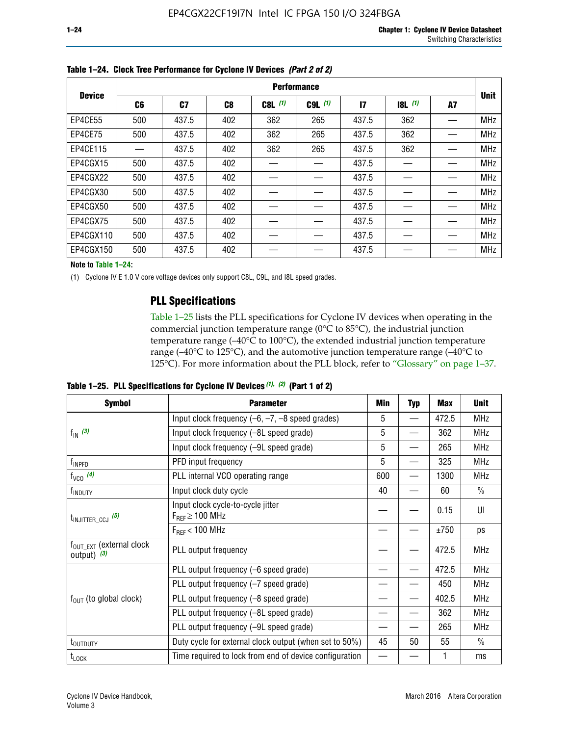|               | <b>Performance</b> |       |                |             |           |              |       |    |             |  |  |
|---------------|--------------------|-------|----------------|-------------|-----------|--------------|-------|----|-------------|--|--|
| <b>Device</b> | C6                 | C7    | C <sub>8</sub> | $C8L$ $(1)$ | $C9L$ (1) | $\mathbf{I}$ | 8L(1) | A7 | <b>Unit</b> |  |  |
| EP4CE55       | 500                | 437.5 | 402            | 362         | 265       | 437.5        | 362   |    | <b>MHz</b>  |  |  |
| EP4CE75       | 500                | 437.5 | 402            | 362         | 265       | 437.5        | 362   |    | <b>MHz</b>  |  |  |
| EP4CE115      |                    | 437.5 | 402            | 362         | 265       | 437.5        | 362   |    | <b>MHz</b>  |  |  |
| EP4CGX15      | 500                | 437.5 | 402            |             |           | 437.5        |       |    | <b>MHz</b>  |  |  |
| EP4CGX22      | 500                | 437.5 | 402            |             |           | 437.5        |       |    | <b>MHz</b>  |  |  |
| EP4CGX30      | 500                | 437.5 | 402            |             |           | 437.5        |       |    | <b>MHz</b>  |  |  |
| EP4CGX50      | 500                | 437.5 | 402            |             |           | 437.5        |       |    | <b>MHz</b>  |  |  |
| EP4CGX75      | 500                | 437.5 | 402            |             |           | 437.5        |       |    | <b>MHz</b>  |  |  |
| EP4CGX110     | 500                | 437.5 | 402            |             |           | 437.5        |       |    | <b>MHz</b>  |  |  |
| EP4CGX150     | 500                | 437.5 | 402            |             |           | 437.5        |       |    | <b>MHz</b>  |  |  |

**Table 1–24. Clock Tree Performance for Cyclone IV Devices** *(Part 2 of 2)*

**Note to Table 1–24:**

(1) Cyclone IV E 1.0 V core voltage devices only support C8L, C9L, and I8L speed grades.

## **PLL Specifications**

Table 1–25 lists the PLL specifications for Cyclone IV devices when operating in the commercial junction temperature range (0°C to 85°C), the industrial junction temperature range (–40°C to 100°C), the extended industrial junction temperature range (–40°C to 125°C), and the automotive junction temperature range (–40°C to 125°C). For more information about the PLL block, refer to "Glossary" on page 1–37.

|  |  | Table 1–25. PLL Specifications for Cyclone IV Devices $(1)$ , $(2)$ (Part 1 of 2) |  |
|--|--|-----------------------------------------------------------------------------------|--|
|--|--|-----------------------------------------------------------------------------------|--|

| <b>Symbol</b>                                          | <b>Parameter</b>                                            | Min | <b>Typ</b>               | Max   | <b>Unit</b>   |
|--------------------------------------------------------|-------------------------------------------------------------|-----|--------------------------|-------|---------------|
|                                                        | Input clock frequency $(-6, -7, -8)$ speed grades)          |     | —                        | 472.5 | <b>MHz</b>    |
| $f_{\text{IN}}$ (3)                                    | Input clock frequency (-8L speed grade)                     | 5   |                          | 362   | <b>MHz</b>    |
|                                                        | Input clock frequency (-9L speed grade)                     | 5   |                          | 265   | <b>MHz</b>    |
| f <sub>INPFD</sub>                                     | PFD input frequency                                         | 5   |                          | 325   | <b>MHz</b>    |
| $f_{VCO}$ (4)                                          | PLL internal VCO operating range                            | 600 | $\overline{\phantom{0}}$ | 1300  | <b>MHz</b>    |
| f <sub>INDUTY</sub>                                    | Input clock duty cycle                                      | 40  |                          | 60    | $\frac{0}{0}$ |
| $t_{\text{INJITTER\_CCJ}}$ (5)                         | Input clock cycle-to-cycle jitter<br>$F_{REF} \geq 100$ MHz |     |                          | 0.15  | UI            |
|                                                        | $F_{RFF}$ < 100 MHz                                         |     |                          | ±750  | ps            |
| $f_{\text{OUT\_EXT}}$ (external clock<br>output) $(3)$ | PLL output frequency                                        |     |                          | 472.5 | <b>MHz</b>    |
|                                                        | PLL output frequency (-6 speed grade)                       |     |                          | 472.5 | <b>MHz</b>    |
|                                                        | PLL output frequency (-7 speed grade)                       |     |                          | 450   | <b>MHz</b>    |
| $f_{OUT}$ (to global clock)                            | PLL output frequency (-8 speed grade)                       |     |                          | 402.5 | <b>MHz</b>    |
|                                                        | PLL output frequency (-8L speed grade)                      |     |                          | 362   | <b>MHz</b>    |
|                                                        | PLL output frequency (-9L speed grade)                      |     |                          | 265   | <b>MHz</b>    |
| t <sub>outputy</sub>                                   | Duty cycle for external clock output (when set to 50%)      | 45  | 50                       | 55    | $\frac{0}{0}$ |
| $t_{\text{LOCK}}$                                      | Time required to lock from end of device configuration      |     |                          |       | ms            |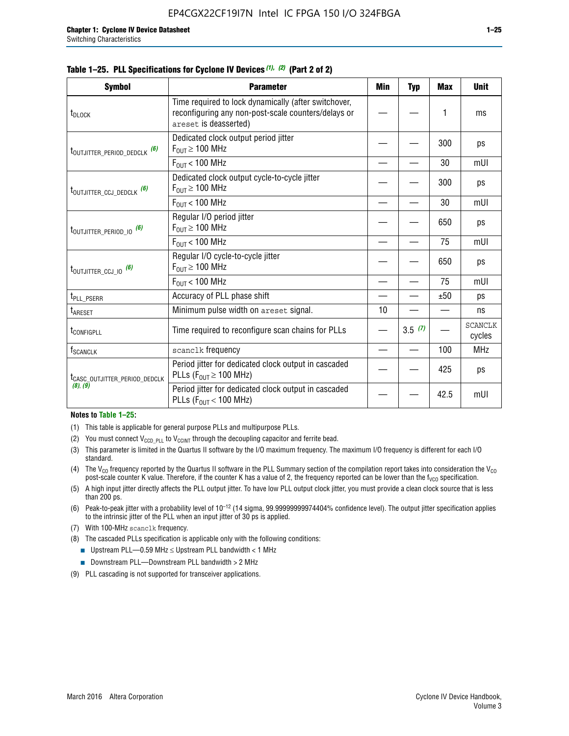|  |  | Table 1–25. PLL Specifications for Cyclone IV Devices (1), (2) (Part 2 of 2) |  |
|--|--|------------------------------------------------------------------------------|--|
|--|--|------------------------------------------------------------------------------|--|

| <b>Symbol</b>                             | <b>Parameter</b>                                                                                                                     | Min | Typ    | <b>Max</b> | <b>Unit</b>              |
|-------------------------------------------|--------------------------------------------------------------------------------------------------------------------------------------|-----|--------|------------|--------------------------|
| t <sub>DLOCK</sub>                        | Time required to lock dynamically (after switchover,<br>reconfiguring any non-post-scale counters/delays or<br>areset is deasserted) |     |        | 1          | ms                       |
| t <sub>outjitter_period_dedclk</sub> (6)  | Dedicated clock output period jitter<br>$F_{OIII} \geq 100$ MHz                                                                      |     |        | 300        | ps                       |
|                                           | $F_{\text{OUT}}$ < 100 MHz                                                                                                           |     |        | 30         | mUI                      |
| t <sub>outjitter_ccj_dedclk</sub> (6)     | Dedicated clock output cycle-to-cycle jitter<br>$F_{OUT} \geq 100$ MHz                                                               |     |        | 300        | ps                       |
|                                           | $F_{OUT}$ < 100 MHz                                                                                                                  |     |        | 30         | mUI                      |
| t <sub>outjitter_period_io</sub> (6)      | Regular I/O period jitter<br>$F_{OUT} \geq 100$ MHz                                                                                  |     |        | 650        | ps                       |
|                                           | $F_{OUT}$ < 100 MHz                                                                                                                  |     |        | 75         | mUI                      |
| t <sub>outjitter_ccj_io</sub> (6)         | Regular I/O cycle-to-cycle jitter<br>$F_{OUT} \geq 100$ MHz                                                                          |     |        | 650        | ps                       |
|                                           | $F_{\text{OUT}}$ < 100 MHz                                                                                                           |     |        | 75         | mUI                      |
| t <sub>PLL_PSERR</sub>                    | Accuracy of PLL phase shift                                                                                                          |     |        | ±50        | ps                       |
| t <sub>ARESET</sub>                       | Minimum pulse width on areset signal.                                                                                                | 10  |        |            | ns                       |
| t <sub>configpll</sub>                    | Time required to reconfigure scan chains for PLLs                                                                                    |     | 3.5(7) |            | <b>SCANCLK</b><br>cycles |
| $f_{\text{SCANCLK}}$                      | scanclk frequency                                                                                                                    |     |        | 100        | <b>MHz</b>               |
| t <sub>CASC_OUTJITTER_PERIOD_DEDCLK</sub> | Period jitter for dedicated clock output in cascaded<br>PLLs ( $F_{OUT} \ge 100$ MHz)                                                |     |        | 425        | ps                       |
| (8), (9)                                  | Period jitter for dedicated clock output in cascaded<br>PLLs ( $F_{OUI}$ < 100 MHz)                                                  |     |        | 42.5       | mUI                      |

#### **Notes to Table 1–25:**

- (1) This table is applicable for general purpose PLLs and multipurpose PLLs.
- (2) You must connect  $V_{CCD-PLL}$  to  $V_{CCINT}$  through the decoupling capacitor and ferrite bead.
- (3) This parameter is limited in the Quartus II software by the I/O maximum frequency. The maximum I/O frequency is different for each I/O standard.
- (4) The  $V_{CO}$  frequency reported by the Quartus II software in the PLL Summary section of the compilation report takes into consideration the  $V_{CO}$ post-scale counter K value. Therefore, if the counter K has a value of 2, the frequency reported can be lower than the f<sub>VCO</sub> specification.
- (5) A high input jitter directly affects the PLL output jitter. To have low PLL output clock jitter, you must provide a clean clock source that is less than 200 ps.
- (6) Peak-to-peak jitter with a probability level of 10–12 (14 sigma, 99.99999999974404% confidence level). The output jitter specification applies to the intrinsic jitter of the PLL when an input jitter of 30 ps is applied.
- (7) With 100-MHz scanclk frequency.
- (8) The cascaded PLLs specification is applicable only with the following conditions:
	- **■** Upstream PLL—0.59 MHz  $\leq$  Upstream PLL bandwidth  $<$  1 MHz
	- Downstream PLL—Downstream PLL bandwidth > 2 MHz
- (9) PLL cascading is not supported for transceiver applications.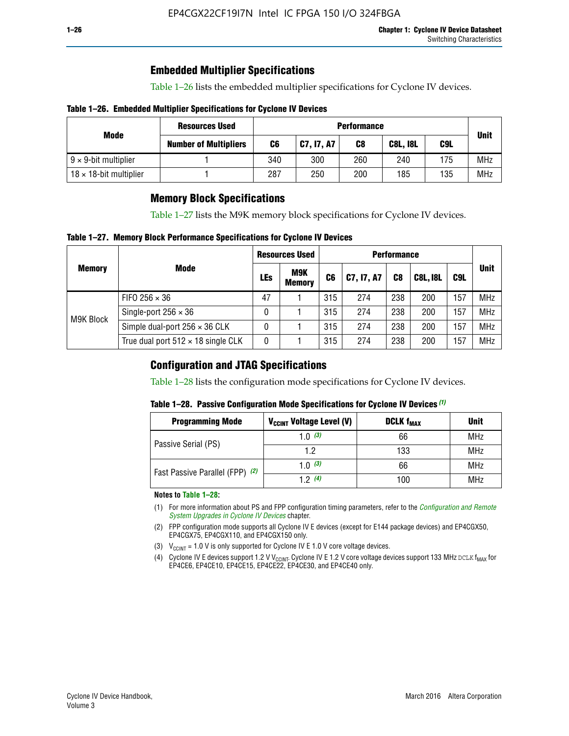## **Embedded Multiplier Specifications**

Table 1–26 lists the embedded multiplier specifications for Cyclone IV devices.

#### **Table 1–26. Embedded Multiplier Specifications for Cyclone IV Devices**

|                                | <b>Resources Used</b>        |     |            | <b>Performance</b> |                 |     |             |
|--------------------------------|------------------------------|-----|------------|--------------------|-----------------|-----|-------------|
| Mode                           | <b>Number of Multipliers</b> | C6  | C7, I7, A7 | C8                 | <b>C8L, I8L</b> | C9L | <b>Unit</b> |
| $9 \times 9$ -bit multiplier   |                              | 340 | 300        | 260                | 240             | 175 | <b>MHz</b>  |
| $18 \times 18$ -bit multiplier |                              | 287 | 250        | 200                | 185             | 135 | <b>MHz</b>  |

## **Memory Block Specifications**

Table 1–27 lists the M9K memory block specifications for Cyclone IV devices.

#### **Table 1–27. Memory Block Performance Specifications for Cyclone IV Devices**

|               |                                           | <b>Resources Used</b> |                             | <b>Performance</b> |            |                |                 |     |             |
|---------------|-------------------------------------------|-----------------------|-----------------------------|--------------------|------------|----------------|-----------------|-----|-------------|
| <b>Memory</b> | <b>Mode</b>                               | LEs                   | <b>M9K</b><br><b>Memory</b> | C <sub>6</sub>     | C7, I7, A7 | C <sub>8</sub> | <b>C8L, I8L</b> | C9L | <b>Unit</b> |
| M9K Block     | FIFO 256 $\times$ 36                      | 47                    |                             | 315                | 274        | 238            | 200             | 157 | <b>MHz</b>  |
|               | Single-port $256 \times 36$               | 0                     |                             | 315                | 274        | 238            | 200             | 157 | <b>MHz</b>  |
|               | Simple dual-port $256 \times 36$ CLK      | 0                     |                             | 315                | 274        | 238            | 200             | 157 | <b>MHz</b>  |
|               | True dual port $512 \times 18$ single CLK | 0                     |                             | 315                | 274        | 238            | 200             | 157 | <b>MHz</b>  |

### **Configuration and JTAG Specifications**

Table 1–28 lists the configuration mode specifications for Cyclone IV devices.

#### **Table 1–28. Passive Configuration Mode Specifications for Cyclone IV Devices** *(1)*

| <b>Programming Mode</b>         | V <sub>CCINT</sub> Voltage Level (V) | <b>DCLK f<sub>MAX</sub></b> | <b>Unit</b> |
|---------------------------------|--------------------------------------|-----------------------------|-------------|
| Passive Serial (PS)             | 1.0 $(3)$                            | 66                          | MHz         |
|                                 | 1.2                                  | 133                         | MHz         |
| Fast Passive Parallel (FPP) (2) | 1.0 $(3)$                            | 66                          | <b>MHz</b>  |
|                                 | 12(4)                                | 100                         | <b>MHz</b>  |

#### **Notes to Table 1–28:**

- (1) For more information about PS and FPP configuration timing parameters, refer to the *[Configuration and Remote](http://www.altera.com/literature/hb/cyclone-iv/cyiv-51008.pdf)  [System Upgrades in Cyclone IV Devices](http://www.altera.com/literature/hb/cyclone-iv/cyiv-51008.pdf)* chapter.
- (2) FPP configuration mode supports all Cyclone IV E devices (except for E144 package devices) and EP4CGX50, EP4CGX75, EP4CGX110, and EP4CGX150 only.
- (3)  $V_{CCMT}$  = 1.0 V is only supported for Cyclone IV E 1.0 V core voltage devices.
- (4) Cyclone IV E devices support 1.2 V V<sub>CCINT</sub>. Cyclone IV E 1.2 V core voltage devices support 133 MHz DCLK f<sub>MAX</sub> for EP4CE6, EP4CE10, EP4CE15, EP4CE22, EP4CE30, and EP4CE40 only.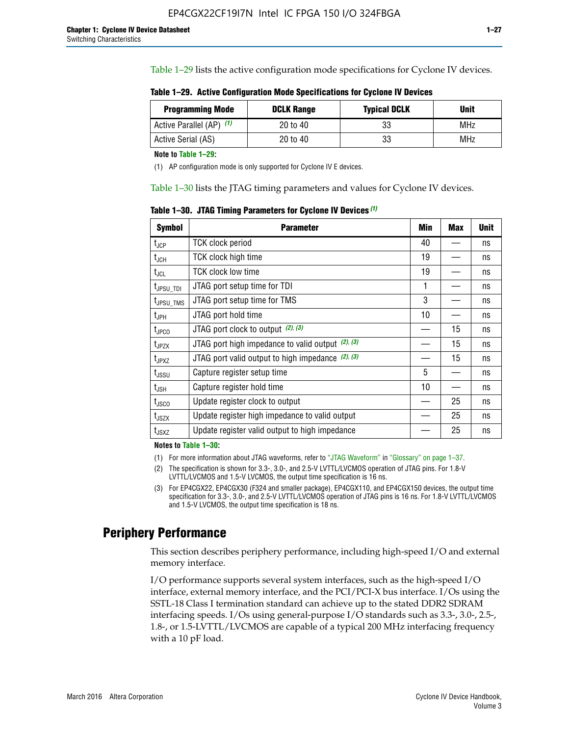Table 1–29 lists the active configuration mode specifications for Cyclone IV devices.

**Table 1–29. Active Configuration Mode Specifications for Cyclone IV Devices**

| <b>Programming Mode</b>  | <b>DCLK Range</b> | <b>Typical DCLK</b> | <b>Unit</b> |
|--------------------------|-------------------|---------------------|-------------|
| Active Parallel (AP) (1) | 20 to 40          | 33                  | MHz         |
| Active Serial (AS)       | 20 to 40          | 33                  | MHz         |

**Note to Table 1–29:**

(1) AP configuration mode is only supported for Cyclone IV E devices.

Table 1–30 lists the JTAG timing parameters and values for Cyclone IV devices.

**Table 1–30. JTAG Timing Parameters for Cyclone IV Devices** *(1)*

| <b>Symbol</b>         | <b>Parameter</b>                                       | Min | <b>Max</b> | <b>Unit</b> |
|-----------------------|--------------------------------------------------------|-----|------------|-------------|
| $t_{JCP}$             | <b>TCK clock period</b>                                | 40  |            | ns          |
| $t_{\rm JCH}$         | TCK clock high time                                    | 19  |            | ns          |
| $t_{JCL}$             | TCK clock low time                                     | 19  |            | ns          |
| $t_{JPSU\_TDI}$       | JTAG port setup time for TDI                           | 1   |            | ns          |
| t <sub>JPSU_TMS</sub> | JTAG port setup time for TMS                           | 3   |            | ns          |
| t <sub>JPH</sub>      | JTAG port hold time                                    | 10  |            | ns          |
| t <sub>JPCO</sub>     | JTAG port clock to output $(2)$ , $(3)$                |     | 15         | ns          |
| t <sub>JPZX</sub>     | JTAG port high impedance to valid output $(2)$ , $(3)$ |     | 15         | ns          |
| t <sub>JPXZ</sub>     | JTAG port valid output to high impedance $(2)$ , $(3)$ |     | 15         | ns          |
| $t_{\rm JSSU}$        | Capture register setup time                            | 5   |            | ns          |
| $t_{\mathsf{JSH}}$    | Capture register hold time                             | 10  |            | ns          |
| $t_{\rm JSCO}$        | Update register clock to output                        |     | 25         | ns          |
| $t_{\text{JSZX}}$     | Update register high impedance to valid output         |     | 25         | ns          |
| t <sub>JSXZ</sub>     | Update register valid output to high impedance         |     | 25         | ns          |

**Notes to Table 1–30:**

(1) For more information about JTAG waveforms, refer to "JTAG Waveform" in "Glossary" on page 1–37.

(2) The specification is shown for 3.3-, 3.0-, and 2.5-V LVTTL/LVCMOS operation of JTAG pins. For 1.8-V LVTTL/LVCMOS and 1.5-V LVCMOS, the output time specification is 16 ns.

(3) For EP4CGX22, EP4CGX30 (F324 and smaller package), EP4CGX110, and EP4CGX150 devices, the output time specification for 3.3-, 3.0-, and 2.5-V LVTTL/LVCMOS operation of JTAG pins is 16 ns. For 1.8-V LVTTL/LVCMOS and 1.5-V LVCMOS, the output time specification is 18 ns.

## **Periphery Performance**

This section describes periphery performance, including high-speed I/O and external memory interface.

I/O performance supports several system interfaces, such as the high-speed I/O interface, external memory interface, and the PCI/PCI-X bus interface. I/Os using the SSTL-18 Class I termination standard can achieve up to the stated DDR2 SDRAM interfacing speeds. I/Os using general-purpose I/O standards such as 3.3-, 3.0-, 2.5-, 1.8-, or 1.5-LVTTL/LVCMOS are capable of a typical 200 MHz interfacing frequency with a 10 pF load.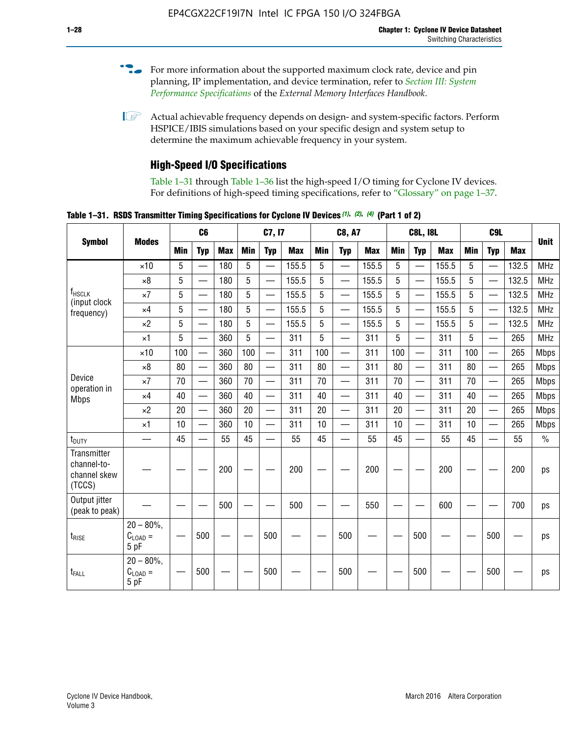- For more information about the supported maximum clock rate, device and pin planning, IP implementation, and device termination, refer to *[Section III: System](http://www.altera.com/literature/hb/external-memory/emi_intro_specs.pdf)  [Performance Specifications](http://www.altera.com/literature/hb/external-memory/emi_intro_specs.pdf)* of the *External Memory Interfaces Handbook*.
- **1 Actual achievable frequency depends on design- and system-specific factors. Perform** HSPICE/IBIS simulations based on your specific design and system setup to determine the maximum achievable frequency in your system.

## **High-Speed I/O Specifications**

Table 1–31 through Table 1–36 list the high-speed I/O timing for Cyclone IV devices. For definitions of high-speed timing specifications, refer to "Glossary" on page 1–37.

**Table 1–31. RSDS Transmitter Timing Specifications for Cyclone IV Devices** *(1)***,** *(2)***,** *(4)* **(Part 1 of 2)**

| <b>Symbol</b>                                        |                                     |            | C <sub>6</sub>           |            |            | C7, I7                   |            |            | <b>C8, A7</b>            |            |            | <b>C8L, I8L</b>          |            |     | C <sub>9</sub> L         |                                                            |             |
|------------------------------------------------------|-------------------------------------|------------|--------------------------|------------|------------|--------------------------|------------|------------|--------------------------|------------|------------|--------------------------|------------|-----|--------------------------|------------------------------------------------------------|-------------|
|                                                      | <b>Modes</b>                        | <b>Min</b> | <b>Typ</b>               | <b>Max</b> | <b>Min</b> | <b>Typ</b>               | <b>Max</b> | <b>Min</b> | <b>Typ</b>               | <b>Max</b> | <b>Min</b> | <b>Typ</b>               | <b>Max</b> | Min | <b>Typ</b>               | <b>Max</b>                                                 | <b>Unit</b> |
|                                                      | $\times$ 10                         | 5          |                          | 180        | 5          | $\overline{\phantom{0}}$ | 155.5      | 5          | $\overline{\phantom{0}}$ | 155.5      | 5          | $\overline{\phantom{0}}$ | 155.5      | 5   |                          | 132.5                                                      | <b>MHz</b>  |
|                                                      | $\times 8$                          | 5          |                          | 180        | 5          |                          | 155.5      | 5          | $\overline{\phantom{0}}$ | 155.5      | 5          |                          | 155.5      | 5   |                          | 132.5                                                      | <b>MHz</b>  |
| f <sub>HSCLK</sub><br>(input clock                   | $\times 7$                          | 5          |                          | 180        | 5          |                          | 155.5      | 5          | $\overline{\phantom{0}}$ | 155.5      | 5          |                          | 155.5      | 5   |                          | 132.5                                                      | <b>MHz</b>  |
| frequency)                                           | $\times$ 4                          | 5          | $\overline{\phantom{0}}$ | 180        | 5          |                          | 155.5      | 5          | $\overline{\phantom{0}}$ | 155.5      | 5          |                          | 155.5      | 5   |                          | 132.5                                                      | <b>MHz</b>  |
|                                                      | $\times 2$                          | 5          | $\overline{\phantom{m}}$ | 180        | 5          | —                        | 155.5      | 5          | $\overline{\phantom{0}}$ | 155.5      | 5          | —                        | 155.5      | 5   | —                        | 132.5                                                      | <b>MHz</b>  |
|                                                      | $\times$ 1                          | 5          |                          | 360        | 5          | $\overline{\phantom{0}}$ | 311        | 5          | $\qquad \qquad$          | 311        | 5          | —                        | 311        | 5   | —                        | 265                                                        | <b>MHz</b>  |
|                                                      | $\times$ 10                         | 100        | $\overline{\phantom{0}}$ | 360        | 100        |                          | 311        | 100        | $\overline{\phantom{0}}$ | 311        | 100        | $\overline{\phantom{0}}$ | 311        | 100 |                          | 265<br>265<br>265<br>265<br>265<br>265<br>55<br>200<br>700 | <b>Mbps</b> |
|                                                      | $\times 8$                          | 80         | $\overline{\phantom{0}}$ | 360        | 80         |                          | 311        | 80         | $\overline{\phantom{0}}$ | 311        | 80         | $\overline{\phantom{0}}$ | 311        | 80  |                          |                                                            | <b>Mbps</b> |
| Device<br>operation in                               | $\times 7$                          | 70         |                          | 360        | 70         | $\equiv$                 | 311        | 70         | $\overline{\phantom{0}}$ | 311        | 70         | $\overline{\phantom{0}}$ | 311        | 70  | $\equiv$                 |                                                            | <b>Mbps</b> |
| <b>Mbps</b>                                          | $\times$ 4                          | 40         |                          | 360        | 40         |                          | 311        | 40         | $\overline{\phantom{0}}$ | 311        | 40         | $\overline{\phantom{0}}$ | 311        | 40  | $\overline{\phantom{0}}$ |                                                            | <b>Mbps</b> |
|                                                      | $\times 2$                          | 20         |                          | 360        | 20         |                          | 311        | 20         |                          | 311        | 20         |                          | 311        | 20  | $\overline{\phantom{0}}$ |                                                            | <b>Mbps</b> |
|                                                      | $\times$ 1                          | 10         |                          | 360        | 10         |                          | 311        | 10         | $\overline{\phantom{0}}$ | 311        | 10         | $\overline{\phantom{0}}$ | 311        | 10  | $\overline{\phantom{0}}$ |                                                            | <b>Mbps</b> |
| $t_{\text{DUTY}}$                                    | $\overline{\phantom{0}}$            | 45         | $\overline{\phantom{0}}$ | 55         | 45         |                          | 55         | 45         | $\overline{\phantom{0}}$ | 55         | 45         |                          | 55         | 45  |                          |                                                            | $\%$        |
| Transmitter<br>channel-to-<br>channel skew<br>(TCCS) |                                     |            |                          | 200        |            |                          | 200        |            |                          | 200        |            |                          | 200        |     |                          |                                                            | ps          |
| Output jitter<br>(peak to peak)                      |                                     |            |                          | 500        |            |                          | 500        |            |                          | 550        |            |                          | 600        |     |                          |                                                            | ps          |
| $t_{\text{RISE}}$                                    | $20 - 80\%$<br>$C_{LOAD} =$<br>5 pF |            | 500                      |            |            | 500                      |            |            | 500                      |            |            | 500                      |            |     | 500                      |                                                            | ps          |
| t <sub>FALL</sub>                                    | $20 - 80\%$<br>$C_{LOAD}$ =<br>5 pF |            | 500                      |            |            | 500                      |            |            | 500                      |            |            | 500                      |            |     | 500                      |                                                            | ps          |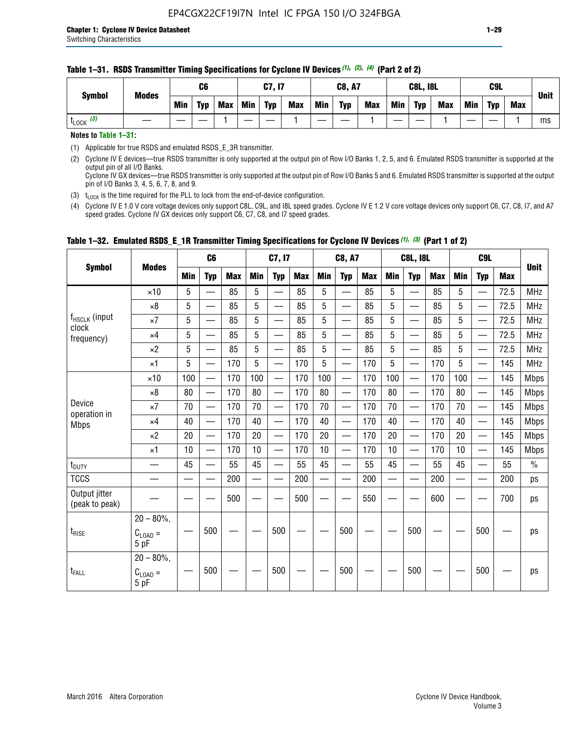#### **Table 1–31. RSDS Transmitter Timing Specifications for Cyclone IV Devices** *(1)***,** *(2)***,** *(4)* **(Part 2 of 2)**

**Notes to Table 1–31:**

(1) Applicable for true RSDS and emulated RSDS\_E\_3R transmitter.

(2) Cyclone IV E devices—true RSDS transmitter is only supported at the output pin of Row I/O Banks 1, 2, 5, and 6. Emulated RSDS transmitter is supported at the output pin of all I/O Banks. Cyclone IV GX devices—true RSDS transmitter is only supported at the output pin of Row I/O Banks 5 and 6. Emulated RSDS transmitter is supported at the output

pin of I/O Banks 3, 4, 5, 6, 7, 8, and 9.

(3)  $t_{\text{LOCK}}$  is the time required for the PLL to lock from the end-of-device configuration.

(4) Cyclone IV E 1.0 V core voltage devices only support C8L, C9L, and I8L speed grades. Cyclone IV E 1.2 V core voltage devices only support C6, C7, C8, I7, and A7 speed grades. Cyclone IV GX devices only support C6, C7, C8, and I7 speed grades.

| <b>Symbol</b>                   |                                              |     | C <sub>6</sub>           |     |            | C7, I7                   |            |                                                                                                                                                                                                                                | <b>C8, A7</b>                  |            |            | <b>C8L, I8L</b>          |            |            | C <sub>9</sub> L         |            | <b>Unit</b>   |
|---------------------------------|----------------------------------------------|-----|--------------------------|-----|------------|--------------------------|------------|--------------------------------------------------------------------------------------------------------------------------------------------------------------------------------------------------------------------------------|--------------------------------|------------|------------|--------------------------|------------|------------|--------------------------|------------|---------------|
|                                 | <b>Modes</b>                                 | Min | <b>Typ</b>               | Max | <b>Min</b> | <b>Typ</b>               | <b>Max</b> | <b>Min</b>                                                                                                                                                                                                                     | <b>Typ</b>                     | <b>Max</b> | <b>Min</b> | <b>Typ</b>               | <b>Max</b> | <b>Min</b> | <b>Typ</b>               | <b>Max</b> |               |
|                                 | $\times$ 10                                  | 5   | $\equiv$                 | 85  | 5          |                          | 85         | 5                                                                                                                                                                                                                              | $\overline{\phantom{0}}$       | 85         | 5          | $\overline{\phantom{0}}$ | 85         | 5          |                          | 72.5       | <b>MHz</b>    |
|                                 | $\times 8$                                   | 5   | $\overline{\phantom{0}}$ | 85  | 5          | $\sim$                   | 85         | 5                                                                                                                                                                                                                              | —                              | 85         | 5          | $\overline{\phantom{0}}$ | 85         | 5          |                          | 72.5       | <b>MHz</b>    |
| f <sub>HSCLK</sub> (input       | $\times 7$                                   | 5   | $\overline{\phantom{0}}$ | 85  | 5          |                          | 85         | 5                                                                                                                                                                                                                              | —                              | 85         | 5          | —                        | 85         | 5          |                          | 72.5       | <b>MHz</b>    |
| clock<br>frequency)             | $\times$ 4                                   | 5   | —                        | 85  | 5          | $\overline{\phantom{a}}$ | 85         | 5                                                                                                                                                                                                                              | $\overline{\phantom{0}}$       | 85         | 5          | $\overline{\phantom{0}}$ | 85         | 5          |                          | 72.5       | <b>MHz</b>    |
|                                 | $\times 2$                                   | 5   | $\overline{\phantom{0}}$ | 85  | 5          | $\sim$                   | 85         | 5                                                                                                                                                                                                                              | $\overline{\phantom{0}}$       | 85         | 5          | $\overline{\phantom{0}}$ | 85         | 5          |                          | 72.5       | <b>MHz</b>    |
|                                 | $\times$ 1                                   | 5   | —                        | 170 | 5          |                          | 170        | 5                                                                                                                                                                                                                              | $\overline{\phantom{0}}$       | 170        | 5          | $\overline{\phantom{0}}$ | 170        | 5          |                          | 145        | <b>MHz</b>    |
|                                 | $\times$ 10                                  | 100 | $\overline{\phantom{0}}$ | 170 | 100        |                          | 170        | 100                                                                                                                                                                                                                            | $\overline{\phantom{0}}$       | 170        | 100        | $\overline{\phantom{0}}$ | 170        | 100        |                          | 145        | <b>Mbps</b>   |
|                                 | $\times 8$                                   | 80  | $\overline{\phantom{0}}$ | 170 | 80         | $\overline{\phantom{0}}$ | 170        | 80                                                                                                                                                                                                                             | $\overline{\phantom{0}}$       | 170        | 80         | $\overline{\phantom{0}}$ | 170        | 80         |                          | 145        | <b>Mbps</b>   |
| Device                          | $\times 7$                                   | 70  | $\qquad \qquad$          | 170 | 70         | —                        | 170        | 70                                                                                                                                                                                                                             | $\qquad \qquad \longleftarrow$ | 170        | 70         | $\overline{\phantom{0}}$ | 170        | 70         | $\hspace{0.05cm}$        | 145        | Mbps          |
| operation in<br><b>Mbps</b>     | $\times$ 4                                   | 40  | $\qquad \qquad$          | 170 | 40         | —                        | 170        | 40                                                                                                                                                                                                                             | $\overline{\phantom{0}}$       | 170        | 40         | $\overline{\phantom{0}}$ | 170        | 40         |                          | 145        | <b>Mbps</b>   |
|                                 | $\times 2$                                   | 20  | $\overline{\phantom{0}}$ | 170 | 20         | —<br>—                   | 170        | 20                                                                                                                                                                                                                             | $\overline{\phantom{0}}$       | 170        | 20         | $\overline{\phantom{0}}$ | 170        | 20         | $\overline{\phantom{0}}$ | 145        | <b>Mbps</b>   |
|                                 | $\times$ 1                                   | 10  | $\overline{\phantom{0}}$ | 170 | 10         | $\overline{\phantom{0}}$ | 170        | 10                                                                                                                                                                                                                             | $\overline{\phantom{0}}$       | 170        | 10         | $\overline{\phantom{0}}$ | 170        | 10         | $\overline{\phantom{0}}$ | 145        | <b>Mbps</b>   |
| $t_{\text{DUTY}}$               |                                              | 45  |                          | 55  | 45         |                          | 55         | 45                                                                                                                                                                                                                             |                                | 55         | 45         | $\overline{\phantom{0}}$ | 55         | 45         |                          | 55         | $\frac{0}{0}$ |
| <b>TCCS</b>                     |                                              |     |                          | 200 |            |                          | 200        | e de la provincia de la provincia de la provincia de la provincia de la provincia de la provincia de la provincia de la provincia de la provincia de la provincia de la provincia de la provincia de la provincia de la provin |                                | 200        |            | $\overline{\phantom{0}}$ | 200        |            |                          | 200        | ps            |
| Output jitter<br>(peak to peak) |                                              |     |                          | 500 |            |                          | 500        |                                                                                                                                                                                                                                |                                | 550        |            |                          | 600        |            |                          | 700        | ps            |
| $t_{\text{RISE}}$               | $20 - 80\%$ ,<br>$C_{\text{LOAD}} =$<br>5 pF |     | 500                      |     |            | 500                      |            |                                                                                                                                                                                                                                | 500                            |            |            | 500                      |            |            | 500                      |            | ps            |
| $t_{FALL}$                      | $20 - 80\%$ ,<br>$C_{LOAD} =$<br>5 pF        |     | 500                      |     |            | 500                      |            |                                                                                                                                                                                                                                | 500                            |            |            | 500                      |            |            | 500                      |            | ps            |

### **Table 1–32. Emulated RSDS\_E\_1R Transmitter Timing Specifications for Cyclone IV Devices** *(1), (3)* **(Part 1 of 2)**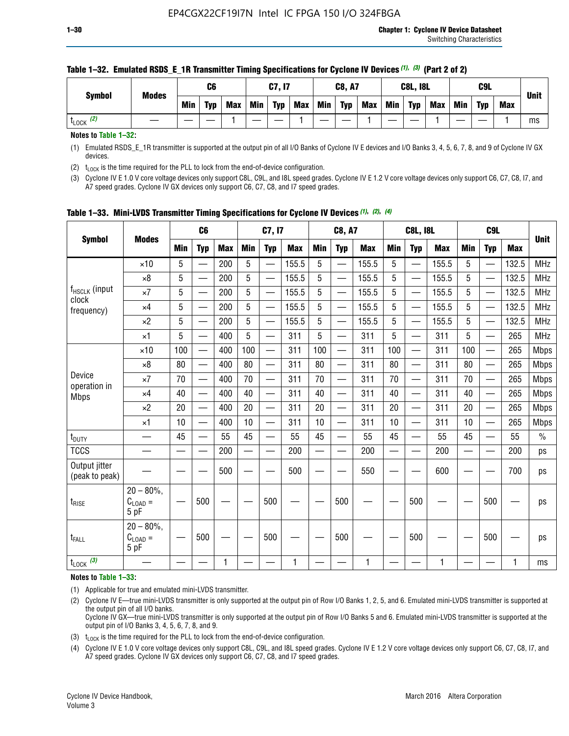| <b>Symbol</b>        | <b>Modes</b> |     | C6         |            |     | C7, I7     |            |     | <b>C8, A7</b> |            |            | <b>C8L, I8L</b> |            |     | C9L        |            | <b>Unit</b> |
|----------------------|--------------|-----|------------|------------|-----|------------|------------|-----|---------------|------------|------------|-----------------|------------|-----|------------|------------|-------------|
|                      |              | Min | <b>Typ</b> | <b>Max</b> | Min | <b>Typ</b> | <b>Max</b> | Min | <b>Typ</b>    | <b>Max</b> | <b>Min</b> | <b>Typ</b>      | <b>Max</b> | Min | <b>Typ</b> | <b>Max</b> |             |
| (2)<br><b>L</b> LOCK |              |     |            |            |     |            |            |     |               |            |            |                 |            |     |            |            | ms          |

#### **Table 1–32. Emulated RSDS\_E\_1R Transmitter Timing Specifications for Cyclone IV Devices** *(1), (3)* **(Part 2 of 2)**

**Notes to Table 1–32:**

(1) Emulated RSDS\_E\_1R transmitter is supported at the output pin of all I/O Banks of Cyclone IV E devices and I/O Banks 3, 4, 5, 6, 7, 8, and 9 of Cyclone IV GX devices.

(2)  $t_{\text{LOCK}}$  is the time required for the PLL to lock from the end-of-device configuration.

(3) Cyclone IV E 1.0 V core voltage devices only support C8L, C9L, and I8L speed grades. Cyclone IV E 1.2 V core voltage devices only support C6, C7, C8, I7, and A7 speed grades. Cyclone IV GX devices only support C6, C7, C8, and I7 speed grades.

| <b>Symbol</b>                   |                                             |     | C <sub>6</sub>           |            |                          | C7, I7                   |            |            | <b>C8, A7</b>            |              |            | <b>C8L, I8L</b>          |            |            | C <sub>9</sub> L         |            | <b>Unit</b> |
|---------------------------------|---------------------------------------------|-----|--------------------------|------------|--------------------------|--------------------------|------------|------------|--------------------------|--------------|------------|--------------------------|------------|------------|--------------------------|------------|-------------|
|                                 | <b>Modes</b>                                | Min | <b>Typ</b>               | <b>Max</b> | <b>Min</b>               | <b>Typ</b>               | <b>Max</b> | <b>Min</b> | <b>Typ</b>               | <b>Max</b>   | <b>Min</b> | <b>Typ</b>               | <b>Max</b> | <b>Min</b> | <b>Typ</b>               | <b>Max</b> |             |
|                                 | $\times$ 10                                 | 5   |                          | 200        | 5                        | —                        | 155.5      | 5          | $\overline{\phantom{0}}$ | 155.5        | 5          | $\overline{\phantom{0}}$ | 155.5      | 5          | $\overline{\phantom{0}}$ | 132.5      | <b>MHz</b>  |
|                                 | $\times 8$                                  | 5   |                          | 200        | 5                        | $\overline{\phantom{0}}$ | 155.5      | 5          | —                        | 155.5        | 5          |                          | 155.5      | 5          |                          | 132.5      | <b>MHz</b>  |
| f <sub>HSCLK</sub> (input       | $\times 7$                                  | 5   |                          | 200        | 5                        | ÷,                       | 155.5      | 5          | —                        | 155.5        | 5          |                          | 155.5      | 5          |                          | 132.5      | <b>MHz</b>  |
| clock<br>frequency)             | $\times$ 4                                  | 5   | $\overline{\phantom{0}}$ | 200        | 5                        | —                        | 155.5      | 5          | $\overline{\phantom{0}}$ | 155.5        | 5          |                          | 155.5      | 5          | $\overline{\phantom{0}}$ | 132.5      | <b>MHz</b>  |
|                                 | $\times 2$                                  | 5   | $\overline{\phantom{0}}$ | 200        | 5                        | $\overline{\phantom{0}}$ | 155.5      | 5          | $\overline{\phantom{0}}$ | 155.5        | 5          | $\overline{\phantom{0}}$ | 155.5      | 5          |                          | 132.5      | <b>MHz</b>  |
|                                 | $\times$ 1                                  | 5   | $\overline{\phantom{0}}$ | 400        | 5                        |                          | 311        | 5          | —                        | 311          | 5          | $\overline{\phantom{0}}$ | 311        | 5          |                          | 265        | <b>MHz</b>  |
|                                 | $\times$ 10                                 | 100 |                          | 400        | 100                      | $\overline{\phantom{0}}$ | 311        | 100        | $\overline{\phantom{0}}$ | 311          | 100        | $\overline{\phantom{0}}$ | 311        | 100        |                          | 265        | <b>Mbps</b> |
|                                 | $\times 8$                                  | 80  | $\overline{\phantom{0}}$ | 400        | 80                       | $\overline{\phantom{0}}$ | 311        | 80         | $\overline{\phantom{0}}$ | 311          | 80         | $\overline{\phantom{0}}$ | 311        | 80         |                          | 265        | <b>Mbps</b> |
| Device                          | $\times 7$                                  | 70  |                          | 400        | 70                       |                          | 311        | 70         | $\overline{\phantom{0}}$ | 311          | 70         |                          | 311        | 70         |                          | 265        | <b>Mbps</b> |
| operation in<br><b>Mbps</b>     | $\times 4$                                  | 40  | $\overline{\phantom{0}}$ | 400        | 40                       |                          | 311        | 40         | $\overline{\phantom{0}}$ | 311          | 40         | —                        | 311        | 40         |                          | 265        | <b>Mbps</b> |
|                                 | $\times 2$                                  | 20  |                          | 400        | 20                       | —                        | 311        | 20         | $\overline{\phantom{0}}$ | 311          | 20         | $\overline{\phantom{0}}$ | 311        | 20         |                          | 265        | <b>Mbps</b> |
|                                 | ×1                                          | 10  | $\overline{\phantom{0}}$ | 400        | 10                       |                          | 311        | 10         | $\overline{\phantom{0}}$ | 311          | 10         | —                        | 311        | 10         |                          | 265        | <b>Mbps</b> |
| t <sub>DUTY</sub>               |                                             | 45  |                          | 55         | 45                       | $\overline{\phantom{0}}$ | 55         | 45         | $\overline{\phantom{0}}$ | 55           | 45         | $\overline{\phantom{0}}$ | 55         | 45         |                          | 55         | $\%$        |
| <b>TCCS</b>                     |                                             |     |                          | 200        | $\overline{\phantom{0}}$ |                          | 200        |            |                          | 200          | —          |                          | 200        |            |                          | 200        | ps          |
| Output jitter<br>(peak to peak) |                                             |     |                          | 500        |                          |                          | 500        |            |                          | 550          |            |                          | 600        |            |                          | 700        | ps          |
| $t_{\sf RISE}$                  | $20 - 80\%$ ,<br>$C_{LOAD} =$<br>5 pF       |     | 500                      |            |                          | 500                      |            |            | 500                      |              |            | 500                      |            |            | 500                      |            | ps          |
| t <sub>FALL</sub>               | $20 - 80\%$<br>$\rm C_{\rm LOAD} =$<br>5 pF |     | 500                      |            |                          | 500                      |            |            | 500                      |              |            | 500                      |            |            | 500                      |            | ps          |
| $t_{\text{LOCK}}$ (3)           |                                             |     |                          | 1          |                          |                          | 1          |            |                          | $\mathbf{1}$ |            |                          | 1          |            |                          | 1          | ms          |

**Table 1–33. Mini-LVDS Transmitter Timing Specifications for Cyclone IV Devices** *(1)***,** *(2)***,** *(4)*

**Notes to Table 1–33:**

(1) Applicable for true and emulated mini-LVDS transmitter.

(2) Cyclone IV E—true mini-LVDS transmitter is only supported at the output pin of Row I/O Banks 1, 2, 5, and 6. Emulated mini-LVDS transmitter is supported at the output pin of all I/O banks.

Cyclone IV GX—true mini-LVDS transmitter is only supported at the output pin of Row I/O Banks 5 and 6. Emulated mini-LVDS transmitter is supported at the output pin of I/O Banks 3, 4, 5, 6, 7, 8, and 9.

(3)  $t_{\text{LOCK}}$  is the time required for the PLL to lock from the end-of-device configuration.

(4) Cyclone IV E 1.0 V core voltage devices only support C8L, C9L, and I8L speed grades. Cyclone IV E 1.2 V core voltage devices only support C6, C7, C8, I7, and A7 speed grades. Cyclone IV GX devices only support C6, C7, C8, and I7 speed grades.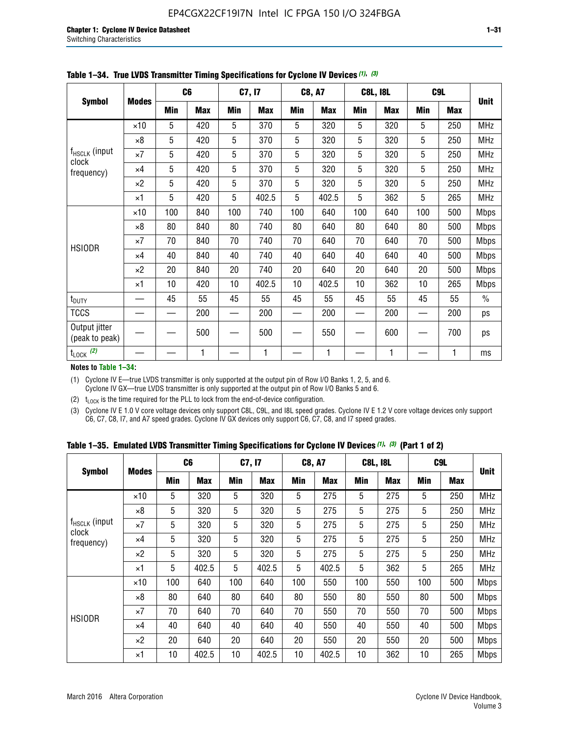|                                                                                                                                                           |              |                 | C <sub>6</sub> |     | C7, I7     |     | <b>C8, A7</b> |             | <b>C8L, I8L</b> |     | C <sub>9</sub> L |               |
|-----------------------------------------------------------------------------------------------------------------------------------------------------------|--------------|-----------------|----------------|-----|------------|-----|---------------|-------------|-----------------|-----|------------------|---------------|
|                                                                                                                                                           | <b>Modes</b> | Min             | <b>Max</b>     | Min | <b>Max</b> | Min | <b>Max</b>    | Min         | <b>Max</b>      | Min | <b>Max</b>       | <b>Unit</b>   |
|                                                                                                                                                           | $\times$ 10  | 5               | 420            | 5   | 370        | 5   | 320           | 5           | 320             | 5   | 250              | MHz           |
| <b>Symbol</b><br>f <sub>HSCLK</sub> (input<br>clock<br>frequency)<br><b>HSIODR</b><br>$t_{\text{DUTY}}$<br><b>TCCS</b><br>Output jitter<br>(peak to peak) | $\times 8$   | $5\phantom{.0}$ | 420            | 5   | 370        | 5   | 320           | $\mathbf 5$ | 320             | 5   | 250              | MHz           |
|                                                                                                                                                           | $\times 7$   | 5               | 420            | 5   | 370        | 5   | 320           | 5           | 320             | 5   | 250              | <b>MHz</b>    |
|                                                                                                                                                           | $\times 4$   | 5               | 420            | 5   | 370        | 5   | 320           | 5           | 320             | 5   | 250              | <b>MHz</b>    |
|                                                                                                                                                           | $\times 2$   | 5               | 420            | 5   | 370        | 5   | 320           | 5           | 320             | 5   | 250              | <b>MHz</b>    |
|                                                                                                                                                           | $\times$ 1   | 5               | 420            | 5   | 402.5      | 5   | 402.5         | 5           | 362             | 5   | 265              | <b>MHz</b>    |
|                                                                                                                                                           | $\times$ 10  | 100             | 840            | 100 | 740        | 100 | 640           | 100         | 640             | 100 | 500              | Mbps          |
|                                                                                                                                                           | $\times 8$   | 80              | 840            | 80  | 740        | 80  | 640           | 80          | 640             | 80  | 500              | <b>Mbps</b>   |
|                                                                                                                                                           | $\times 7$   | 70              | 840            | 70  | 740        | 70  | 640           | 70          | 640             | 70  | 500              | <b>Mbps</b>   |
|                                                                                                                                                           | $\times$ 4   | 40              | 840            | 40  | 740        | 40  | 640           | 40          | 640             | 40  | 500              | <b>Mbps</b>   |
|                                                                                                                                                           | $\times 2$   | 20              | 840            | 20  | 740        | 20  | 640           | 20          | 640             | 20  | 500              | <b>Mbps</b>   |
|                                                                                                                                                           | $\times$ 1   | 10              | 420            | 10  | 402.5      | 10  | 402.5         | 10          | 362             | 10  | 265              | <b>Mbps</b>   |
|                                                                                                                                                           |              | 45              | 55             | 45  | 55         | 45  | 55            | 45          | 55              | 45  | 55               | $\frac{0}{0}$ |
|                                                                                                                                                           |              |                 | 200            |     | 200        |     | 200           |             | 200             |     | 200              | ps            |
|                                                                                                                                                           |              |                 | 500            |     | 500        |     | 550           |             | 600             |     | 700              | ps            |
| $t_{\text{LOCK}}$ (2)                                                                                                                                     |              |                 | 1              |     | 1          |     | 1             |             | 1               |     | 1                | ms            |

|  | Table 1-34. True LVDS Transmitter Timing Specifications for Cyclone IV Devices (1), (3) |  |  |  |
|--|-----------------------------------------------------------------------------------------|--|--|--|
|--|-----------------------------------------------------------------------------------------|--|--|--|

**Notes to Table 1–34:**

(1) Cyclone IV E—true LVDS transmitter is only supported at the output pin of Row I/O Banks 1, 2, 5, and 6. Cyclone IV GX—true LVDS transmitter is only supported at the output pin of Row I/O Banks 5 and 6.

(2)  $t_{\text{LOCK}}$  is the time required for the PLL to lock from the end-of-device configuration.

(3) Cyclone IV E 1.0 V core voltage devices only support C8L, C9L, and I8L speed grades. Cyclone IV E 1.2 V core voltage devices only support C6, C7, C8, I7, and A7 speed grades. Cyclone IV GX devices only support C6, C7, C8, and I7 speed grades.

|  |  |  |  | Table 1–35. Emulated LVDS Transmitter Timing Specifications for Cyclone IV Devices <sup>(1), (3)</sup> (Part 1 of 2) |  |
|--|--|--|--|----------------------------------------------------------------------------------------------------------------------|--|
|--|--|--|--|----------------------------------------------------------------------------------------------------------------------|--|

| <b>Symbol</b><br>$f_{HSCLK}$ (input<br>clock<br>frequency)<br><b>HSIODR</b> |                                                       | C <sub>6</sub> |            | C7, I7     |            | <b>C8, A7</b> |            | <b>C8L, I8L</b> |            |                                                                                                                                                             |            |             |
|-----------------------------------------------------------------------------|-------------------------------------------------------|----------------|------------|------------|------------|---------------|------------|-----------------|------------|-------------------------------------------------------------------------------------------------------------------------------------------------------------|------------|-------------|
|                                                                             | <b>Modes</b>                                          | Min            | <b>Max</b> | <b>Min</b> | <b>Max</b> | <b>Min</b>    | <b>Max</b> | <b>Min</b>      | <b>Max</b> | <b>Min</b>                                                                                                                                                  | <b>Max</b> | <b>Unit</b> |
|                                                                             | $\times$ 10                                           | 5              | 320        | 5          | 320        | 5             | 275        | 5               | 275        | 5                                                                                                                                                           | 250        | <b>MHz</b>  |
|                                                                             | $\times 8$                                            | 5              | 320        | 5          | 320        | 5             | 275        | 5               | 275        | C <sub>9</sub> L<br>5<br>250<br>5<br>250<br>5<br>250<br>5<br>250<br>5<br>265<br>100<br>500<br>80<br>500<br>70<br>500<br>40<br>500<br>20<br>500<br>10<br>265 | <b>MHz</b> |             |
|                                                                             | $\times 7$<br>5<br>5<br>$\times$ 4<br>5<br>$\times 2$ | 320            | 5          | 320        | 5          | 275           | 5          | 275             |            |                                                                                                                                                             | <b>MHz</b> |             |
|                                                                             |                                                       |                | 320        | 5          | 320        | 5             | 275        | 5               | 275        |                                                                                                                                                             |            | <b>MHz</b>  |
|                                                                             |                                                       |                | 320        | 5          | 320        | 5             | 275        | 5               | 275        |                                                                                                                                                             |            | <b>MHz</b>  |
|                                                                             | $\times$ 1                                            | 5              | 402.5      | 5          | 402.5      | 5             | 402.5      | 5               | 362        |                                                                                                                                                             |            | <b>MHz</b>  |
|                                                                             | $\times$ 10                                           | 100            | 640        | 100        | 640        | 100           | 550        | 100             | 550        |                                                                                                                                                             |            | <b>Mbps</b> |
|                                                                             | $\times 8$                                            | 80             | 640        | 80         | 640        | 80            | 550        | 80              | 550        |                                                                                                                                                             |            | <b>Mbps</b> |
|                                                                             | $\times 7$                                            | 70             | 640        | 70         | 640        | 70            | 550        | 70              | 550        |                                                                                                                                                             |            | <b>Mbps</b> |
|                                                                             | $\times$ 4                                            | 40             | 640        | 40         | 640        | 40            | 550        | 40              | 550        |                                                                                                                                                             |            | <b>Mbps</b> |
|                                                                             | $\times 2$                                            | 20             | 640        | 20         | 640        | 20            | 550        | 20              | 550        |                                                                                                                                                             |            | <b>Mbps</b> |
|                                                                             | $\times$ 1                                            | 10             | 402.5      | 10         | 402.5      | 10            | 402.5      | 10              | 362        |                                                                                                                                                             |            | <b>Mbps</b> |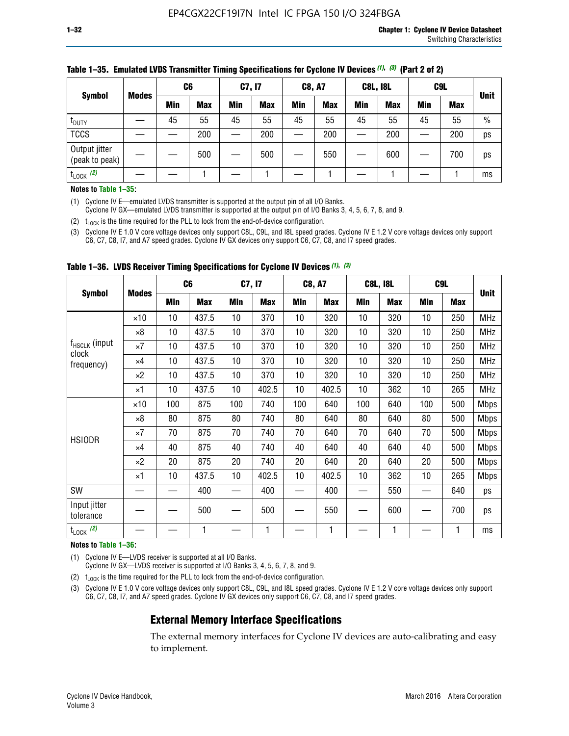|                                 |              | C <sub>6</sub> |            | C7, I7     |            | <b>C8, A7</b> |            | <b>C8L, I8L</b> |            |            | C <sub>9</sub> L |               |
|---------------------------------|--------------|----------------|------------|------------|------------|---------------|------------|-----------------|------------|------------|------------------|---------------|
| <b>Symbol</b>                   | <b>Modes</b> | Min            | <b>Max</b> | <b>Min</b> | <b>Max</b> | <b>Min</b>    | <b>Max</b> | <b>Min</b>      | <b>Max</b> | <b>Min</b> | <b>Max</b>       | <b>Unit</b>   |
| t <sub>DUTY</sub>               |              | 45             | 55         | 45         | 55         | 45            | 55         | 45              | 55         | 45         | 55               | $\frac{0}{0}$ |
| <b>TCCS</b>                     |              |                | 200        |            | 200        |               | 200        |                 | 200        |            | 200              | ps            |
| Output jitter<br>(peak to peak) |              |                | 500        |            | 500        |               | 550        |                 | 600        |            | 700              | ps            |
| $t_{\text{LOCK}}$ (2)           |              |                |            |            |            |               |            |                 |            |            |                  | ms            |

#### **Table 1–35. Emulated LVDS Transmitter Timing Specifications for Cyclone IV Devices** *(1)***,** *(3)* **(Part 2 of 2)**

#### **Notes to Table 1–35:**

(1) Cyclone IV E—emulated LVDS transmitter is supported at the output pin of all I/O Banks.

Cyclone IV GX—emulated LVDS transmitter is supported at the output pin of I/O Banks 3, 4, 5, 6, 7, 8, and 9.

(2)  $t_{\text{LOCK}}$  is the time required for the PLL to lock from the end-of-device configuration.

(3) Cyclone IV E 1.0 V core voltage devices only support C8L, C9L, and I8L speed grades. Cyclone IV E 1.2 V core voltage devices only support C6, C7, C8, I7, and A7 speed grades. Cyclone IV GX devices only support C6, C7, C8, and I7 speed grades.

|                                    |              |     | C <sub>6</sub> |     |                                                                                                                                                                                                                                                                                                                                                                                                                                                                                                                                                                                                                                                                                 |            |            |     |            |     |     |             |
|------------------------------------|--------------|-----|----------------|-----|---------------------------------------------------------------------------------------------------------------------------------------------------------------------------------------------------------------------------------------------------------------------------------------------------------------------------------------------------------------------------------------------------------------------------------------------------------------------------------------------------------------------------------------------------------------------------------------------------------------------------------------------------------------------------------|------------|------------|-----|------------|-----|-----|-------------|
| <b>Symbol</b>                      | <b>Modes</b> | Min | <b>Max</b>     | Min | Max                                                                                                                                                                                                                                                                                                                                                                                                                                                                                                                                                                                                                                                                             | Min        | <b>Max</b> | Min | <b>Max</b> | Min | Max | <b>Unit</b> |
|                                    | $\times$ 10  | 10  | 437.5          | 10  | 370                                                                                                                                                                                                                                                                                                                                                                                                                                                                                                                                                                                                                                                                             | 10         | 320        | 10  | 320        | 10  | 250 | MHz         |
|                                    | ×8           | 10  | 437.5          | 10  | C7, I7<br><b>C8, A7</b><br><b>C8L, I8L</b><br>C <sub>9</sub> L<br>10<br>370<br>10<br>320<br>10<br>320<br>250<br>10<br>370<br>10<br>320<br>320<br>10<br>250<br>10<br>320<br>10<br>370<br>10<br>320<br>250<br>10<br>370<br>10<br>320<br>10<br>320<br>250<br>402.5<br>10<br>402.5<br>10<br>362<br>10<br>265<br>100<br>740<br>100<br>640<br>100<br>640<br>500<br>80<br>80<br>740<br>80<br>640<br>640<br>500<br>70<br>640<br>70<br>740<br>70<br>640<br>500<br>40<br>640<br>40<br>740<br>40<br>640<br>500<br>20<br>640<br>20<br>640<br>20<br>740<br>500<br>10<br>402.5<br>10<br>402.5<br>10<br>362<br>265<br>400<br>400<br>550<br>640<br>500<br>550<br>600<br>700<br>1<br>1<br>1<br>1 | <b>MHz</b> |            |     |            |     |     |             |
| f <sub>HSCLK</sub> (input<br>clock | ×7           | 10  | 437.5          | 10  |                                                                                                                                                                                                                                                                                                                                                                                                                                                                                                                                                                                                                                                                                 |            |            |     |            |     |     | <b>MHz</b>  |
| frequency)                         | $\times 4$   | 10  | 437.5          | 10  |                                                                                                                                                                                                                                                                                                                                                                                                                                                                                                                                                                                                                                                                                 |            |            |     |            |     |     | <b>MHz</b>  |
|                                    | $\times 2$   | 10  | 437.5          | 10  |                                                                                                                                                                                                                                                                                                                                                                                                                                                                                                                                                                                                                                                                                 |            |            |     |            |     |     | <b>MHz</b>  |
|                                    | ×1           | 10  | 437.5          | 10  |                                                                                                                                                                                                                                                                                                                                                                                                                                                                                                                                                                                                                                                                                 |            |            |     |            |     |     | <b>MHz</b>  |
|                                    | $\times$ 10  | 100 | 875            | 100 |                                                                                                                                                                                                                                                                                                                                                                                                                                                                                                                                                                                                                                                                                 |            |            |     |            |     |     | <b>Mbps</b> |
|                                    | $\times 8$   | 80  | 875            | 80  |                                                                                                                                                                                                                                                                                                                                                                                                                                                                                                                                                                                                                                                                                 |            |            |     |            |     |     | <b>Mbps</b> |
| <b>HSIODR</b>                      | ×7           | 70  | 875            | 70  |                                                                                                                                                                                                                                                                                                                                                                                                                                                                                                                                                                                                                                                                                 |            |            |     |            |     |     | <b>Mbps</b> |
|                                    | $\times 4$   | 40  | 875            | 40  |                                                                                                                                                                                                                                                                                                                                                                                                                                                                                                                                                                                                                                                                                 |            |            |     |            |     |     | <b>Mbps</b> |
|                                    | $\times 2$   | 20  | 875            | 20  |                                                                                                                                                                                                                                                                                                                                                                                                                                                                                                                                                                                                                                                                                 |            |            |     |            |     |     | <b>Mbps</b> |
|                                    | ×1           | 10  | 437.5          | 10  |                                                                                                                                                                                                                                                                                                                                                                                                                                                                                                                                                                                                                                                                                 |            |            |     |            |     |     | <b>Mbps</b> |
| SW                                 |              |     | 400            |     |                                                                                                                                                                                                                                                                                                                                                                                                                                                                                                                                                                                                                                                                                 |            |            |     |            |     |     | ps          |
| Input jitter<br>tolerance          |              |     | 500            |     |                                                                                                                                                                                                                                                                                                                                                                                                                                                                                                                                                                                                                                                                                 |            |            |     |            |     |     | ps          |
| $t_{\text{LOCK}}$ (2)              |              |     | 1              |     |                                                                                                                                                                                                                                                                                                                                                                                                                                                                                                                                                                                                                                                                                 |            |            |     |            |     |     | ms          |

**Table 1–36. LVDS Receiver Timing Specifications for Cyclone IV Devices** *(1)***,** *(3)*

#### **Notes to Table 1–36:**

(1) Cyclone IV E—LVDS receiver is supported at all I/O Banks.

Cyclone IV GX—LVDS receiver is supported at I/O Banks 3, 4, 5, 6, 7, 8, and 9.

(2)  $t_{\text{LOCK}}$  is the time required for the PLL to lock from the end-of-device configuration.

(3) Cyclone IV E 1.0 V core voltage devices only support C8L, C9L, and I8L speed grades. Cyclone IV E 1.2 V core voltage devices only support C6, C7, C8, I7, and A7 speed grades. Cyclone IV GX devices only support C6, C7, C8, and I7 speed grades.

### **External Memory Interface Specifications**

The external memory interfaces for Cyclone IV devices are auto-calibrating and easy to implement.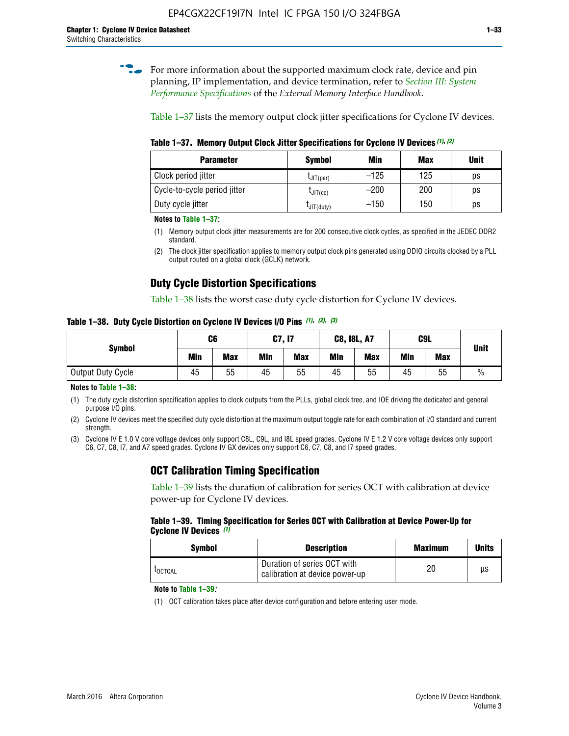**for more information about the supported maximum clock rate, device and pin** planning, IP implementation, and device termination, refer to *[Section III: System](http://www.altera.com/literature/hb/external-memory/emi_intro_specs.pdf)  [Performance Specifications](http://www.altera.com/literature/hb/external-memory/emi_intro_specs.pdf)* of the *External Memory Interface Handbook*.

Table 1–37 lists the memory output clock jitter specifications for Cyclone IV devices.

**Table 1–37. Memory Output Clock Jitter Specifications for Cyclone IV Devices** *(1)***,** *(2)*

| <b>Parameter</b>             | <b>Symbol</b>  | Min    | <b>Max</b> | <b>Unit</b> |
|------------------------------|----------------|--------|------------|-------------|
| Clock period jitter          | $L$ JIT(per)   | $-125$ | 125        | ps          |
| Cycle-to-cycle period jitter | $L$ JIT $(cc)$ | $-200$ | 200        | ps          |
| Duty cycle jitter            | LJIT(duty)     | $-150$ | 150        | рs          |

**Notes to Table 1–37:**

- (1) Memory output clock jitter measurements are for 200 consecutive clock cycles, as specified in the JEDEC DDR2 standard.
- (2) The clock jitter specification applies to memory output clock pins generated using DDIO circuits clocked by a PLL output routed on a global clock (GCLK) network.

## **Duty Cycle Distortion Specifications**

Table 1–38 lists the worst case duty cycle distortion for Cyclone IV devices.

**Table 1–38. Duty Cycle Distortion on Cyclone IV Devices I/O Pins** *(1)***,** *(2), (3)*

| <b>Symbol</b>     | C <sub>6</sub> |            | C7, I7     |            | <b>C8, I8L, A7</b> |            |            | C9L        | <b>Unit</b>   |
|-------------------|----------------|------------|------------|------------|--------------------|------------|------------|------------|---------------|
|                   | Min            | <b>Max</b> | <b>Min</b> | <b>Max</b> | Min                | <b>Max</b> | <b>Min</b> | <b>Max</b> |               |
| Output Duty Cycle | 45             | 55         | 45         | 55         | 45                 | 55         | 45         | 55         | $\frac{0}{0}$ |

**Notes to Table 1–38:**

(1) The duty cycle distortion specification applies to clock outputs from the PLLs, global clock tree, and IOE driving the dedicated and general purpose I/O pins.

(2) Cyclone IV devices meet the specified duty cycle distortion at the maximum output toggle rate for each combination of I/O standard and current strength.

(3) Cyclone IV E 1.0 V core voltage devices only support C8L, C9L, and I8L speed grades. Cyclone IV E 1.2 V core voltage devices only support C6, C7, C8, I7, and A7 speed grades. Cyclone IV GX devices only support C6, C7, C8, and I7 speed grades.

## **OCT Calibration Timing Specification**

Table 1–39 lists the duration of calibration for series OCT with calibration at device power-up for Cyclone IV devices.

#### **Table 1–39. Timing Specification for Series OCT with Calibration at Device Power-Up for Cyclone IV Devices** *(1)*

| Symbol  | <b>Description</b>                                            | <b>Maximum</b> | <b>Units</b> |
|---------|---------------------------------------------------------------|----------------|--------------|
| LOCTCAL | Duration of series OCT with<br>calibration at device power-up | 20             | μs           |

#### **Note to Table 1–39***:*

(1) OCT calibration takes place after device configuration and before entering user mode.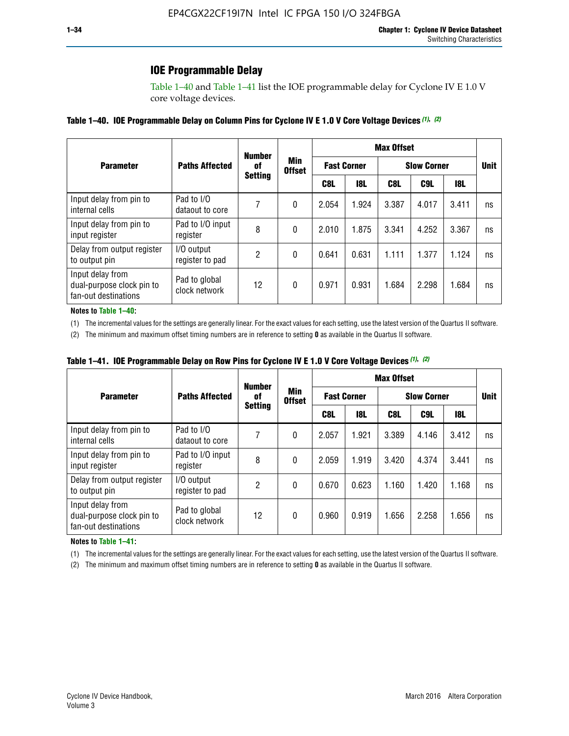## **IOE Programmable Delay**

Table 1–40 and Table 1–41 list the IOE programmable delay for Cyclone IV E 1.0 V core voltage devices.

#### **Table 1–40. IOE Programmable Delay on Column Pins for Cyclone IV E 1.0 V Core Voltage Devices** *(1)***,** *(2)*

|                                                                       |                                | <b>Number</b><br>0f | Min<br><b>Offset</b><br><b>Setting</b> | <b>Max Offset</b>  |            |                    |             |       |    |  |
|-----------------------------------------------------------------------|--------------------------------|---------------------|----------------------------------------|--------------------|------------|--------------------|-------------|-------|----|--|
| <b>Parameter</b>                                                      | <b>Paths Affected</b>          |                     |                                        | <b>Fast Corner</b> |            | <b>Slow Corner</b> | <b>Unit</b> |       |    |  |
|                                                                       |                                |                     |                                        | C8L                | <b>18L</b> | C8L                | C9L         | 18L   |    |  |
| Input delay from pin to<br>internal cells                             | Pad to I/O<br>dataout to core  |                     | 0                                      | 2.054              | 1.924      | 3.387              | 4.017       | 3.411 | ns |  |
| Input delay from pin to<br>input register                             | Pad to I/O input<br>register   | 8                   | 0                                      | 2.010              | 1.875      | 3.341              | 4.252       | 3.367 | ns |  |
| Delay from output register<br>to output pin                           | I/O output<br>register to pad  | 2                   | 0                                      | 0.641              | 0.631      | 1.111              | 1.377       | 1.124 | ns |  |
| Input delay from<br>dual-purpose clock pin to<br>fan-out destinations | Pad to global<br>clock network | 12                  | 0                                      | 0.971              | 0.931      | 1.684              | 2.298       | 1.684 | ns |  |

#### **Notes to Table 1–40:**

(1) The incremental values for the settings are generally linear. For the exact values for each setting, use the latest version of the Quartus II software.

(2) The minimum and maximum offset timing numbers are in reference to setting **0** as available in the Quartus II software.

| Table 1–41. IOE Programmable Delay on Row Pins for Cyclone IV E 1.0 V Core Voltage Devices (1), (2) |  |  |
|-----------------------------------------------------------------------------------------------------|--|--|
|-----------------------------------------------------------------------------------------------------|--|--|

|                                                                       |                                | <b>Number</b>  |                      | <b>Max Offset</b> |                    |                    |             |       |    |  |
|-----------------------------------------------------------------------|--------------------------------|----------------|----------------------|-------------------|--------------------|--------------------|-------------|-------|----|--|
| <b>Parameter</b>                                                      | <b>Paths Affected</b>          | 0f             | Min<br><b>Offset</b> |                   | <b>Fast Corner</b> | <b>Slow Corner</b> | <b>Unit</b> |       |    |  |
|                                                                       |                                | <b>Setting</b> |                      | C8L               | <b>18L</b>         | C8L                | C9L         | 18L   |    |  |
| Input delay from pin to<br>internal cells                             | Pad to I/O<br>dataout to core  |                | 0                    | 2.057             | 1.921              | 3.389              | 4.146       | 3.412 | ns |  |
| Input delay from pin to<br>input register                             | Pad to I/O input<br>register   | 8              | 0                    | 2.059             | 1.919              | 3.420              | 4.374       | 3.441 | ns |  |
| Delay from output register<br>to output pin                           | I/O output<br>register to pad  | 2              | 0                    | 0.670             | 0.623              | 1.160              | 1.420       | 1.168 | ns |  |
| Input delay from<br>dual-purpose clock pin to<br>fan-out destinations | Pad to global<br>clock network | 12             | 0                    | 0.960             | 0.919              | 1.656              | 2.258       | 1.656 | ns |  |

#### **Notes to Table 1–41:**

(1) The incremental values for the settings are generally linear. For the exact values for each setting, use the latest version of the Quartus II software.

(2) The minimum and maximum offset timing numbers are in reference to setting **0** as available in the Quartus II software.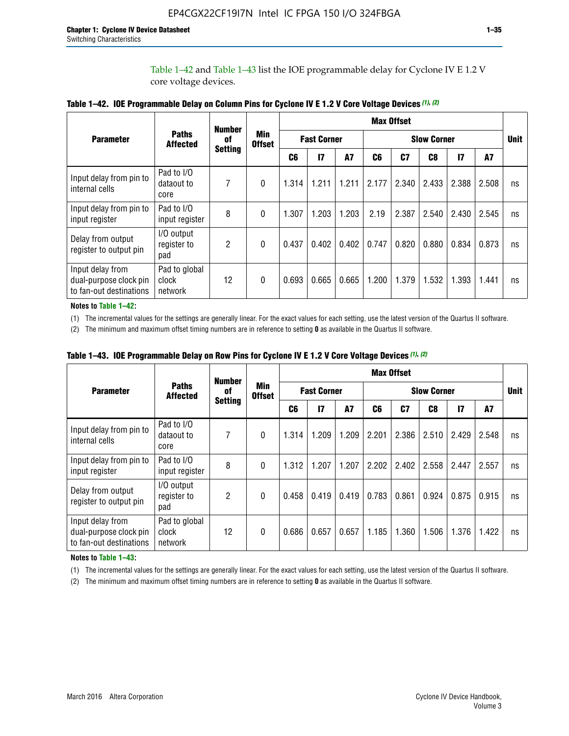Table 1–42 and Table 1–43 list the IOE programmable delay for Cyclone IV E 1.2 V core voltage devices.

|                                                                       |                                   | <b>Number</b>        |                             | <b>Max Offset</b>  |              |           |       |                    |       |               |       |    |
|-----------------------------------------------------------------------|-----------------------------------|----------------------|-----------------------------|--------------------|--------------|-----------|-------|--------------------|-------|---------------|-------|----|
| <b>Parameter</b>                                                      | <b>Paths</b><br><b>Affected</b>   | of<br><b>Setting</b> | <b>Min</b><br><b>Offset</b> | <b>Fast Corner</b> |              |           |       | <b>Slow Corner</b> |       |               |       |    |
|                                                                       |                                   |                      |                             | C <sub>6</sub>     | $\mathbf{I}$ | <b>A7</b> | C6    | C7                 | C8    | $\mathsf{I}7$ | A7    |    |
| Input delay from pin to<br>internal cells                             | Pad to I/O<br>dataout to<br>core  | 7                    | 0                           | 1.314              | 1.211        | 1.211     | 2.177 | 2.340              | 2.433 | 2.388         | 2.508 | ns |
| Input delay from pin to<br>input register                             | Pad to I/O<br>input register      | 8                    | $\Omega$                    | 1.307              | 1.203        | 1.203     | 2.19  | 2.387              | 2.540 | 2.430         | 2.545 | ns |
| Delay from output<br>register to output pin                           | I/O output<br>register to<br>pad  | 2                    | 0                           | 0.437              | 0.402        | 0.402     | 0.747 | 0.820              | 0.880 | 0.834         | 0.873 | ns |
| Input delay from<br>dual-purpose clock pin<br>to fan-out destinations | Pad to global<br>clock<br>network | 12                   | 0                           | 0.693              | 0.665        | 0.665     | 1.200 | 1.379              | 1.532 | 1.393         | 1.441 | ns |

**Table 1–42. IOE Programmable Delay on Column Pins for Cyclone IV E 1.2 V Core Voltage Devices** *(1)***,** *(2)*

**Notes to Table 1–42:**

(1) The incremental values for the settings are generally linear. For the exact values for each setting, use the latest version of the Quartus II software.

(2) The minimum and maximum offset timing numbers are in reference to setting **0** as available in the Quartus II software.

|                                                                       |                                   | <b>Number</b>        |                      |                    |       |       |       | <b>Max Offset</b>  |       |               |       |    |
|-----------------------------------------------------------------------|-----------------------------------|----------------------|----------------------|--------------------|-------|-------|-------|--------------------|-------|---------------|-------|----|
| <b>Parameter</b>                                                      | <b>Paths</b><br><b>Affected</b>   | 0f<br><b>Setting</b> | Min<br><b>Offset</b> | <b>Fast Corner</b> |       |       |       | <b>Slow Corner</b> |       |               |       |    |
|                                                                       |                                   |                      |                      | C6                 | 17    | A7    | C6    | C <sub>7</sub>     | C8    | $\mathsf{I}7$ | A7    |    |
| Input delay from pin to<br>internal cells                             | Pad to I/O<br>dataout to<br>core  | 7                    | 0                    | 1.314              | 1.209 | 1.209 | 2.201 | 2.386              | 2.510 | 2.429         | 2.548 | ns |
| Input delay from pin to<br>input register                             | Pad to I/O<br>input register      | 8                    | $\theta$             | 1.312              | 1.207 | 1.207 | 2.202 | 2.402              | 2.558 | 2.447         | 2.557 | ns |
| Delay from output<br>register to output pin                           | I/O output<br>register to<br>pad  | 2                    | $\Omega$             | 0.458              | 0.419 | 0.419 | 0.783 | 0.861              | 0.924 | 0.875         | 0.915 | ns |
| Input delay from<br>dual-purpose clock pin<br>to fan-out destinations | Pad to global<br>clock<br>network | 12                   | 0                    | 0.686              | 0.657 | 0.657 | 1.185 | 1.360              | 1.506 | 1.376         | 1.422 | ns |

**Table 1–43. IOE Programmable Delay on Row Pins for Cyclone IV E 1.2 V Core Voltage Devices** *(1)***,** *(2)*

#### **Notes to Table 1–43:**

(1) The incremental values for the settings are generally linear. For the exact values for each setting, use the latest version of the Quartus II software.

(2) The minimum and maximum offset timing numbers are in reference to setting **0** as available in the Quartus II software.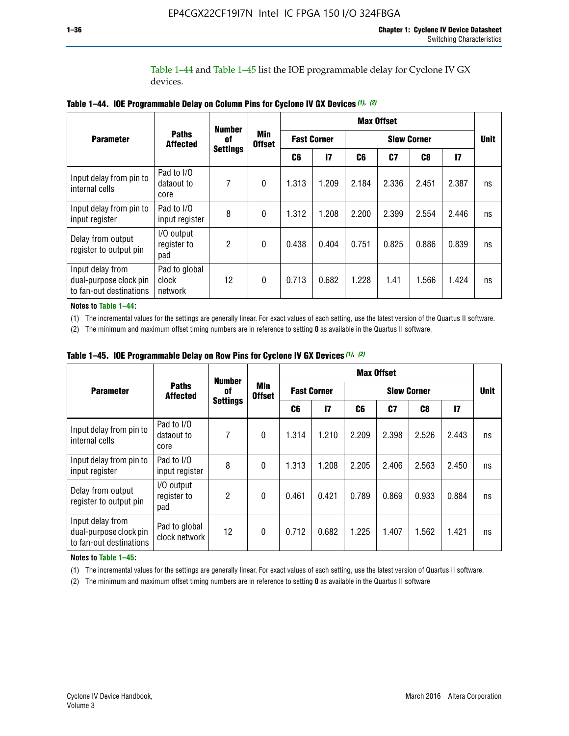Table 1–44 and Table 1–45 list the IOE programmable delay for Cyclone IV GX devices.

|                                                                       |                                   | <b>Number</b>         |                      |       |                    |       | <b>Max Offset</b> |       |               |    |
|-----------------------------------------------------------------------|-----------------------------------|-----------------------|----------------------|-------|--------------------|-------|-------------------|-------|---------------|----|
| <b>Parameter</b>                                                      | <b>Paths</b><br><b>Affected</b>   | 0f<br><b>Settings</b> | Min<br><b>Offset</b> |       | <b>Fast Corner</b> |       | <b>Unit</b>       |       |               |    |
|                                                                       |                                   |                       |                      | C6    | $\mathbf{I}$       | C6    | C7                | C8    | $\mathsf{I}7$ |    |
| Input delay from pin to<br>internal cells                             | Pad to I/O<br>dataout to<br>core  | 7                     | $\mathbf{0}$         | 1.313 | 1.209              | 2.184 | 2.336             | 2.451 | 2.387         | ns |
| Input delay from pin to<br>input register                             | Pad to I/O<br>input register      | 8                     | $\Omega$             | 1.312 | 1.208              | 2.200 | 2.399             | 2.554 | 2.446         | ns |
| Delay from output<br>register to output pin                           | I/O output<br>register to<br>pad  | 2                     | $\mathbf{0}$         | 0.438 | 0.404              | 0.751 | 0.825             | 0.886 | 0.839         | ns |
| Input delay from<br>dual-purpose clock pin<br>to fan-out destinations | Pad to global<br>clock<br>network | 12                    | 0                    | 0.713 | 0.682              | 1.228 | 1.41              | 1.566 | 1.424         | ns |

**Table 1–44. IOE Programmable Delay on Column Pins for Cyclone IV GX Devices** *(1)***,** *(2)*

**Notes to Table 1–44:**

(1) The incremental values for the settings are generally linear. For exact values of each setting, use the latest version of the Quartus II software.

(2) The minimum and maximum offset timing numbers are in reference to setting **0** as available in the Quartus II software.

|                                                                       |                                  | <b>Number</b>         |                      |       |                    |       | <b>Max Offset</b> |       |               |    |
|-----------------------------------------------------------------------|----------------------------------|-----------------------|----------------------|-------|--------------------|-------|-------------------|-------|---------------|----|
| <b>Parameter</b>                                                      | <b>Paths</b><br><b>Affected</b>  | 0f<br><b>Settings</b> | Min<br><b>Offset</b> |       | <b>Fast Corner</b> |       | <b>Unit</b>       |       |               |    |
|                                                                       |                                  |                       |                      | C6    | $\mathbf{I}$       | C6    | C <sub>7</sub>    | C8    | $\mathsf{I}7$ |    |
| Input delay from pin to<br>internal cells                             | Pad to I/O<br>dataout to<br>core | 7                     | $\mathbf{0}$         | 1.314 | 1.210              | 2.209 | 2.398             | 2.526 | 2.443         | ns |
| Input delay from pin to<br>input register                             | Pad to I/O<br>input register     | 8                     | $\mathbf{0}$         | 1.313 | 1.208              | 2.205 | 2.406             | 2.563 | 2.450         | ns |
| Delay from output<br>register to output pin                           | I/O output<br>register to<br>pad | 2                     | $\mathbf{0}$         | 0.461 | 0.421              | 0.789 | 0.869             | 0.933 | 0.884         | ns |
| Input delay from<br>dual-purpose clock pin<br>to fan-out destinations | Pad to global<br>clock network   | 12                    | 0                    | 0.712 | 0.682              | 1.225 | 1.407             | 1.562 | 1.421         | ns |

**Table 1–45. IOE Programmable Delay on Row Pins for Cyclone IV GX Devices** *(1)***,** *(2)*

#### **Notes to Table 1–45:**

(1) The incremental values for the settings are generally linear. For exact values of each setting, use the latest version of Quartus II software.

(2) The minimum and maximum offset timing numbers are in reference to setting **0** as available in the Quartus II software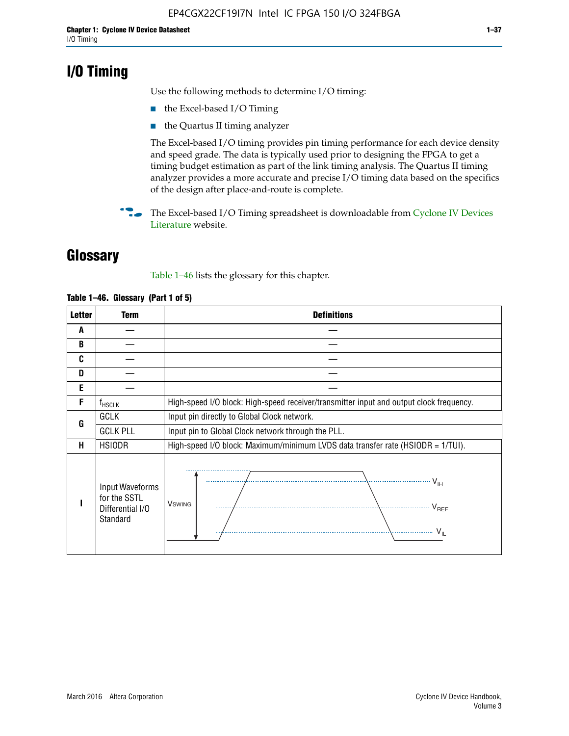## **I/O Timing**

Use the following methods to determine I/O timing:

- the Excel-based I/O Timing
- the Quartus II timing analyzer

The Excel-based I/O timing provides pin timing performance for each device density and speed grade. The data is typically used prior to designing the FPGA to get a timing budget estimation as part of the link timing analysis. The Quartus II timing analyzer provides a more accurate and precise I/O timing data based on the specifics of the design after place-and-route is complete.

**For The Excel-based I/O Timing spreadsheet is downloadable from Cyclone IV Devices** [Literature](http://www.altera.com/literature/lit-cyclone-iv.jsp) website.

## **Glossary**

Table 1–46 lists the glossary for this chapter.

| <b>Letter</b> | Term                                                            | <b>Definitions</b>                                                                                                                                                                                                                                                                                                                                                                                                                                                |  |  |  |  |  |  |  |
|---------------|-----------------------------------------------------------------|-------------------------------------------------------------------------------------------------------------------------------------------------------------------------------------------------------------------------------------------------------------------------------------------------------------------------------------------------------------------------------------------------------------------------------------------------------------------|--|--|--|--|--|--|--|
| A             |                                                                 |                                                                                                                                                                                                                                                                                                                                                                                                                                                                   |  |  |  |  |  |  |  |
| B             |                                                                 |                                                                                                                                                                                                                                                                                                                                                                                                                                                                   |  |  |  |  |  |  |  |
| C             |                                                                 |                                                                                                                                                                                                                                                                                                                                                                                                                                                                   |  |  |  |  |  |  |  |
| D             |                                                                 |                                                                                                                                                                                                                                                                                                                                                                                                                                                                   |  |  |  |  |  |  |  |
| E             |                                                                 |                                                                                                                                                                                                                                                                                                                                                                                                                                                                   |  |  |  |  |  |  |  |
| F             | $f_{HSCLK}$                                                     | High-speed I/O block: High-speed receiver/transmitter input and output clock frequency.                                                                                                                                                                                                                                                                                                                                                                           |  |  |  |  |  |  |  |
| G             | <b>GCLK</b>                                                     | Input pin directly to Global Clock network.                                                                                                                                                                                                                                                                                                                                                                                                                       |  |  |  |  |  |  |  |
|               | <b>GCLK PLL</b>                                                 | Input pin to Global Clock network through the PLL.                                                                                                                                                                                                                                                                                                                                                                                                                |  |  |  |  |  |  |  |
| н             | <b>HSIODR</b>                                                   | High-speed I/O block: Maximum/minimum LVDS data transfer rate (HSIODR = 1/TUI).                                                                                                                                                                                                                                                                                                                                                                                   |  |  |  |  |  |  |  |
|               | Input Waveforms<br>for the SSTL<br>Differential I/O<br>Standard | $\frac{1}{1 + \frac{1}{1 + \frac{1}{1 + \frac{1}{1 + \frac{1}{1 + \frac{1}{1 + \frac{1}{1 + \frac{1}{1 + \frac{1}{1 + \frac{1}{1 + \frac{1}{1 + \frac{1}{1 + \frac{1}{1 + \frac{1}{1 + \frac{1}{1 + \frac{1}{1 + \frac{1}{1 + \frac{1}{1 + \frac{1}{1 + \frac{1}{1 + \frac{1}{1 + \frac{1}{1 + \frac{1}{1 + \frac{1}{1 + \frac{1}{1 + \frac{1}{1 + \frac{1}{1 + \frac{1}{1 + \frac{1}{1 + \frac{1}{1 + \frac{1}{1 + \frac{$<br><b>V</b> swing<br>V <sub>REF</sub> |  |  |  |  |  |  |  |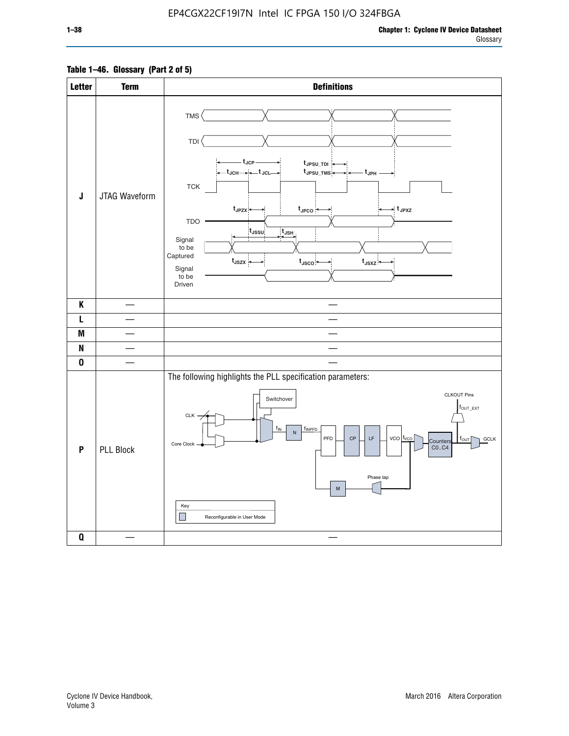### **Table 1–46. Glossary (Part 2 of 5)**

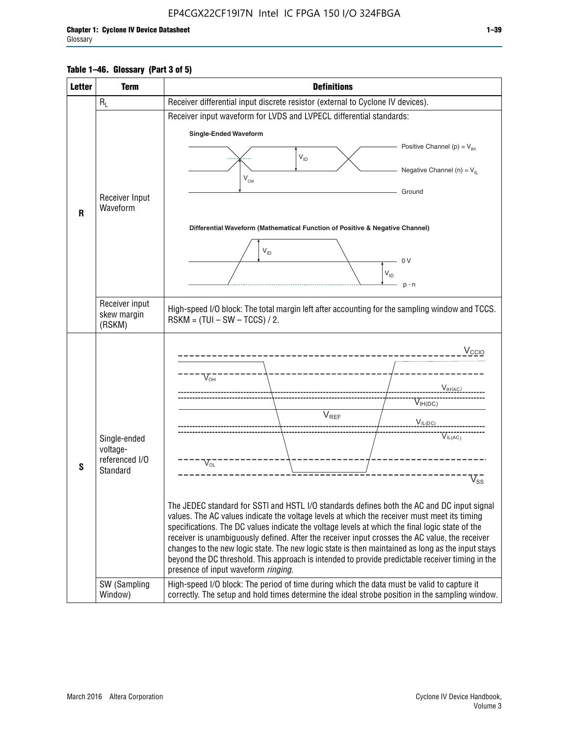### **Table 1–46. Glossary (Part 3 of 5)**

| <b>Letter</b> | <b>Term</b>                                                            | <b>Definitions</b>                                                                                                                                                                                                                                                                                                                                                                                                                                                                                                                                                                                                                                                                                                                                                                                                                                                                                                                        |  |  |  |  |  |  |  |  |
|---------------|------------------------------------------------------------------------|-------------------------------------------------------------------------------------------------------------------------------------------------------------------------------------------------------------------------------------------------------------------------------------------------------------------------------------------------------------------------------------------------------------------------------------------------------------------------------------------------------------------------------------------------------------------------------------------------------------------------------------------------------------------------------------------------------------------------------------------------------------------------------------------------------------------------------------------------------------------------------------------------------------------------------------------|--|--|--|--|--|--|--|--|
|               | $R_L$                                                                  | Receiver differential input discrete resistor (external to Cyclone IV devices).                                                                                                                                                                                                                                                                                                                                                                                                                                                                                                                                                                                                                                                                                                                                                                                                                                                           |  |  |  |  |  |  |  |  |
|               |                                                                        | Receiver input waveform for LVDS and LVPECL differential standards:                                                                                                                                                                                                                                                                                                                                                                                                                                                                                                                                                                                                                                                                                                                                                                                                                                                                       |  |  |  |  |  |  |  |  |
|               |                                                                        | <b>Single-Ended Waveform</b>                                                                                                                                                                                                                                                                                                                                                                                                                                                                                                                                                                                                                                                                                                                                                                                                                                                                                                              |  |  |  |  |  |  |  |  |
|               |                                                                        | Positive Channel (p) = $V_{\text{H}}$                                                                                                                                                                                                                                                                                                                                                                                                                                                                                                                                                                                                                                                                                                                                                                                                                                                                                                     |  |  |  |  |  |  |  |  |
|               |                                                                        | $V_{ID}$                                                                                                                                                                                                                                                                                                                                                                                                                                                                                                                                                                                                                                                                                                                                                                                                                                                                                                                                  |  |  |  |  |  |  |  |  |
|               |                                                                        | Negative Channel (n) = $V_{\parallel}$<br>$V_{CM}$                                                                                                                                                                                                                                                                                                                                                                                                                                                                                                                                                                                                                                                                                                                                                                                                                                                                                        |  |  |  |  |  |  |  |  |
|               | Receiver Input                                                         | Ground                                                                                                                                                                                                                                                                                                                                                                                                                                                                                                                                                                                                                                                                                                                                                                                                                                                                                                                                    |  |  |  |  |  |  |  |  |
| $\mathbf{R}$  | Waveform                                                               |                                                                                                                                                                                                                                                                                                                                                                                                                                                                                                                                                                                                                                                                                                                                                                                                                                                                                                                                           |  |  |  |  |  |  |  |  |
|               |                                                                        | Differential Waveform (Mathematical Function of Positive & Negative Channel)                                                                                                                                                                                                                                                                                                                                                                                                                                                                                                                                                                                                                                                                                                                                                                                                                                                              |  |  |  |  |  |  |  |  |
|               |                                                                        |                                                                                                                                                                                                                                                                                                                                                                                                                                                                                                                                                                                                                                                                                                                                                                                                                                                                                                                                           |  |  |  |  |  |  |  |  |
|               |                                                                        | $V_{ID}$<br>0 <sup>V</sup>                                                                                                                                                                                                                                                                                                                                                                                                                                                                                                                                                                                                                                                                                                                                                                                                                                                                                                                |  |  |  |  |  |  |  |  |
|               |                                                                        | $V_{ID}$                                                                                                                                                                                                                                                                                                                                                                                                                                                                                                                                                                                                                                                                                                                                                                                                                                                                                                                                  |  |  |  |  |  |  |  |  |
|               |                                                                        | $p - n$                                                                                                                                                                                                                                                                                                                                                                                                                                                                                                                                                                                                                                                                                                                                                                                                                                                                                                                                   |  |  |  |  |  |  |  |  |
|               | Receiver input<br>skew margin                                          | High-speed I/O block: The total margin left after accounting for the sampling window and TCCS.                                                                                                                                                                                                                                                                                                                                                                                                                                                                                                                                                                                                                                                                                                                                                                                                                                            |  |  |  |  |  |  |  |  |
|               | (RSKM)                                                                 | $RSKM = (TUI - SW - TCCS) / 2.$                                                                                                                                                                                                                                                                                                                                                                                                                                                                                                                                                                                                                                                                                                                                                                                                                                                                                                           |  |  |  |  |  |  |  |  |
| S             | Single-ended<br>voltage-<br>referenced I/O<br>Standard<br>SW (Sampling | $V_{CCIO}$<br>$V_{\text{\tiny OH}}^-$<br>V <sub>IH</sub> (AC)<br>$V_{IH(DC)}$<br>V <sub>REF</sub><br>$V_{I L (DC)}$<br>$\overline{V}_{IL(AC)}$<br>$V_{OL}$<br>$\overline{V}_{\text{SS}}$<br>The JEDEC standard for SSTI and HSTL I/O standards defines both the AC and DC input signal<br>values. The AC values indicate the voltage levels at which the receiver must meet its timing<br>specifications. The DC values indicate the voltage levels at which the final logic state of the<br>receiver is unambiguously defined. After the receiver input crosses the AC value, the receiver<br>changes to the new logic state. The new logic state is then maintained as long as the input stays<br>beyond the DC threshold. This approach is intended to provide predictable receiver timing in the<br>presence of input waveform ringing.<br>High-speed I/O block: The period of time during which the data must be valid to capture it |  |  |  |  |  |  |  |  |
|               | Window)                                                                | correctly. The setup and hold times determine the ideal strobe position in the sampling window.                                                                                                                                                                                                                                                                                                                                                                                                                                                                                                                                                                                                                                                                                                                                                                                                                                           |  |  |  |  |  |  |  |  |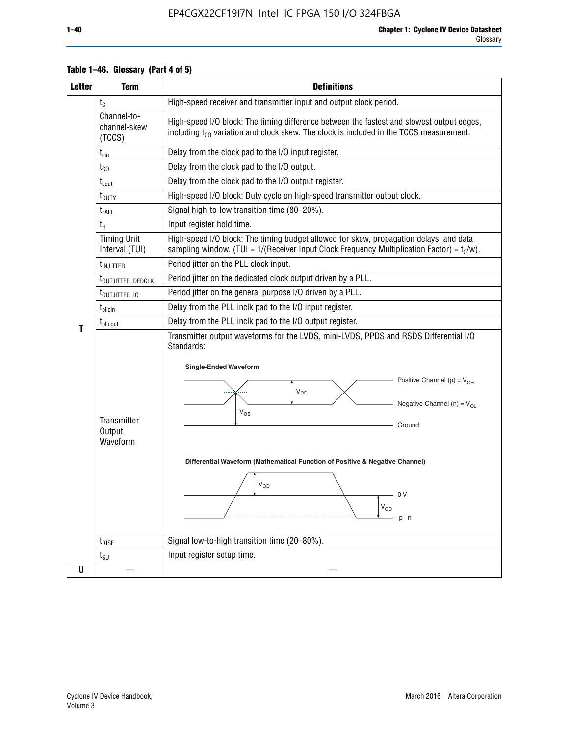| <b>Letter</b> | <b>Term</b>                           | <b>Definitions</b>                                                                                                                                                                                                                                                                                                                                                |  |  |  |  |  |  |  |  |
|---------------|---------------------------------------|-------------------------------------------------------------------------------------------------------------------------------------------------------------------------------------------------------------------------------------------------------------------------------------------------------------------------------------------------------------------|--|--|--|--|--|--|--|--|
|               | $t_{C}$                               | High-speed receiver and transmitter input and output clock period.                                                                                                                                                                                                                                                                                                |  |  |  |  |  |  |  |  |
|               | Channel-to-<br>channel-skew<br>(TCCS) | High-speed I/O block: The timing difference between the fastest and slowest output edges,<br>including $t_{C0}$ variation and clock skew. The clock is included in the TCCS measurement.                                                                                                                                                                          |  |  |  |  |  |  |  |  |
|               | $t_{\text{cin}}$                      | Delay from the clock pad to the I/O input register.                                                                                                                                                                                                                                                                                                               |  |  |  |  |  |  |  |  |
|               | $t_{CO}$                              | Delay from the clock pad to the I/O output.                                                                                                                                                                                                                                                                                                                       |  |  |  |  |  |  |  |  |
|               | $t_{\text{cout}}$                     | Delay from the clock pad to the I/O output register.                                                                                                                                                                                                                                                                                                              |  |  |  |  |  |  |  |  |
|               | t <sub>DUTY</sub>                     | High-speed I/O block: Duty cycle on high-speed transmitter output clock.                                                                                                                                                                                                                                                                                          |  |  |  |  |  |  |  |  |
|               | t <sub>FALL</sub>                     | Signal high-to-low transition time (80-20%).                                                                                                                                                                                                                                                                                                                      |  |  |  |  |  |  |  |  |
|               | $t_H$                                 | Input register hold time.                                                                                                                                                                                                                                                                                                                                         |  |  |  |  |  |  |  |  |
|               | <b>Timing Unit</b><br>Interval (TUI)  | High-speed I/O block: The timing budget allowed for skew, propagation delays, and data<br>sampling window. (TUI = $1/($ Receiver Input Clock Frequency Multiplication Factor) = $t_c/w$ ).                                                                                                                                                                        |  |  |  |  |  |  |  |  |
|               | t <sub>INJITTER</sub>                 | Period jitter on the PLL clock input.                                                                                                                                                                                                                                                                                                                             |  |  |  |  |  |  |  |  |
|               | t <sub>outjitter_dedclk</sub>         | Period jitter on the dedicated clock output driven by a PLL.                                                                                                                                                                                                                                                                                                      |  |  |  |  |  |  |  |  |
|               | t <sub>outjitter_io</sub>             | Period jitter on the general purpose I/O driven by a PLL.                                                                                                                                                                                                                                                                                                         |  |  |  |  |  |  |  |  |
|               | $t_{\text{pllcin}}$                   | Delay from the PLL inclk pad to the I/O input register.                                                                                                                                                                                                                                                                                                           |  |  |  |  |  |  |  |  |
| т             | $t_{\text{pll}$ cout                  | Delay from the PLL inclk pad to the I/O output register.                                                                                                                                                                                                                                                                                                          |  |  |  |  |  |  |  |  |
|               | Transmitter<br>Output<br>Waveform     | Transmitter output waveforms for the LVDS, mini-LVDS, PPDS and RSDS Differential I/O<br>Standards:<br><b>Single-Ended Waveform</b><br>Positive Channel (p) = $V_{OH}$<br>VOD<br>Negative Channel (n) = $V_{OL}$<br>$V_{OS}$<br>Ground<br>Differential Waveform (Mathematical Function of Positive & Negative Channel)<br>$V_{OD}$<br>- 0 V<br>$V_{OD}$<br>$p - n$ |  |  |  |  |  |  |  |  |
|               | $t_{\text{RISE}}$                     | Signal low-to-high transition time (20-80%).                                                                                                                                                                                                                                                                                                                      |  |  |  |  |  |  |  |  |
|               | $t_{\scriptstyle\text{SU}}$           | Input register setup time.                                                                                                                                                                                                                                                                                                                                        |  |  |  |  |  |  |  |  |
| U             |                                       |                                                                                                                                                                                                                                                                                                                                                                   |  |  |  |  |  |  |  |  |

#### **Table 1–46. Glossary (Part 4 of 5)**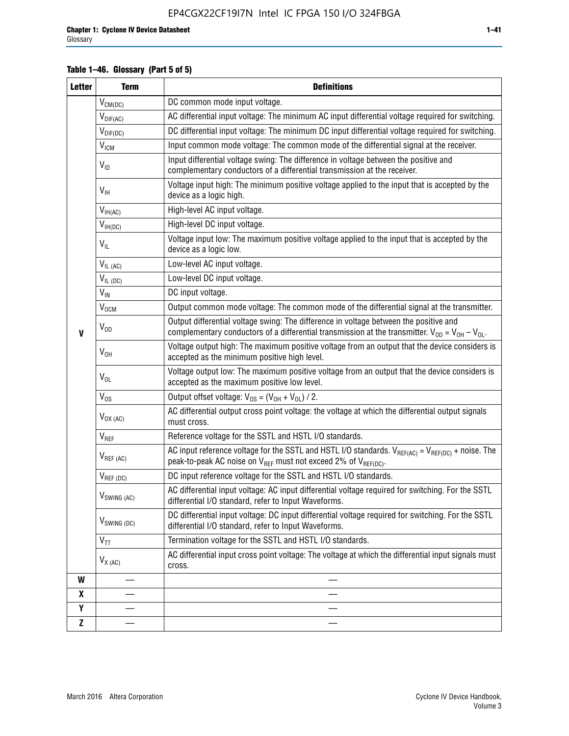### **Table 1–46. Glossary (Part 5 of 5)**

| <b>Letter</b> | <b>Term</b>             | <b>Definitions</b>                                                                                                                                                                                |  |  |
|---------------|-------------------------|---------------------------------------------------------------------------------------------------------------------------------------------------------------------------------------------------|--|--|
|               | $V_{CM(DC)}$            | DC common mode input voltage.                                                                                                                                                                     |  |  |
|               | $V_{DIF(AC)}$           | AC differential input voltage: The minimum AC input differential voltage required for switching.                                                                                                  |  |  |
|               | $V_{DIF(DC)}$           | DC differential input voltage: The minimum DC input differential voltage required for switching.                                                                                                  |  |  |
|               | V <sub>ICM</sub>        | Input common mode voltage: The common mode of the differential signal at the receiver.                                                                                                            |  |  |
|               | $V_{ID}$                | Input differential voltage swing: The difference in voltage between the positive and<br>complementary conductors of a differential transmission at the receiver.                                  |  |  |
|               | $V_{\text{IH}}$         | Voltage input high: The minimum positive voltage applied to the input that is accepted by the<br>device as a logic high.                                                                          |  |  |
|               | $V_{IH(AC)}$            | High-level AC input voltage.                                                                                                                                                                      |  |  |
|               | $V_{IH(DC)}$            | High-level DC input voltage.                                                                                                                                                                      |  |  |
|               | $V_{IL}$                | Voltage input low: The maximum positive voltage applied to the input that is accepted by the<br>device as a logic low.                                                                            |  |  |
|               | $V_{IL(AC)}$            | Low-level AC input voltage.                                                                                                                                                                       |  |  |
|               | $V_{IL(DC)}$            | Low-level DC input voltage.                                                                                                                                                                       |  |  |
|               | $V_{\text{IN}}$         | DC input voltage.                                                                                                                                                                                 |  |  |
|               | $V_{OCM}$               | Output common mode voltage: The common mode of the differential signal at the transmitter.                                                                                                        |  |  |
| $\mathbf{V}$  | $V_{OD}$                | Output differential voltage swing: The difference in voltage between the positive and<br>complementary conductors of a differential transmission at the transmitter. $V_{OD} = V_{OH} - V_{OL}$ . |  |  |
|               | $V_{OH}$                | Voltage output high: The maximum positive voltage from an output that the device considers is<br>accepted as the minimum positive high level.                                                     |  |  |
|               | $V_{OL}$                | Voltage output low: The maximum positive voltage from an output that the device considers is<br>accepted as the maximum positive low level.                                                       |  |  |
|               | $V_{OS}$                | Output offset voltage: $V_{OS} = (V_{OH} + V_{OL}) / 2$ .                                                                                                                                         |  |  |
|               | $V_{OX (AC)}$           | AC differential output cross point voltage: the voltage at which the differential output signals<br>must cross.                                                                                   |  |  |
|               | V <sub>REF</sub>        | Reference voltage for the SSTL and HSTL I/O standards.                                                                                                                                            |  |  |
|               | $V_{REF\,(AC)}$         | AC input reference voltage for the SSTL and HSTL I/O standards. $V_{REF(AC)} = V_{REF(DC)} +$ noise. The<br>peak-to-peak AC noise on $V_{REF}$ must not exceed 2% of $V_{REF(DC)}$ .              |  |  |
|               | $V_{REF(DC)}$           | DC input reference voltage for the SSTL and HSTL I/O standards.                                                                                                                                   |  |  |
|               | $V_{\text{SWING (AC)}}$ | AC differential input voltage: AC input differential voltage required for switching. For the SSTL<br>differential I/O standard, refer to Input Waveforms.                                         |  |  |
|               | $V_{SWING (DC)}$        | DC differential input voltage: DC input differential voltage required for switching. For the SSTL<br>differential I/O standard, refer to Input Waveforms.                                         |  |  |
|               | $V_{TT}$                | Termination voltage for the SSTL and HSTL I/O standards.                                                                                                                                          |  |  |
|               | $V_{X(AC)}$             | AC differential input cross point voltage: The voltage at which the differential input signals must<br>cross.                                                                                     |  |  |
| W             |                         |                                                                                                                                                                                                   |  |  |
| X             |                         |                                                                                                                                                                                                   |  |  |
| Υ             |                         |                                                                                                                                                                                                   |  |  |
| Z             |                         |                                                                                                                                                                                                   |  |  |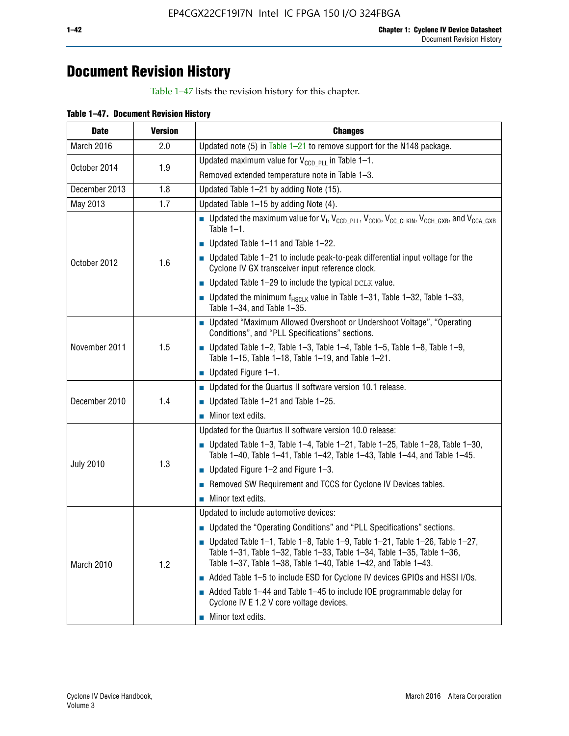## **Document Revision History**

Table 1–47 lists the revision history for this chapter.

| <b>Date</b>      | <b>Version</b> | <b>Changes</b>                                                                                                                                                                                                                            |
|------------------|----------------|-------------------------------------------------------------------------------------------------------------------------------------------------------------------------------------------------------------------------------------------|
| March 2016       | 2.0            | Updated note (5) in Table $1-21$ to remove support for the N148 package.                                                                                                                                                                  |
| October 2014     | 1.9            | Updated maximum value for $V_{CCD, PL}$ in Table 1-1.                                                                                                                                                                                     |
|                  |                | Removed extended temperature note in Table 1-3.                                                                                                                                                                                           |
| December 2013    | 1.8            | Updated Table 1-21 by adding Note (15).                                                                                                                                                                                                   |
| May 2013         | 1.7            | Updated Table 1-15 by adding Note (4).                                                                                                                                                                                                    |
|                  | 1.6            | <b>D</b> Updated the maximum value for $V_1$ , $V_{CCD}$ <sub>PLL</sub> , $V_{CC10}$ , $V_{CC_1CLKIN}$ , $V_{CCH_GXB}$ , and $V_{CCA_GXB}$<br>Table $1-1$ .                                                                               |
|                  |                | $\blacksquare$ Updated Table 1-11 and Table 1-22.                                                                                                                                                                                         |
| October 2012     |                | $\blacksquare$ Updated Table 1-21 to include peak-to-peak differential input voltage for the<br>Cyclone IV GX transceiver input reference clock.                                                                                          |
|                  |                | $\blacksquare$ Updated Table 1-29 to include the typical DCLK value.                                                                                                                                                                      |
|                  |                | <b>Updated the minimum f<sub>HSCLK</sub></b> value in Table 1-31, Table 1-32, Table 1-33,<br>Table 1-34, and Table 1-35.                                                                                                                  |
|                  | 1.5            | ■ Updated "Maximum Allowed Overshoot or Undershoot Voltage", "Operating<br>Conditions", and "PLL Specifications" sections.                                                                                                                |
| November 2011    |                | Updated Table 1-2, Table 1-3, Table 1-4, Table 1-5, Table 1-8, Table 1-9,<br>Table 1-15, Table 1-18, Table 1-19, and Table 1-21.                                                                                                          |
|                  |                | ■ Updated Figure $1-1$ .                                                                                                                                                                                                                  |
|                  | 1.4            | • Updated for the Quartus II software version 10.1 release.                                                                                                                                                                               |
| December 2010    |                | $\blacksquare$ Updated Table 1-21 and Table 1-25.                                                                                                                                                                                         |
|                  |                | $\blacksquare$ Minor text edits.                                                                                                                                                                                                          |
|                  | 1.3            | Updated for the Quartus II software version 10.0 release:                                                                                                                                                                                 |
|                  |                | Updated Table 1-3, Table 1-4, Table 1-21, Table 1-25, Table 1-28, Table 1-30,<br>Table 1-40, Table 1-41, Table 1-42, Table 1-43, Table 1-44, and Table 1-45.                                                                              |
| <b>July 2010</b> |                | ■ Updated Figure $1-2$ and Figure $1-3$ .                                                                                                                                                                                                 |
|                  |                | Removed SW Requirement and TCCS for Cyclone IV Devices tables.                                                                                                                                                                            |
|                  |                | $\blacksquare$ Minor text edits.                                                                                                                                                                                                          |
|                  | 1.2            | Updated to include automotive devices:                                                                                                                                                                                                    |
|                  |                | • Updated the "Operating Conditions" and "PLL Specifications" sections.                                                                                                                                                                   |
| March 2010       |                | $\blacksquare$ Updated Table 1-1, Table 1-8, Table 1-9, Table 1-21, Table 1-26, Table 1-27,<br>Table 1-31, Table 1-32, Table 1-33, Table 1-34, Table 1-35, Table 1-36,<br>Table 1-37, Table 1-38, Table 1-40, Table 1-42, and Table 1-43. |
|                  |                | Added Table 1-5 to include ESD for Cyclone IV devices GPIOs and HSSI I/Os.                                                                                                                                                                |
|                  |                | Added Table 1-44 and Table 1-45 to include IOE programmable delay for<br>Cyclone IV E 1.2 V core voltage devices.                                                                                                                         |
|                  |                | Minor text edits.                                                                                                                                                                                                                         |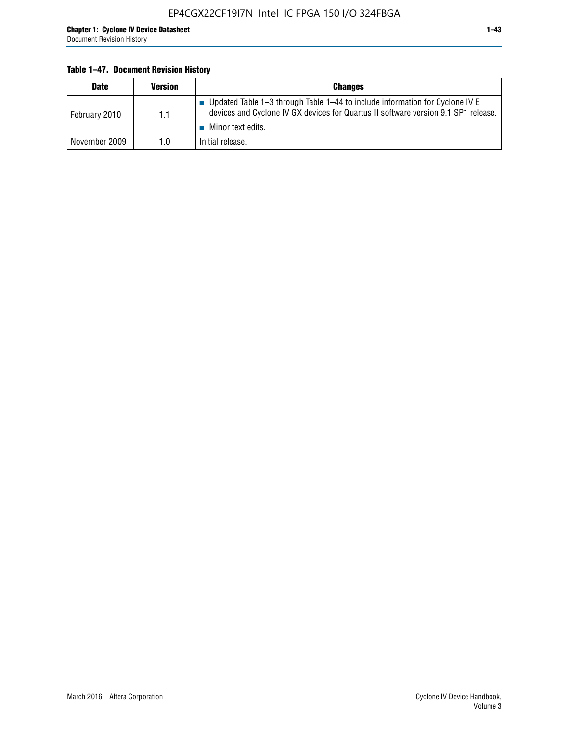#### **Table 1–47. Document Revision History**

| <b>Date</b>   | <b>Version</b> | <b>Changes</b>                                                                                                                                                                          |
|---------------|----------------|-----------------------------------------------------------------------------------------------------------------------------------------------------------------------------------------|
| February 2010 | 1.1            | Updated Table 1-3 through Table 1-44 to include information for Cyclone IV E<br>devices and Cyclone IV GX devices for Quartus II software version 9.1 SP1 release.<br>Minor text edits. |
| November 2009 | 1.0            | Initial release.                                                                                                                                                                        |